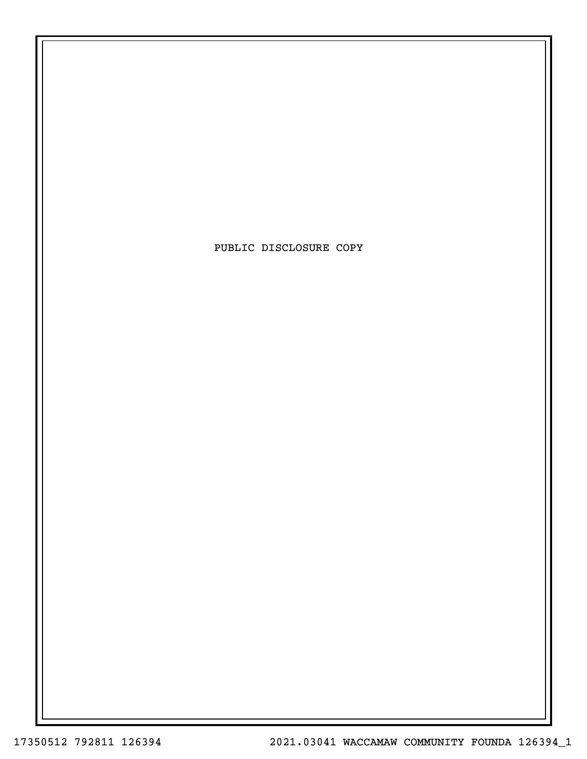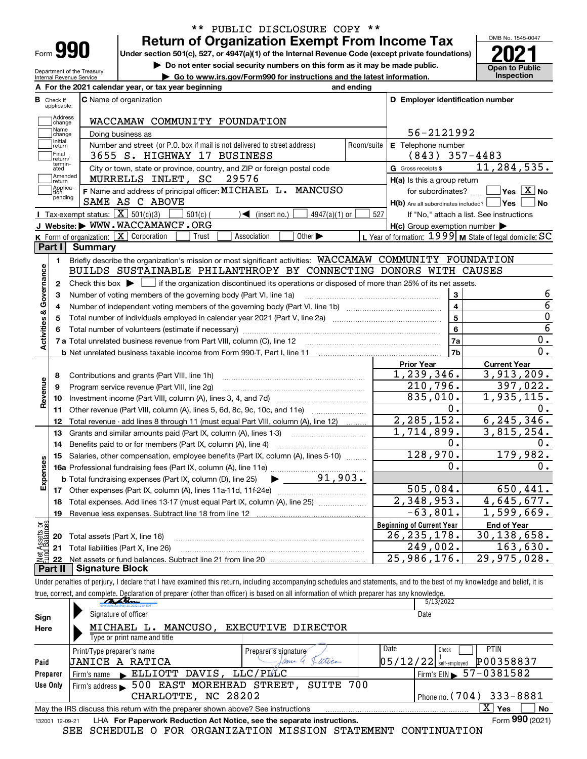| Form |  |
|------|--|

Department of the Treasury Internal Revenue Service

### **Return of Organization Exempt From Income Tax** \*\* PUBLIC DISCLOSURE COPY \*\*

Under section 501(c), 527, or 4947(a)(1) of the Internal Revenue Code (except private foundations) **2021** 

**| Do not enter social security numbers on this form as it may be made public.**

**| Go to www.irs.gov/Form990 for instructions and the latest information. Inspection**



|                         |                         | A For the 2021 calendar year, or tax year beginning                                                                                                 | and ending |                                                     |                                                                          |
|-------------------------|-------------------------|-----------------------------------------------------------------------------------------------------------------------------------------------------|------------|-----------------------------------------------------|--------------------------------------------------------------------------|
| В                       | Check if<br>applicable: | <b>C</b> Name of organization                                                                                                                       |            | D Employer identification number                    |                                                                          |
|                         | Address<br>change       | WACCAMAW COMMUNITY FOUNDATION                                                                                                                       |            |                                                     |                                                                          |
|                         | Name<br>change          | Doing business as                                                                                                                                   |            | 56-2121992                                          |                                                                          |
|                         | Initial<br>return       | Number and street (or P.O. box if mail is not delivered to street address)                                                                          | Room/suite | E Telephone number                                  |                                                                          |
|                         | Final<br>return/        | 3655 S. HIGHWAY 17 BUSINESS                                                                                                                         |            | $(843)$ 357-4483                                    |                                                                          |
|                         | termin-<br>ated         | City or town, state or province, country, and ZIP or foreign postal code                                                                            |            | G Gross receipts \$                                 | 11,284,535.                                                              |
|                         | Amended<br>Ireturn      | MURRELLS INLET, SC<br>29576                                                                                                                         |            | H(a) Is this a group return                         |                                                                          |
|                         | Applica-<br>ltion.      | F Name and address of principal officer: MICHAEL L. MANCUSO                                                                                         |            | for subordinates?                                   | $Yes \ \boxed{X}$ No                                                     |
|                         | pending                 | SAME AS C ABOVE                                                                                                                                     |            | H(b) Are all subordinates included?   Yes           | ∣No                                                                      |
|                         |                         | Tax-exempt status: $\boxed{\mathbf{X}}$ 501(c)(3)<br>$\sqrt{\bullet}$ (insert no.)<br>$501(c)$ (<br>$4947(a)(1)$ or                                 | 527        |                                                     | If "No," attach a list. See instructions                                 |
|                         |                         | J Website: WWW.WACCAMAWCF.ORG                                                                                                                       |            | $H(c)$ Group exemption number $\blacktriangleright$ |                                                                          |
|                         |                         | K Form of organization: X Corporation<br>Association<br>Other $\blacktriangleright$<br>Trust                                                        |            |                                                     | L Year of formation: $1999 \vert \mathbf{M}$ State of legal domicile: SC |
|                         | Part I                  | Summary                                                                                                                                             |            |                                                     |                                                                          |
|                         | 1.                      | Briefly describe the organization's mission or most significant activities: WACCAMAW COMMUNITY FOUNDATION                                           |            |                                                     |                                                                          |
|                         |                         | BUILDS SUSTAINABLE PHILANTHROPY BY CONNECTING DONORS WITH CAUSES                                                                                    |            |                                                     |                                                                          |
| Activities & Governance | $\mathbf{2}$            | Check this box $\blacktriangleright$ $\blacksquare$ if the organization discontinued its operations or disposed of more than 25% of its net assets. |            |                                                     |                                                                          |
|                         | 3                       | Number of voting members of the governing body (Part VI, line 1a)                                                                                   |            | 3                                                   | 6                                                                        |
|                         | 4                       |                                                                                                                                                     |            | $\overline{\mathbf{4}}$                             | $\overline{6}$                                                           |
|                         | 5                       |                                                                                                                                                     |            | 5                                                   | $\overline{0}$                                                           |
|                         |                         |                                                                                                                                                     |            | 6                                                   | $\overline{6}$                                                           |
|                         |                         |                                                                                                                                                     |            | 7a                                                  | 0.                                                                       |
|                         |                         |                                                                                                                                                     |            | 7b                                                  | 0.                                                                       |
|                         |                         |                                                                                                                                                     |            | <b>Prior Year</b>                                   | <b>Current Year</b>                                                      |
|                         | 8                       | Contributions and grants (Part VIII, line 1h)                                                                                                       |            | 1,239,346.                                          | 3,913,209.                                                               |
| Revenue                 | 9                       | Program service revenue (Part VIII, line 2g)                                                                                                        |            | 210,796.                                            | 397,022.                                                                 |
|                         | 10                      |                                                                                                                                                     |            | 835,010.<br>0.                                      | 1,935,115.                                                               |
|                         | 11                      | Other revenue (Part VIII, column (A), lines 5, 6d, 8c, 9c, 10c, and 11e)                                                                            |            |                                                     | 0.                                                                       |
|                         | 12                      | Total revenue - add lines 8 through 11 (must equal Part VIII, column (A), line 12)                                                                  |            | 2, 285, 152.                                        | 6, 245, 346.                                                             |
|                         | 13                      | Grants and similar amounts paid (Part IX, column (A), lines 1-3)                                                                                    |            | 1,714,899.<br>0.                                    | $\overline{3,815}$ , 254.                                                |
|                         | 14                      | Benefits paid to or for members (Part IX, column (A), line 4)                                                                                       |            | 128,970.                                            | 0.<br>179,982.                                                           |
|                         | 15                      | Salaries, other compensation, employee benefits (Part IX, column (A), lines 5-10)                                                                   |            | 0.                                                  | 0.                                                                       |
|                         |                         | $\blacktriangleright$ 91,903.                                                                                                                       |            |                                                     |                                                                          |
| Expenses                |                         | <b>b</b> Total fundraising expenses (Part IX, column (D), line 25)                                                                                  |            | 505,084.                                            | 650, 441.                                                                |
|                         |                         |                                                                                                                                                     |            | 2,348,953.                                          | 4,645,677.                                                               |
|                         | 18                      | Total expenses. Add lines 13-17 (must equal Part IX, column (A), line 25) <i></i>                                                                   |            | $-63,801.$                                          | 1,599,669.                                                               |
|                         | 19                      |                                                                                                                                                     |            |                                                     |                                                                          |
| ăğ                      |                         |                                                                                                                                                     |            | <b>Beginning of Current Year</b><br>26, 235, 178.   | <b>End of Year</b><br>30, 138, 658.                                      |
| Assets<br>  Bainm       | 20                      | Total assets (Part X, line 16)                                                                                                                      |            | 249,002.                                            | 163,630.                                                                 |
| Jek                     |                         | 21 Total liabilities (Part X, line 26)                                                                                                              |            | 25,986,176.                                         | 29,975,028.                                                              |
| D <sub>o</sub>          | r+ 11                   | <u> Bianature Block</u>                                                                                                                             |            |                                                     |                                                                          |

**Part II Signature Block**

Under penalties of perjury, I declare that I have examined this return, including accompanying schedules and statements, and to the best of my knowledge and belief, it is true, correct, and co[mplete. Declaration of preparer \(other than officer\) is based on all information](https://adobecancelledaccountschannel.na2.documents.adobe.com/verifier?tx=CBJCHBCAABAAJLeFedG45wKZ-2caumnpPS533RykW9GF) of which preparer has any knowledge.

|                 | martin<br>May 13, 2022 12:54 EDT                                                |                      | 5/13/2022                                   |                          |
|-----------------|---------------------------------------------------------------------------------|----------------------|---------------------------------------------|--------------------------|
| Sign            | Signature of officer                                                            |                      | Date                                        |                          |
| Here            | MANCUSO.<br>MICHAEL L.                                                          | EXECUTIVE DIRECTOR   |                                             |                          |
|                 | Type or print name and title                                                    |                      |                                             |                          |
|                 | Print/Type preparer's name                                                      | Preparer's signature | Date<br>Check                               | <b>PTIN</b>              |
| Paid            | JANICE A<br>RATICA                                                              | witica<br>ance 4     | $05/12/22$ self-employed                    | P00358837                |
| Preparer        | ELLIOTT DAVIS, LLC/PLLC<br>Firm's name                                          |                      | Firm's EIN $\blacktriangleright$ 57-0381582 |                          |
| Use Only        | 500 EAST MOREHEAD STREET,<br>Firm's address $\blacktriangleright$               | SUITE 700            |                                             |                          |
|                 | CHARLOTTE, NC 28202                                                             |                      | Phone no. ( $704$ )                         | 333-8881                 |
|                 | May the IRS discuss this return with the preparer shown above? See instructions |                      |                                             | $\overline{X}$ Yes<br>No |
| 132001 12-09-21 | LHA For Paperwork Reduction Act Notice, see the separate instructions.          |                      |                                             | Form 990 (2021)          |
|                 | SEE SCHEDULE O FOR ORGANIZATION MISSION STATEMENT                               |                      | CONTINUATION                                |                          |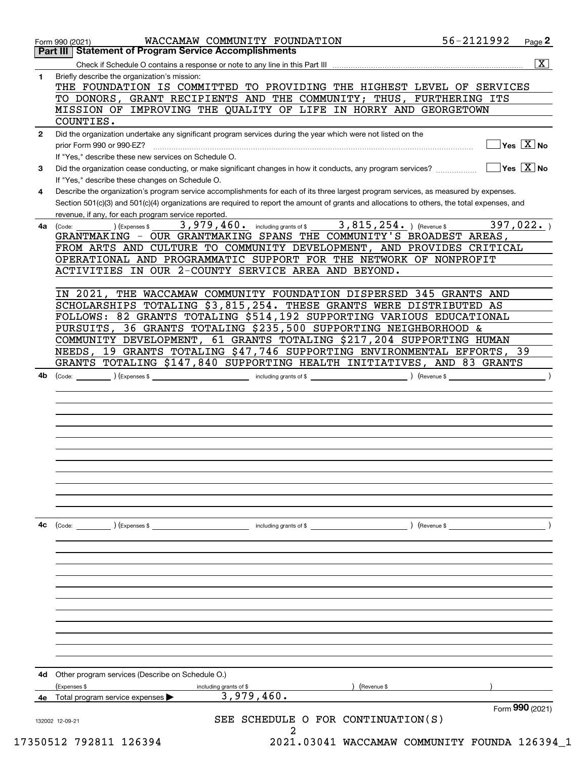|              | Part III Statement of Program Service Accomplishments                                                                                        |
|--------------|----------------------------------------------------------------------------------------------------------------------------------------------|
|              | $\overline{\mathbf{x}}$                                                                                                                      |
| 1            | Briefly describe the organization's mission:<br>THE FOUNDATION IS COMMITTED TO PROVIDING THE HIGHEST LEVEL OF SERVICES                       |
|              | TO DONORS, GRANT RECIPIENTS AND THE COMMUNITY; THUS, FURTHERING ITS                                                                          |
|              | MISSION OF IMPROVING THE QUALITY OF LIFE IN HORRY AND GEORGETOWN                                                                             |
|              | COUNTIES.                                                                                                                                    |
| $\mathbf{2}$ | Did the organization undertake any significant program services during the year which were not listed on the                                 |
|              | $\sqrt{\mathsf{Yes}\ \boxed{\mathrm{X}}}$ No<br>prior Form 990 or 990-EZ?                                                                    |
|              | If "Yes," describe these new services on Schedule O.                                                                                         |
| 3            | $\overline{\mathsf{Yes} \mathrel{\hspace{0.5pt}\mathsf{X}}}$ No                                                                              |
|              | If "Yes," describe these changes on Schedule O.                                                                                              |
| 4            | Describe the organization's program service accomplishments for each of its three largest program services, as measured by expenses.         |
|              | Section 501(c)(3) and 501(c)(4) organizations are required to report the amount of grants and allocations to others, the total expenses, and |
|              | revenue, if any, for each program service reported.                                                                                          |
| 4a           | 3,815,254. ) (Revenue \$<br>$3,979,460$ and $\frac{1}{2}$ including grants of \$<br>397,022.<br>(Code:<br>Expenses \$                        |
|              | GRANTMAKING - OUR GRANTMAKING SPANS THE COMMUNITY'S BROADEST AREAS,                                                                          |
|              | FROM ARTS AND CULTURE TO COMMUNITY DEVELOPMENT, AND PROVIDES CRITICAL                                                                        |
|              | OPERATIONAL AND PROGRAMMATIC SUPPORT FOR THE NETWORK OF NONPROFIT                                                                            |
|              | ACTIVITIES IN OUR 2-COUNTY SERVICE AREA AND BEYOND.                                                                                          |
|              |                                                                                                                                              |
|              | THE WACCAMAW COMMUNITY FOUNDATION DISPERSED 345 GRANTS AND<br>IN 2021,                                                                       |
|              | SCHOLARSHIPS TOTALING \$3,815,254. THESE GRANTS WERE DISTRIBUTED AS                                                                          |
|              | FOLLOWS: 82 GRANTS TOTALING \$514,192 SUPPORTING VARIOUS EDUCATIONAL                                                                         |
|              | PURSUITS, 36 GRANTS TOTALING \$235,500 SUPPORTING NEIGHBORHOOD &                                                                             |
|              | COMMUNITY DEVELOPMENT, 61 GRANTS TOTALING \$217,204 SUPPORTING HUMAN                                                                         |
|              | NEEDS, 19 GRANTS TOTALING \$47,746 SUPPORTING ENVIRONMENTAL EFFORTS, 39                                                                      |
|              | GRANTS TOTALING \$147,840 SUPPORTING HEALTH INITIATIVES, AND 83 GRANTS                                                                       |
|              |                                                                                                                                              |
| 4b           | $(1)$ (Expenses \$<br>$\sqrt{2}$ (Revenue \$<br>(Code:                                                                                       |
|              |                                                                                                                                              |
|              |                                                                                                                                              |
|              |                                                                                                                                              |
|              |                                                                                                                                              |
|              |                                                                                                                                              |
|              |                                                                                                                                              |
|              |                                                                                                                                              |
|              |                                                                                                                                              |
|              |                                                                                                                                              |
|              |                                                                                                                                              |
|              |                                                                                                                                              |
|              |                                                                                                                                              |
| 4c           | (Code:<br>(Expenses \$<br>including grants of \$<br>) (Revenue \$                                                                            |
|              |                                                                                                                                              |
|              |                                                                                                                                              |
|              |                                                                                                                                              |
|              |                                                                                                                                              |
|              |                                                                                                                                              |
|              |                                                                                                                                              |
|              |                                                                                                                                              |
|              |                                                                                                                                              |
|              |                                                                                                                                              |
|              |                                                                                                                                              |
|              |                                                                                                                                              |
|              |                                                                                                                                              |
| 4d           | Other program services (Describe on Schedule O.)                                                                                             |
|              | (Expenses \$<br>(Revenue \$<br>including grants of \$<br>3,979,460.                                                                          |
|              | Total program service expenses<br>Form 990 (2021)                                                                                            |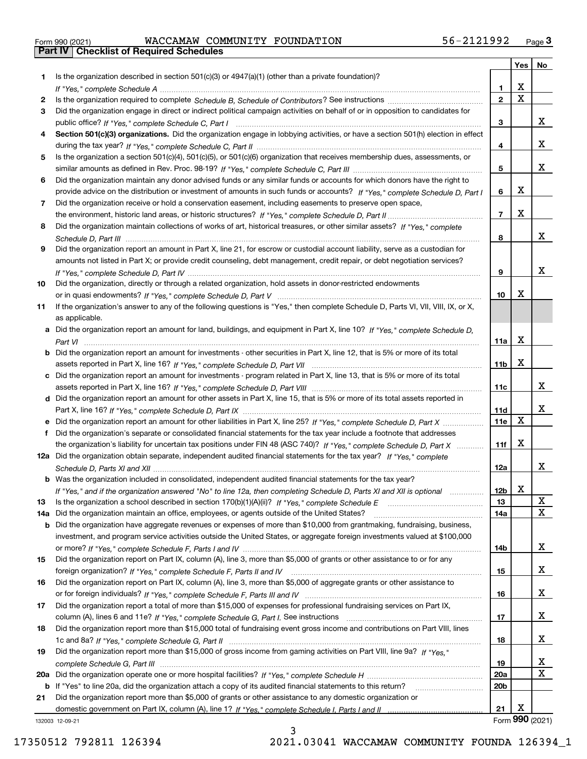|  | Form 990 (2021) |
|--|-----------------|

Form 990 (2021) WACCAMAW COMMUNITY FOUNDATION 56-2121992 <sub>Page</sub> 3<br>**Part IV | Checklist of Required Schedules** 

|     |                                                                                                                                                 |                 | Yes | No              |
|-----|-------------------------------------------------------------------------------------------------------------------------------------------------|-----------------|-----|-----------------|
| 1.  | Is the organization described in section $501(c)(3)$ or $4947(a)(1)$ (other than a private foundation)?                                         |                 |     |                 |
|     |                                                                                                                                                 | 1               | X   |                 |
| 2   |                                                                                                                                                 | $\mathbf{2}$    | X   |                 |
| 3   | Did the organization engage in direct or indirect political campaign activities on behalf of or in opposition to candidates for                 |                 |     |                 |
|     |                                                                                                                                                 | 3               |     | x               |
| 4   | Section 501(c)(3) organizations. Did the organization engage in lobbying activities, or have a section 501(h) election in effect                |                 |     |                 |
|     |                                                                                                                                                 | 4               |     | х               |
| 5   | Is the organization a section 501(c)(4), 501(c)(5), or 501(c)(6) organization that receives membership dues, assessments, or                    |                 |     |                 |
|     |                                                                                                                                                 | 5               |     | x               |
| 6   | Did the organization maintain any donor advised funds or any similar funds or accounts for which donors have the right to                       |                 |     |                 |
|     | provide advice on the distribution or investment of amounts in such funds or accounts? If "Yes," complete Schedule D, Part I                    | 6               | X   |                 |
| 7   | Did the organization receive or hold a conservation easement, including easements to preserve open space,                                       |                 |     |                 |
|     |                                                                                                                                                 | $\overline{7}$  | X   |                 |
| 8   | Did the organization maintain collections of works of art, historical treasures, or other similar assets? If "Yes," complete                    |                 |     |                 |
|     |                                                                                                                                                 | 8               |     | x               |
| 9   | Did the organization report an amount in Part X, line 21, for escrow or custodial account liability, serve as a custodian for                   |                 |     |                 |
|     | amounts not listed in Part X; or provide credit counseling, debt management, credit repair, or debt negotiation services?                       |                 |     |                 |
|     |                                                                                                                                                 | 9               |     | x               |
| 10  | Did the organization, directly or through a related organization, hold assets in donor-restricted endowments                                    |                 | x   |                 |
|     |                                                                                                                                                 | 10              |     |                 |
| 11  | If the organization's answer to any of the following questions is "Yes," then complete Schedule D, Parts VI, VII, VIII, IX, or X,               |                 |     |                 |
|     | as applicable.<br>a Did the organization report an amount for land, buildings, and equipment in Part X, line 10? If "Yes," complete Schedule D, |                 |     |                 |
|     |                                                                                                                                                 | 11a             | X   |                 |
|     | <b>b</b> Did the organization report an amount for investments - other securities in Part X, line 12, that is 5% or more of its total           |                 |     |                 |
|     |                                                                                                                                                 | 11 <sub>b</sub> | X   |                 |
|     | c Did the organization report an amount for investments - program related in Part X, line 13, that is 5% or more of its total                   |                 |     |                 |
|     |                                                                                                                                                 | 11c             |     | x               |
|     | d Did the organization report an amount for other assets in Part X, line 15, that is 5% or more of its total assets reported in                 |                 |     |                 |
|     |                                                                                                                                                 | 11d             |     | x               |
|     |                                                                                                                                                 | 11e             | X   |                 |
| f   | Did the organization's separate or consolidated financial statements for the tax year include a footnote that addresses                         |                 |     |                 |
|     | the organization's liability for uncertain tax positions under FIN 48 (ASC 740)? If "Yes," complete Schedule D, Part X                          | 11f             | X   |                 |
|     | 12a Did the organization obtain separate, independent audited financial statements for the tax year? If "Yes," complete                         |                 |     |                 |
|     |                                                                                                                                                 | 12a             |     | х               |
|     | <b>b</b> Was the organization included in consolidated, independent audited financial statements for the tax year?                              |                 |     |                 |
|     | If "Yes," and if the organization answered "No" to line 12a, then completing Schedule D, Parts XI and XII is optional                           | 12b             | X   |                 |
| 13  |                                                                                                                                                 | 13              |     | х               |
| 14a | Did the organization maintain an office, employees, or agents outside of the United States?                                                     | 14a             |     | x               |
|     | <b>b</b> Did the organization have aggregate revenues or expenses of more than \$10,000 from grantmaking, fundraising, business,                |                 |     |                 |
|     | investment, and program service activities outside the United States, or aggregate foreign investments valued at \$100,000                      |                 |     |                 |
|     |                                                                                                                                                 | 14b             |     | x               |
| 15  | Did the organization report on Part IX, column (A), line 3, more than \$5,000 of grants or other assistance to or for any                       |                 |     |                 |
|     |                                                                                                                                                 | 15              |     | х               |
| 16  | Did the organization report on Part IX, column (A), line 3, more than \$5,000 of aggregate grants or other assistance to                        |                 |     |                 |
|     |                                                                                                                                                 | 16              |     | x               |
| 17  | Did the organization report a total of more than \$15,000 of expenses for professional fundraising services on Part IX,                         |                 |     |                 |
|     |                                                                                                                                                 | 17              |     | x               |
| 18  | Did the organization report more than \$15,000 total of fundraising event gross income and contributions on Part VIII, lines                    |                 |     |                 |
|     |                                                                                                                                                 | 18              |     | x               |
| 19  | Did the organization report more than \$15,000 of gross income from gaming activities on Part VIII, line 9a? If "Yes."                          |                 |     |                 |
|     |                                                                                                                                                 | 19              |     | х               |
| 20a |                                                                                                                                                 | <b>20a</b>      |     | x               |
|     | b If "Yes" to line 20a, did the organization attach a copy of its audited financial statements to this return?                                  | 20 <sub>b</sub> |     |                 |
| 21  | Did the organization report more than \$5,000 of grants or other assistance to any domestic organization or                                     |                 |     |                 |
|     |                                                                                                                                                 | 21              | х   | Form 990 (2021) |
|     | 132003 12-09-21                                                                                                                                 |                 |     |                 |

132003 12-09-21

3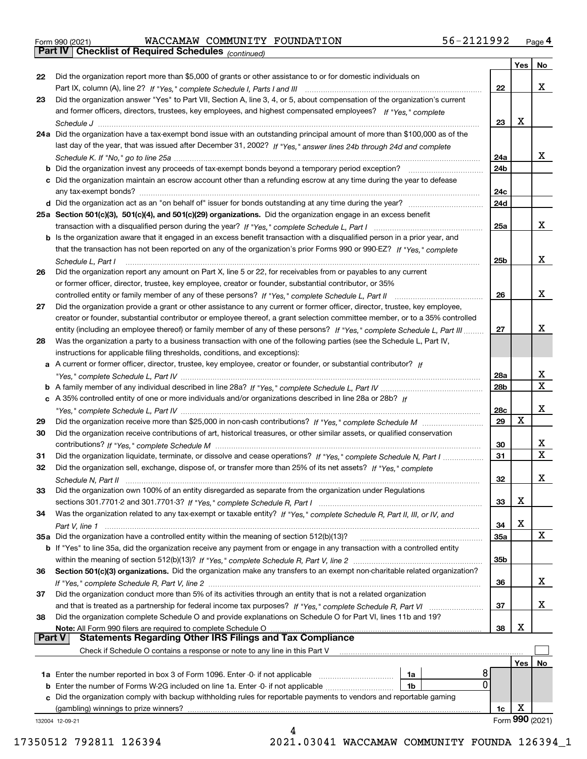|  | Form 990 (2021) |
|--|-----------------|

Form 990 (2021) WACCAMAW COMMUNITY FOUNDATION 56-2121992 <sub>Page</sub> 4<br>**Part IV | Checklist of Required Schedules** <sub>(continued)</sub>

*(continued)*

|               |                                                                                                                                                                                                                                   |            | Yes | No               |
|---------------|-----------------------------------------------------------------------------------------------------------------------------------------------------------------------------------------------------------------------------------|------------|-----|------------------|
| 22            | Did the organization report more than \$5,000 of grants or other assistance to or for domestic individuals on                                                                                                                     |            |     |                  |
|               | Part IX, column (A), line 2? If "Yes," complete Schedule I, Parts I and III [[11]] [11] [11] [11] [11] [11] [1                                                                                                                    | 22         |     | х                |
| 23            | Did the organization answer "Yes" to Part VII, Section A, line 3, 4, or 5, about compensation of the organization's current                                                                                                       |            |     |                  |
|               | and former officers, directors, trustees, key employees, and highest compensated employees? If "Yes," complete                                                                                                                    |            |     |                  |
|               |                                                                                                                                                                                                                                   | 23         | X   |                  |
|               | 24a Did the organization have a tax-exempt bond issue with an outstanding principal amount of more than \$100,000 as of the                                                                                                       |            |     |                  |
|               | last day of the year, that was issued after December 31, 2002? If "Yes," answer lines 24b through 24d and complete                                                                                                                |            |     |                  |
|               |                                                                                                                                                                                                                                   | 24a        |     | x                |
|               | <b>b</b> Did the organization invest any proceeds of tax-exempt bonds beyond a temporary period exception?                                                                                                                        | 24b        |     |                  |
|               | c Did the organization maintain an escrow account other than a refunding escrow at any time during the year to defease                                                                                                            |            |     |                  |
|               |                                                                                                                                                                                                                                   | 24c        |     |                  |
|               |                                                                                                                                                                                                                                   | 24d        |     |                  |
|               | 25a Section 501(c)(3), 501(c)(4), and 501(c)(29) organizations. Did the organization engage in an excess benefit                                                                                                                  |            |     |                  |
|               |                                                                                                                                                                                                                                   | 25a        |     | х                |
|               | b Is the organization aware that it engaged in an excess benefit transaction with a disqualified person in a prior year, and                                                                                                      |            |     |                  |
|               | that the transaction has not been reported on any of the organization's prior Forms 990 or 990-EZ? If "Yes," complete                                                                                                             |            |     |                  |
|               |                                                                                                                                                                                                                                   | 25b        |     | x                |
| 26            | Schedule L, Part I<br>Did the organization report any amount on Part X, line 5 or 22, for receivables from or payables to any current                                                                                             |            |     |                  |
|               | or former officer, director, trustee, key employee, creator or founder, substantial contributor, or 35%                                                                                                                           |            |     |                  |
|               |                                                                                                                                                                                                                                   | 26         |     | х                |
| 27            | controlled entity or family member of any of these persons? If "Yes," complete Schedule L, Part II<br>Did the organization provide a grant or other assistance to any current or former officer, director, trustee, key employee, |            |     |                  |
|               |                                                                                                                                                                                                                                   |            |     |                  |
|               | creator or founder, substantial contributor or employee thereof, a grant selection committee member, or to a 35% controlled                                                                                                       |            |     | x                |
|               | entity (including an employee thereof) or family member of any of these persons? If "Yes," complete Schedule L, Part III                                                                                                          | 27         |     |                  |
| 28            | Was the organization a party to a business transaction with one of the following parties (see the Schedule L, Part IV,                                                                                                            |            |     |                  |
|               | instructions for applicable filing thresholds, conditions, and exceptions):                                                                                                                                                       |            |     |                  |
|               | a A current or former officer, director, trustee, key employee, creator or founder, or substantial contributor? If                                                                                                                |            |     | x                |
|               |                                                                                                                                                                                                                                   | 28a        |     | $\mathbf X$      |
|               |                                                                                                                                                                                                                                   | 28b        |     |                  |
|               | c A 35% controlled entity of one or more individuals and/or organizations described in line 28a or 28b? If                                                                                                                        |            |     | х                |
|               |                                                                                                                                                                                                                                   | 28c        | Х   |                  |
| 29            |                                                                                                                                                                                                                                   | 29         |     |                  |
| 30            | Did the organization receive contributions of art, historical treasures, or other similar assets, or qualified conservation                                                                                                       |            |     |                  |
|               |                                                                                                                                                                                                                                   | 30         |     | x<br>$\mathbf X$ |
| 31            | Did the organization liquidate, terminate, or dissolve and cease operations? If "Yes," complete Schedule N, Part I                                                                                                                | 31         |     |                  |
| 32            | Did the organization sell, exchange, dispose of, or transfer more than 25% of its net assets? If "Yes," complete                                                                                                                  |            |     |                  |
|               | Schedule N, Part II                                                                                                                                                                                                               | 32         |     | х                |
| 33            | Did the organization own 100% of an entity disregarded as separate from the organization under Regulations                                                                                                                        |            |     |                  |
|               |                                                                                                                                                                                                                                   | 33         | Χ   |                  |
| 34            | Was the organization related to any tax-exempt or taxable entity? If "Yes," complete Schedule R, Part II, III, or IV, and                                                                                                         |            |     |                  |
|               |                                                                                                                                                                                                                                   | 34         | X   |                  |
|               | 35a Did the organization have a controlled entity within the meaning of section 512(b)(13)?                                                                                                                                       | <b>35a</b> |     | X                |
|               | <b>b</b> If "Yes" to line 35a, did the organization receive any payment from or engage in any transaction with a controlled entity                                                                                                |            |     |                  |
|               |                                                                                                                                                                                                                                   | 35b        |     |                  |
| 36            | Section 501(c)(3) organizations. Did the organization make any transfers to an exempt non-charitable related organization?                                                                                                        |            |     |                  |
|               |                                                                                                                                                                                                                                   | 36         |     | x                |
| 37            | Did the organization conduct more than 5% of its activities through an entity that is not a related organization                                                                                                                  |            |     |                  |
|               |                                                                                                                                                                                                                                   | 37         |     | х                |
| 38            | Did the organization complete Schedule O and provide explanations on Schedule O for Part VI, lines 11b and 19?                                                                                                                    |            |     |                  |
|               | Note: All Form 990 filers are required to complete Schedule O                                                                                                                                                                     | 38         | X   |                  |
| <b>Part V</b> | <b>Statements Regarding Other IRS Filings and Tax Compliance</b>                                                                                                                                                                  |            |     |                  |
|               | Check if Schedule O contains a response or note to any line in this Part V                                                                                                                                                        |            |     |                  |
|               |                                                                                                                                                                                                                                   |            | Yes | No               |
|               | 8<br>1a Enter the number reported in box 3 of Form 1096. Enter -0- if not applicable<br>1a                                                                                                                                        |            |     |                  |
|               | 0<br>1b                                                                                                                                                                                                                           |            |     |                  |
|               | c Did the organization comply with backup withholding rules for reportable payments to vendors and reportable gaming                                                                                                              |            |     |                  |
|               | (gambling) winnings to prize winners?                                                                                                                                                                                             | 1c         | X   |                  |
|               | 132004 12-09-21                                                                                                                                                                                                                   |            |     | Form 990 (2021)  |
|               |                                                                                                                                                                                                                                   |            |     |                  |

17350512 792811 126394 2021.03041 WACCAMAW COMMUNITY FOUNDA 126394\_1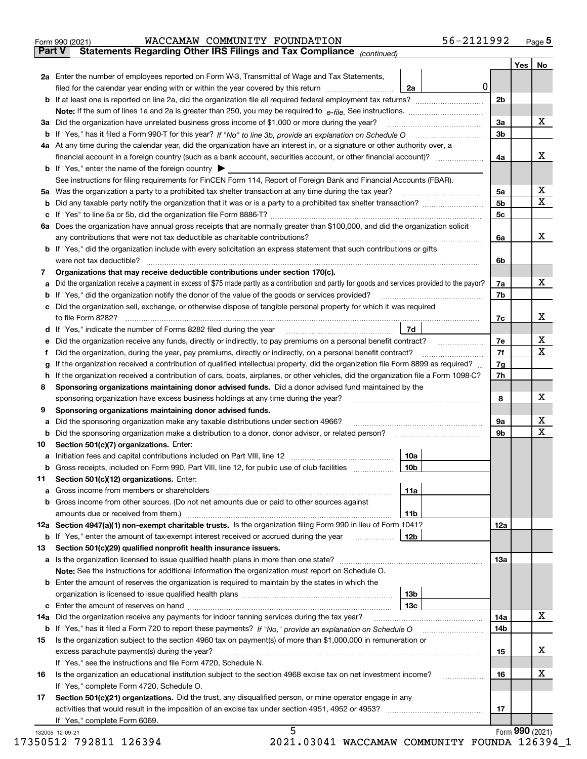| <b>Part V</b><br>Yes $ $<br>No<br>2a Enter the number of employees reported on Form W-3, Transmittal of Wage and Tax Statements,<br> 0 <br>filed for the calendar year ending with or within the year covered by this return [111] [11] filed for the calendar year ending with or within the year covered by this return<br>2a<br>2 <sub>b</sub><br>х<br>3a<br>3a Did the organization have unrelated business gross income of \$1,000 or more during the year?<br>3 <sub>b</sub><br>4a At any time during the calendar year, did the organization have an interest in, or a signature or other authority over, a<br>х<br>4a<br><b>b</b> If "Yes," enter the name of the foreign country $\triangleright$<br>See instructions for filing requirements for FinCEN Form 114, Report of Foreign Bank and Financial Accounts (FBAR).<br>X<br>5a Was the organization a party to a prohibited tax shelter transaction at any time during the tax year?<br>5a<br>$\mathbf X$<br>5 <sub>b</sub><br>5c<br>6a Does the organization have annual gross receipts that are normally greater than \$100,000, and did the organization solicit<br>х<br>any contributions that were not tax deductible as charitable contributions?<br>6a<br>b If "Yes," did the organization include with every solicitation an express statement that such contributions or gifts<br>were not tax deductible?<br>6b<br>Organizations that may receive deductible contributions under section 170(c).<br>7<br>х<br>Did the organization receive a payment in excess of \$75 made partly as a contribution and partly for goods and services provided to the payor?<br>7a<br>а<br><b>b</b> If "Yes," did the organization notify the donor of the value of the goods or services provided?<br>7b<br>c Did the organization sell, exchange, or otherwise dispose of tangible personal property for which it was required<br>х<br>7c<br>7d<br>d If "Yes," indicate the number of Forms 8282 filed during the year manufactured in the second of the New York<br>x<br>7e<br>e Did the organization receive any funds, directly or indirectly, to pay premiums on a personal benefit contract?<br>$\mathbf x$<br>7f<br>Did the organization, during the year, pay premiums, directly or indirectly, on a personal benefit contract?<br>Ť.<br>7g<br>If the organization received a contribution of qualified intellectual property, did the organization file Form 8899 as required?<br>g<br>7h<br>h If the organization received a contribution of cars, boats, airplanes, or other vehicles, did the organization file a Form 1098-C?<br>Sponsoring organizations maintaining donor advised funds. Did a donor advised fund maintained by the<br>8<br>х<br>8<br>sponsoring organization have excess business holdings at any time during the year?<br>Sponsoring organizations maintaining donor advised funds.<br>9<br>х<br>a Did the sponsoring organization make any taxable distributions under section 4966?<br>9а<br>$\mathbf X$<br>9b<br>Section 501(c)(7) organizations. Enter:<br>10<br>10a<br>Gross receipts, included on Form 990, Part VIII, line 12, for public use of club facilities manuscum<br>10b<br>b<br>Section 501(c)(12) organizations. Enter:<br>11<br>11a<br>b Gross income from other sources. (Do not net amounts due or paid to other sources against<br>amounts due or received from them.)<br>11b<br>12a Section 4947(a)(1) non-exempt charitable trusts. Is the organization filing Form 990 in lieu of Form 1041?<br>12a<br><b>b</b> If "Yes," enter the amount of tax-exempt interest received or accrued during the year<br>12b<br>Section 501(c)(29) qualified nonprofit health insurance issuers.<br>13<br>13а<br>Note: See the instructions for additional information the organization must report on Schedule O.<br><b>b</b> Enter the amount of reserves the organization is required to maintain by the states in which the<br>13b<br>13с<br>х<br>Did the organization receive any payments for indoor tanning services during the tax year?<br>14a<br>14a<br>14b<br>Is the organization subject to the section 4960 tax on payment(s) of more than \$1,000,000 in remuneration or<br>15<br>х<br>15<br>If "Yes," see the instructions and file Form 4720, Schedule N.<br>х<br>Is the organization an educational institution subject to the section 4968 excise tax on net investment income?<br>16<br>16<br>.<br>If "Yes," complete Form 4720, Schedule O.<br>Section 501(c)(21) organizations. Did the trust, any disqualified person, or mine operator engage in any<br>17<br>17<br>If "Yes," complete Form 6069. | 56-2121992<br>WACCAMAW COMMUNITY FOUNDATION<br>Form 990 (2021)        |  | $Page$ 5 |
|-----------------------------------------------------------------------------------------------------------------------------------------------------------------------------------------------------------------------------------------------------------------------------------------------------------------------------------------------------------------------------------------------------------------------------------------------------------------------------------------------------------------------------------------------------------------------------------------------------------------------------------------------------------------------------------------------------------------------------------------------------------------------------------------------------------------------------------------------------------------------------------------------------------------------------------------------------------------------------------------------------------------------------------------------------------------------------------------------------------------------------------------------------------------------------------------------------------------------------------------------------------------------------------------------------------------------------------------------------------------------------------------------------------------------------------------------------------------------------------------------------------------------------------------------------------------------------------------------------------------------------------------------------------------------------------------------------------------------------------------------------------------------------------------------------------------------------------------------------------------------------------------------------------------------------------------------------------------------------------------------------------------------------------------------------------------------------------------------------------------------------------------------------------------------------------------------------------------------------------------------------------------------------------------------------------------------------------------------------------------------------------------------------------------------------------------------------------------------------------------------------------------------------------------------------------------------------------------------------------------------------------------------------------------------------------------------------------------------------------------------------------------------------------------------------------------------------------------------------------------------------------------------------------------------------------------------------------------------------------------------------------------------------------------------------------------------------------------------------------------------------------------------------------------------------------------------------------------------------------------------------------------------------------------------------------------------------------------------------------------------------------------------------------------------------------------------------------------------------------------------------------------------------------------------------------------------------------------------------------------------------------------------------------------------------------------------------------------------------------------------------------------------------------------------------------------------------------------------------------------------------------------------------------------------------------------------------------------------------------------------------------------------------------------------------------------------------------------------------------------------------------------------------------------------------------------------------------------------------------------------------------------------------------------------------------------------------------------------------------------------------------------------------------------------------------------------------------------------------------------------------------------------------------------------------------------------------------------------------------------------------|-----------------------------------------------------------------------|--|----------|
|                                                                                                                                                                                                                                                                                                                                                                                                                                                                                                                                                                                                                                                                                                                                                                                                                                                                                                                                                                                                                                                                                                                                                                                                                                                                                                                                                                                                                                                                                                                                                                                                                                                                                                                                                                                                                                                                                                                                                                                                                                                                                                                                                                                                                                                                                                                                                                                                                                                                                                                                                                                                                                                                                                                                                                                                                                                                                                                                                                                                                                                                                                                                                                                                                                                                                                                                                                                                                                                                                                                                                                                                                                                                                                                                                                                                                                                                                                                                                                                                                                                                                                                                                                                                                                                                                                                                                                                                                                                                                                                                                                                                                             | Statements Regarding Other IRS Filings and Tax Compliance (continued) |  |          |
|                                                                                                                                                                                                                                                                                                                                                                                                                                                                                                                                                                                                                                                                                                                                                                                                                                                                                                                                                                                                                                                                                                                                                                                                                                                                                                                                                                                                                                                                                                                                                                                                                                                                                                                                                                                                                                                                                                                                                                                                                                                                                                                                                                                                                                                                                                                                                                                                                                                                                                                                                                                                                                                                                                                                                                                                                                                                                                                                                                                                                                                                                                                                                                                                                                                                                                                                                                                                                                                                                                                                                                                                                                                                                                                                                                                                                                                                                                                                                                                                                                                                                                                                                                                                                                                                                                                                                                                                                                                                                                                                                                                                                             |                                                                       |  |          |
|                                                                                                                                                                                                                                                                                                                                                                                                                                                                                                                                                                                                                                                                                                                                                                                                                                                                                                                                                                                                                                                                                                                                                                                                                                                                                                                                                                                                                                                                                                                                                                                                                                                                                                                                                                                                                                                                                                                                                                                                                                                                                                                                                                                                                                                                                                                                                                                                                                                                                                                                                                                                                                                                                                                                                                                                                                                                                                                                                                                                                                                                                                                                                                                                                                                                                                                                                                                                                                                                                                                                                                                                                                                                                                                                                                                                                                                                                                                                                                                                                                                                                                                                                                                                                                                                                                                                                                                                                                                                                                                                                                                                                             |                                                                       |  |          |
|                                                                                                                                                                                                                                                                                                                                                                                                                                                                                                                                                                                                                                                                                                                                                                                                                                                                                                                                                                                                                                                                                                                                                                                                                                                                                                                                                                                                                                                                                                                                                                                                                                                                                                                                                                                                                                                                                                                                                                                                                                                                                                                                                                                                                                                                                                                                                                                                                                                                                                                                                                                                                                                                                                                                                                                                                                                                                                                                                                                                                                                                                                                                                                                                                                                                                                                                                                                                                                                                                                                                                                                                                                                                                                                                                                                                                                                                                                                                                                                                                                                                                                                                                                                                                                                                                                                                                                                                                                                                                                                                                                                                                             |                                                                       |  |          |
|                                                                                                                                                                                                                                                                                                                                                                                                                                                                                                                                                                                                                                                                                                                                                                                                                                                                                                                                                                                                                                                                                                                                                                                                                                                                                                                                                                                                                                                                                                                                                                                                                                                                                                                                                                                                                                                                                                                                                                                                                                                                                                                                                                                                                                                                                                                                                                                                                                                                                                                                                                                                                                                                                                                                                                                                                                                                                                                                                                                                                                                                                                                                                                                                                                                                                                                                                                                                                                                                                                                                                                                                                                                                                                                                                                                                                                                                                                                                                                                                                                                                                                                                                                                                                                                                                                                                                                                                                                                                                                                                                                                                                             |                                                                       |  |          |
|                                                                                                                                                                                                                                                                                                                                                                                                                                                                                                                                                                                                                                                                                                                                                                                                                                                                                                                                                                                                                                                                                                                                                                                                                                                                                                                                                                                                                                                                                                                                                                                                                                                                                                                                                                                                                                                                                                                                                                                                                                                                                                                                                                                                                                                                                                                                                                                                                                                                                                                                                                                                                                                                                                                                                                                                                                                                                                                                                                                                                                                                                                                                                                                                                                                                                                                                                                                                                                                                                                                                                                                                                                                                                                                                                                                                                                                                                                                                                                                                                                                                                                                                                                                                                                                                                                                                                                                                                                                                                                                                                                                                                             |                                                                       |  |          |
|                                                                                                                                                                                                                                                                                                                                                                                                                                                                                                                                                                                                                                                                                                                                                                                                                                                                                                                                                                                                                                                                                                                                                                                                                                                                                                                                                                                                                                                                                                                                                                                                                                                                                                                                                                                                                                                                                                                                                                                                                                                                                                                                                                                                                                                                                                                                                                                                                                                                                                                                                                                                                                                                                                                                                                                                                                                                                                                                                                                                                                                                                                                                                                                                                                                                                                                                                                                                                                                                                                                                                                                                                                                                                                                                                                                                                                                                                                                                                                                                                                                                                                                                                                                                                                                                                                                                                                                                                                                                                                                                                                                                                             |                                                                       |  |          |
|                                                                                                                                                                                                                                                                                                                                                                                                                                                                                                                                                                                                                                                                                                                                                                                                                                                                                                                                                                                                                                                                                                                                                                                                                                                                                                                                                                                                                                                                                                                                                                                                                                                                                                                                                                                                                                                                                                                                                                                                                                                                                                                                                                                                                                                                                                                                                                                                                                                                                                                                                                                                                                                                                                                                                                                                                                                                                                                                                                                                                                                                                                                                                                                                                                                                                                                                                                                                                                                                                                                                                                                                                                                                                                                                                                                                                                                                                                                                                                                                                                                                                                                                                                                                                                                                                                                                                                                                                                                                                                                                                                                                                             |                                                                       |  |          |
|                                                                                                                                                                                                                                                                                                                                                                                                                                                                                                                                                                                                                                                                                                                                                                                                                                                                                                                                                                                                                                                                                                                                                                                                                                                                                                                                                                                                                                                                                                                                                                                                                                                                                                                                                                                                                                                                                                                                                                                                                                                                                                                                                                                                                                                                                                                                                                                                                                                                                                                                                                                                                                                                                                                                                                                                                                                                                                                                                                                                                                                                                                                                                                                                                                                                                                                                                                                                                                                                                                                                                                                                                                                                                                                                                                                                                                                                                                                                                                                                                                                                                                                                                                                                                                                                                                                                                                                                                                                                                                                                                                                                                             |                                                                       |  |          |
|                                                                                                                                                                                                                                                                                                                                                                                                                                                                                                                                                                                                                                                                                                                                                                                                                                                                                                                                                                                                                                                                                                                                                                                                                                                                                                                                                                                                                                                                                                                                                                                                                                                                                                                                                                                                                                                                                                                                                                                                                                                                                                                                                                                                                                                                                                                                                                                                                                                                                                                                                                                                                                                                                                                                                                                                                                                                                                                                                                                                                                                                                                                                                                                                                                                                                                                                                                                                                                                                                                                                                                                                                                                                                                                                                                                                                                                                                                                                                                                                                                                                                                                                                                                                                                                                                                                                                                                                                                                                                                                                                                                                                             |                                                                       |  |          |
|                                                                                                                                                                                                                                                                                                                                                                                                                                                                                                                                                                                                                                                                                                                                                                                                                                                                                                                                                                                                                                                                                                                                                                                                                                                                                                                                                                                                                                                                                                                                                                                                                                                                                                                                                                                                                                                                                                                                                                                                                                                                                                                                                                                                                                                                                                                                                                                                                                                                                                                                                                                                                                                                                                                                                                                                                                                                                                                                                                                                                                                                                                                                                                                                                                                                                                                                                                                                                                                                                                                                                                                                                                                                                                                                                                                                                                                                                                                                                                                                                                                                                                                                                                                                                                                                                                                                                                                                                                                                                                                                                                                                                             |                                                                       |  |          |
|                                                                                                                                                                                                                                                                                                                                                                                                                                                                                                                                                                                                                                                                                                                                                                                                                                                                                                                                                                                                                                                                                                                                                                                                                                                                                                                                                                                                                                                                                                                                                                                                                                                                                                                                                                                                                                                                                                                                                                                                                                                                                                                                                                                                                                                                                                                                                                                                                                                                                                                                                                                                                                                                                                                                                                                                                                                                                                                                                                                                                                                                                                                                                                                                                                                                                                                                                                                                                                                                                                                                                                                                                                                                                                                                                                                                                                                                                                                                                                                                                                                                                                                                                                                                                                                                                                                                                                                                                                                                                                                                                                                                                             |                                                                       |  |          |
|                                                                                                                                                                                                                                                                                                                                                                                                                                                                                                                                                                                                                                                                                                                                                                                                                                                                                                                                                                                                                                                                                                                                                                                                                                                                                                                                                                                                                                                                                                                                                                                                                                                                                                                                                                                                                                                                                                                                                                                                                                                                                                                                                                                                                                                                                                                                                                                                                                                                                                                                                                                                                                                                                                                                                                                                                                                                                                                                                                                                                                                                                                                                                                                                                                                                                                                                                                                                                                                                                                                                                                                                                                                                                                                                                                                                                                                                                                                                                                                                                                                                                                                                                                                                                                                                                                                                                                                                                                                                                                                                                                                                                             |                                                                       |  |          |
|                                                                                                                                                                                                                                                                                                                                                                                                                                                                                                                                                                                                                                                                                                                                                                                                                                                                                                                                                                                                                                                                                                                                                                                                                                                                                                                                                                                                                                                                                                                                                                                                                                                                                                                                                                                                                                                                                                                                                                                                                                                                                                                                                                                                                                                                                                                                                                                                                                                                                                                                                                                                                                                                                                                                                                                                                                                                                                                                                                                                                                                                                                                                                                                                                                                                                                                                                                                                                                                                                                                                                                                                                                                                                                                                                                                                                                                                                                                                                                                                                                                                                                                                                                                                                                                                                                                                                                                                                                                                                                                                                                                                                             |                                                                       |  |          |
|                                                                                                                                                                                                                                                                                                                                                                                                                                                                                                                                                                                                                                                                                                                                                                                                                                                                                                                                                                                                                                                                                                                                                                                                                                                                                                                                                                                                                                                                                                                                                                                                                                                                                                                                                                                                                                                                                                                                                                                                                                                                                                                                                                                                                                                                                                                                                                                                                                                                                                                                                                                                                                                                                                                                                                                                                                                                                                                                                                                                                                                                                                                                                                                                                                                                                                                                                                                                                                                                                                                                                                                                                                                                                                                                                                                                                                                                                                                                                                                                                                                                                                                                                                                                                                                                                                                                                                                                                                                                                                                                                                                                                             |                                                                       |  |          |
|                                                                                                                                                                                                                                                                                                                                                                                                                                                                                                                                                                                                                                                                                                                                                                                                                                                                                                                                                                                                                                                                                                                                                                                                                                                                                                                                                                                                                                                                                                                                                                                                                                                                                                                                                                                                                                                                                                                                                                                                                                                                                                                                                                                                                                                                                                                                                                                                                                                                                                                                                                                                                                                                                                                                                                                                                                                                                                                                                                                                                                                                                                                                                                                                                                                                                                                                                                                                                                                                                                                                                                                                                                                                                                                                                                                                                                                                                                                                                                                                                                                                                                                                                                                                                                                                                                                                                                                                                                                                                                                                                                                                                             |                                                                       |  |          |
|                                                                                                                                                                                                                                                                                                                                                                                                                                                                                                                                                                                                                                                                                                                                                                                                                                                                                                                                                                                                                                                                                                                                                                                                                                                                                                                                                                                                                                                                                                                                                                                                                                                                                                                                                                                                                                                                                                                                                                                                                                                                                                                                                                                                                                                                                                                                                                                                                                                                                                                                                                                                                                                                                                                                                                                                                                                                                                                                                                                                                                                                                                                                                                                                                                                                                                                                                                                                                                                                                                                                                                                                                                                                                                                                                                                                                                                                                                                                                                                                                                                                                                                                                                                                                                                                                                                                                                                                                                                                                                                                                                                                                             |                                                                       |  |          |
|                                                                                                                                                                                                                                                                                                                                                                                                                                                                                                                                                                                                                                                                                                                                                                                                                                                                                                                                                                                                                                                                                                                                                                                                                                                                                                                                                                                                                                                                                                                                                                                                                                                                                                                                                                                                                                                                                                                                                                                                                                                                                                                                                                                                                                                                                                                                                                                                                                                                                                                                                                                                                                                                                                                                                                                                                                                                                                                                                                                                                                                                                                                                                                                                                                                                                                                                                                                                                                                                                                                                                                                                                                                                                                                                                                                                                                                                                                                                                                                                                                                                                                                                                                                                                                                                                                                                                                                                                                                                                                                                                                                                                             |                                                                       |  |          |
|                                                                                                                                                                                                                                                                                                                                                                                                                                                                                                                                                                                                                                                                                                                                                                                                                                                                                                                                                                                                                                                                                                                                                                                                                                                                                                                                                                                                                                                                                                                                                                                                                                                                                                                                                                                                                                                                                                                                                                                                                                                                                                                                                                                                                                                                                                                                                                                                                                                                                                                                                                                                                                                                                                                                                                                                                                                                                                                                                                                                                                                                                                                                                                                                                                                                                                                                                                                                                                                                                                                                                                                                                                                                                                                                                                                                                                                                                                                                                                                                                                                                                                                                                                                                                                                                                                                                                                                                                                                                                                                                                                                                                             |                                                                       |  |          |
|                                                                                                                                                                                                                                                                                                                                                                                                                                                                                                                                                                                                                                                                                                                                                                                                                                                                                                                                                                                                                                                                                                                                                                                                                                                                                                                                                                                                                                                                                                                                                                                                                                                                                                                                                                                                                                                                                                                                                                                                                                                                                                                                                                                                                                                                                                                                                                                                                                                                                                                                                                                                                                                                                                                                                                                                                                                                                                                                                                                                                                                                                                                                                                                                                                                                                                                                                                                                                                                                                                                                                                                                                                                                                                                                                                                                                                                                                                                                                                                                                                                                                                                                                                                                                                                                                                                                                                                                                                                                                                                                                                                                                             |                                                                       |  |          |
|                                                                                                                                                                                                                                                                                                                                                                                                                                                                                                                                                                                                                                                                                                                                                                                                                                                                                                                                                                                                                                                                                                                                                                                                                                                                                                                                                                                                                                                                                                                                                                                                                                                                                                                                                                                                                                                                                                                                                                                                                                                                                                                                                                                                                                                                                                                                                                                                                                                                                                                                                                                                                                                                                                                                                                                                                                                                                                                                                                                                                                                                                                                                                                                                                                                                                                                                                                                                                                                                                                                                                                                                                                                                                                                                                                                                                                                                                                                                                                                                                                                                                                                                                                                                                                                                                                                                                                                                                                                                                                                                                                                                                             |                                                                       |  |          |
|                                                                                                                                                                                                                                                                                                                                                                                                                                                                                                                                                                                                                                                                                                                                                                                                                                                                                                                                                                                                                                                                                                                                                                                                                                                                                                                                                                                                                                                                                                                                                                                                                                                                                                                                                                                                                                                                                                                                                                                                                                                                                                                                                                                                                                                                                                                                                                                                                                                                                                                                                                                                                                                                                                                                                                                                                                                                                                                                                                                                                                                                                                                                                                                                                                                                                                                                                                                                                                                                                                                                                                                                                                                                                                                                                                                                                                                                                                                                                                                                                                                                                                                                                                                                                                                                                                                                                                                                                                                                                                                                                                                                                             |                                                                       |  |          |
|                                                                                                                                                                                                                                                                                                                                                                                                                                                                                                                                                                                                                                                                                                                                                                                                                                                                                                                                                                                                                                                                                                                                                                                                                                                                                                                                                                                                                                                                                                                                                                                                                                                                                                                                                                                                                                                                                                                                                                                                                                                                                                                                                                                                                                                                                                                                                                                                                                                                                                                                                                                                                                                                                                                                                                                                                                                                                                                                                                                                                                                                                                                                                                                                                                                                                                                                                                                                                                                                                                                                                                                                                                                                                                                                                                                                                                                                                                                                                                                                                                                                                                                                                                                                                                                                                                                                                                                                                                                                                                                                                                                                                             |                                                                       |  |          |
|                                                                                                                                                                                                                                                                                                                                                                                                                                                                                                                                                                                                                                                                                                                                                                                                                                                                                                                                                                                                                                                                                                                                                                                                                                                                                                                                                                                                                                                                                                                                                                                                                                                                                                                                                                                                                                                                                                                                                                                                                                                                                                                                                                                                                                                                                                                                                                                                                                                                                                                                                                                                                                                                                                                                                                                                                                                                                                                                                                                                                                                                                                                                                                                                                                                                                                                                                                                                                                                                                                                                                                                                                                                                                                                                                                                                                                                                                                                                                                                                                                                                                                                                                                                                                                                                                                                                                                                                                                                                                                                                                                                                                             |                                                                       |  |          |
|                                                                                                                                                                                                                                                                                                                                                                                                                                                                                                                                                                                                                                                                                                                                                                                                                                                                                                                                                                                                                                                                                                                                                                                                                                                                                                                                                                                                                                                                                                                                                                                                                                                                                                                                                                                                                                                                                                                                                                                                                                                                                                                                                                                                                                                                                                                                                                                                                                                                                                                                                                                                                                                                                                                                                                                                                                                                                                                                                                                                                                                                                                                                                                                                                                                                                                                                                                                                                                                                                                                                                                                                                                                                                                                                                                                                                                                                                                                                                                                                                                                                                                                                                                                                                                                                                                                                                                                                                                                                                                                                                                                                                             |                                                                       |  |          |
|                                                                                                                                                                                                                                                                                                                                                                                                                                                                                                                                                                                                                                                                                                                                                                                                                                                                                                                                                                                                                                                                                                                                                                                                                                                                                                                                                                                                                                                                                                                                                                                                                                                                                                                                                                                                                                                                                                                                                                                                                                                                                                                                                                                                                                                                                                                                                                                                                                                                                                                                                                                                                                                                                                                                                                                                                                                                                                                                                                                                                                                                                                                                                                                                                                                                                                                                                                                                                                                                                                                                                                                                                                                                                                                                                                                                                                                                                                                                                                                                                                                                                                                                                                                                                                                                                                                                                                                                                                                                                                                                                                                                                             |                                                                       |  |          |
|                                                                                                                                                                                                                                                                                                                                                                                                                                                                                                                                                                                                                                                                                                                                                                                                                                                                                                                                                                                                                                                                                                                                                                                                                                                                                                                                                                                                                                                                                                                                                                                                                                                                                                                                                                                                                                                                                                                                                                                                                                                                                                                                                                                                                                                                                                                                                                                                                                                                                                                                                                                                                                                                                                                                                                                                                                                                                                                                                                                                                                                                                                                                                                                                                                                                                                                                                                                                                                                                                                                                                                                                                                                                                                                                                                                                                                                                                                                                                                                                                                                                                                                                                                                                                                                                                                                                                                                                                                                                                                                                                                                                                             |                                                                       |  |          |
|                                                                                                                                                                                                                                                                                                                                                                                                                                                                                                                                                                                                                                                                                                                                                                                                                                                                                                                                                                                                                                                                                                                                                                                                                                                                                                                                                                                                                                                                                                                                                                                                                                                                                                                                                                                                                                                                                                                                                                                                                                                                                                                                                                                                                                                                                                                                                                                                                                                                                                                                                                                                                                                                                                                                                                                                                                                                                                                                                                                                                                                                                                                                                                                                                                                                                                                                                                                                                                                                                                                                                                                                                                                                                                                                                                                                                                                                                                                                                                                                                                                                                                                                                                                                                                                                                                                                                                                                                                                                                                                                                                                                                             |                                                                       |  |          |
|                                                                                                                                                                                                                                                                                                                                                                                                                                                                                                                                                                                                                                                                                                                                                                                                                                                                                                                                                                                                                                                                                                                                                                                                                                                                                                                                                                                                                                                                                                                                                                                                                                                                                                                                                                                                                                                                                                                                                                                                                                                                                                                                                                                                                                                                                                                                                                                                                                                                                                                                                                                                                                                                                                                                                                                                                                                                                                                                                                                                                                                                                                                                                                                                                                                                                                                                                                                                                                                                                                                                                                                                                                                                                                                                                                                                                                                                                                                                                                                                                                                                                                                                                                                                                                                                                                                                                                                                                                                                                                                                                                                                                             |                                                                       |  |          |
|                                                                                                                                                                                                                                                                                                                                                                                                                                                                                                                                                                                                                                                                                                                                                                                                                                                                                                                                                                                                                                                                                                                                                                                                                                                                                                                                                                                                                                                                                                                                                                                                                                                                                                                                                                                                                                                                                                                                                                                                                                                                                                                                                                                                                                                                                                                                                                                                                                                                                                                                                                                                                                                                                                                                                                                                                                                                                                                                                                                                                                                                                                                                                                                                                                                                                                                                                                                                                                                                                                                                                                                                                                                                                                                                                                                                                                                                                                                                                                                                                                                                                                                                                                                                                                                                                                                                                                                                                                                                                                                                                                                                                             |                                                                       |  |          |
|                                                                                                                                                                                                                                                                                                                                                                                                                                                                                                                                                                                                                                                                                                                                                                                                                                                                                                                                                                                                                                                                                                                                                                                                                                                                                                                                                                                                                                                                                                                                                                                                                                                                                                                                                                                                                                                                                                                                                                                                                                                                                                                                                                                                                                                                                                                                                                                                                                                                                                                                                                                                                                                                                                                                                                                                                                                                                                                                                                                                                                                                                                                                                                                                                                                                                                                                                                                                                                                                                                                                                                                                                                                                                                                                                                                                                                                                                                                                                                                                                                                                                                                                                                                                                                                                                                                                                                                                                                                                                                                                                                                                                             |                                                                       |  |          |
|                                                                                                                                                                                                                                                                                                                                                                                                                                                                                                                                                                                                                                                                                                                                                                                                                                                                                                                                                                                                                                                                                                                                                                                                                                                                                                                                                                                                                                                                                                                                                                                                                                                                                                                                                                                                                                                                                                                                                                                                                                                                                                                                                                                                                                                                                                                                                                                                                                                                                                                                                                                                                                                                                                                                                                                                                                                                                                                                                                                                                                                                                                                                                                                                                                                                                                                                                                                                                                                                                                                                                                                                                                                                                                                                                                                                                                                                                                                                                                                                                                                                                                                                                                                                                                                                                                                                                                                                                                                                                                                                                                                                                             |                                                                       |  |          |
|                                                                                                                                                                                                                                                                                                                                                                                                                                                                                                                                                                                                                                                                                                                                                                                                                                                                                                                                                                                                                                                                                                                                                                                                                                                                                                                                                                                                                                                                                                                                                                                                                                                                                                                                                                                                                                                                                                                                                                                                                                                                                                                                                                                                                                                                                                                                                                                                                                                                                                                                                                                                                                                                                                                                                                                                                                                                                                                                                                                                                                                                                                                                                                                                                                                                                                                                                                                                                                                                                                                                                                                                                                                                                                                                                                                                                                                                                                                                                                                                                                                                                                                                                                                                                                                                                                                                                                                                                                                                                                                                                                                                                             |                                                                       |  |          |
|                                                                                                                                                                                                                                                                                                                                                                                                                                                                                                                                                                                                                                                                                                                                                                                                                                                                                                                                                                                                                                                                                                                                                                                                                                                                                                                                                                                                                                                                                                                                                                                                                                                                                                                                                                                                                                                                                                                                                                                                                                                                                                                                                                                                                                                                                                                                                                                                                                                                                                                                                                                                                                                                                                                                                                                                                                                                                                                                                                                                                                                                                                                                                                                                                                                                                                                                                                                                                                                                                                                                                                                                                                                                                                                                                                                                                                                                                                                                                                                                                                                                                                                                                                                                                                                                                                                                                                                                                                                                                                                                                                                                                             |                                                                       |  |          |
|                                                                                                                                                                                                                                                                                                                                                                                                                                                                                                                                                                                                                                                                                                                                                                                                                                                                                                                                                                                                                                                                                                                                                                                                                                                                                                                                                                                                                                                                                                                                                                                                                                                                                                                                                                                                                                                                                                                                                                                                                                                                                                                                                                                                                                                                                                                                                                                                                                                                                                                                                                                                                                                                                                                                                                                                                                                                                                                                                                                                                                                                                                                                                                                                                                                                                                                                                                                                                                                                                                                                                                                                                                                                                                                                                                                                                                                                                                                                                                                                                                                                                                                                                                                                                                                                                                                                                                                                                                                                                                                                                                                                                             |                                                                       |  |          |
|                                                                                                                                                                                                                                                                                                                                                                                                                                                                                                                                                                                                                                                                                                                                                                                                                                                                                                                                                                                                                                                                                                                                                                                                                                                                                                                                                                                                                                                                                                                                                                                                                                                                                                                                                                                                                                                                                                                                                                                                                                                                                                                                                                                                                                                                                                                                                                                                                                                                                                                                                                                                                                                                                                                                                                                                                                                                                                                                                                                                                                                                                                                                                                                                                                                                                                                                                                                                                                                                                                                                                                                                                                                                                                                                                                                                                                                                                                                                                                                                                                                                                                                                                                                                                                                                                                                                                                                                                                                                                                                                                                                                                             |                                                                       |  |          |
|                                                                                                                                                                                                                                                                                                                                                                                                                                                                                                                                                                                                                                                                                                                                                                                                                                                                                                                                                                                                                                                                                                                                                                                                                                                                                                                                                                                                                                                                                                                                                                                                                                                                                                                                                                                                                                                                                                                                                                                                                                                                                                                                                                                                                                                                                                                                                                                                                                                                                                                                                                                                                                                                                                                                                                                                                                                                                                                                                                                                                                                                                                                                                                                                                                                                                                                                                                                                                                                                                                                                                                                                                                                                                                                                                                                                                                                                                                                                                                                                                                                                                                                                                                                                                                                                                                                                                                                                                                                                                                                                                                                                                             |                                                                       |  |          |
|                                                                                                                                                                                                                                                                                                                                                                                                                                                                                                                                                                                                                                                                                                                                                                                                                                                                                                                                                                                                                                                                                                                                                                                                                                                                                                                                                                                                                                                                                                                                                                                                                                                                                                                                                                                                                                                                                                                                                                                                                                                                                                                                                                                                                                                                                                                                                                                                                                                                                                                                                                                                                                                                                                                                                                                                                                                                                                                                                                                                                                                                                                                                                                                                                                                                                                                                                                                                                                                                                                                                                                                                                                                                                                                                                                                                                                                                                                                                                                                                                                                                                                                                                                                                                                                                                                                                                                                                                                                                                                                                                                                                                             |                                                                       |  |          |
|                                                                                                                                                                                                                                                                                                                                                                                                                                                                                                                                                                                                                                                                                                                                                                                                                                                                                                                                                                                                                                                                                                                                                                                                                                                                                                                                                                                                                                                                                                                                                                                                                                                                                                                                                                                                                                                                                                                                                                                                                                                                                                                                                                                                                                                                                                                                                                                                                                                                                                                                                                                                                                                                                                                                                                                                                                                                                                                                                                                                                                                                                                                                                                                                                                                                                                                                                                                                                                                                                                                                                                                                                                                                                                                                                                                                                                                                                                                                                                                                                                                                                                                                                                                                                                                                                                                                                                                                                                                                                                                                                                                                                             |                                                                       |  |          |
|                                                                                                                                                                                                                                                                                                                                                                                                                                                                                                                                                                                                                                                                                                                                                                                                                                                                                                                                                                                                                                                                                                                                                                                                                                                                                                                                                                                                                                                                                                                                                                                                                                                                                                                                                                                                                                                                                                                                                                                                                                                                                                                                                                                                                                                                                                                                                                                                                                                                                                                                                                                                                                                                                                                                                                                                                                                                                                                                                                                                                                                                                                                                                                                                                                                                                                                                                                                                                                                                                                                                                                                                                                                                                                                                                                                                                                                                                                                                                                                                                                                                                                                                                                                                                                                                                                                                                                                                                                                                                                                                                                                                                             |                                                                       |  |          |
|                                                                                                                                                                                                                                                                                                                                                                                                                                                                                                                                                                                                                                                                                                                                                                                                                                                                                                                                                                                                                                                                                                                                                                                                                                                                                                                                                                                                                                                                                                                                                                                                                                                                                                                                                                                                                                                                                                                                                                                                                                                                                                                                                                                                                                                                                                                                                                                                                                                                                                                                                                                                                                                                                                                                                                                                                                                                                                                                                                                                                                                                                                                                                                                                                                                                                                                                                                                                                                                                                                                                                                                                                                                                                                                                                                                                                                                                                                                                                                                                                                                                                                                                                                                                                                                                                                                                                                                                                                                                                                                                                                                                                             |                                                                       |  |          |
|                                                                                                                                                                                                                                                                                                                                                                                                                                                                                                                                                                                                                                                                                                                                                                                                                                                                                                                                                                                                                                                                                                                                                                                                                                                                                                                                                                                                                                                                                                                                                                                                                                                                                                                                                                                                                                                                                                                                                                                                                                                                                                                                                                                                                                                                                                                                                                                                                                                                                                                                                                                                                                                                                                                                                                                                                                                                                                                                                                                                                                                                                                                                                                                                                                                                                                                                                                                                                                                                                                                                                                                                                                                                                                                                                                                                                                                                                                                                                                                                                                                                                                                                                                                                                                                                                                                                                                                                                                                                                                                                                                                                                             |                                                                       |  |          |
|                                                                                                                                                                                                                                                                                                                                                                                                                                                                                                                                                                                                                                                                                                                                                                                                                                                                                                                                                                                                                                                                                                                                                                                                                                                                                                                                                                                                                                                                                                                                                                                                                                                                                                                                                                                                                                                                                                                                                                                                                                                                                                                                                                                                                                                                                                                                                                                                                                                                                                                                                                                                                                                                                                                                                                                                                                                                                                                                                                                                                                                                                                                                                                                                                                                                                                                                                                                                                                                                                                                                                                                                                                                                                                                                                                                                                                                                                                                                                                                                                                                                                                                                                                                                                                                                                                                                                                                                                                                                                                                                                                                                                             |                                                                       |  |          |
|                                                                                                                                                                                                                                                                                                                                                                                                                                                                                                                                                                                                                                                                                                                                                                                                                                                                                                                                                                                                                                                                                                                                                                                                                                                                                                                                                                                                                                                                                                                                                                                                                                                                                                                                                                                                                                                                                                                                                                                                                                                                                                                                                                                                                                                                                                                                                                                                                                                                                                                                                                                                                                                                                                                                                                                                                                                                                                                                                                                                                                                                                                                                                                                                                                                                                                                                                                                                                                                                                                                                                                                                                                                                                                                                                                                                                                                                                                                                                                                                                                                                                                                                                                                                                                                                                                                                                                                                                                                                                                                                                                                                                             |                                                                       |  |          |
|                                                                                                                                                                                                                                                                                                                                                                                                                                                                                                                                                                                                                                                                                                                                                                                                                                                                                                                                                                                                                                                                                                                                                                                                                                                                                                                                                                                                                                                                                                                                                                                                                                                                                                                                                                                                                                                                                                                                                                                                                                                                                                                                                                                                                                                                                                                                                                                                                                                                                                                                                                                                                                                                                                                                                                                                                                                                                                                                                                                                                                                                                                                                                                                                                                                                                                                                                                                                                                                                                                                                                                                                                                                                                                                                                                                                                                                                                                                                                                                                                                                                                                                                                                                                                                                                                                                                                                                                                                                                                                                                                                                                                             |                                                                       |  |          |
|                                                                                                                                                                                                                                                                                                                                                                                                                                                                                                                                                                                                                                                                                                                                                                                                                                                                                                                                                                                                                                                                                                                                                                                                                                                                                                                                                                                                                                                                                                                                                                                                                                                                                                                                                                                                                                                                                                                                                                                                                                                                                                                                                                                                                                                                                                                                                                                                                                                                                                                                                                                                                                                                                                                                                                                                                                                                                                                                                                                                                                                                                                                                                                                                                                                                                                                                                                                                                                                                                                                                                                                                                                                                                                                                                                                                                                                                                                                                                                                                                                                                                                                                                                                                                                                                                                                                                                                                                                                                                                                                                                                                                             |                                                                       |  |          |
|                                                                                                                                                                                                                                                                                                                                                                                                                                                                                                                                                                                                                                                                                                                                                                                                                                                                                                                                                                                                                                                                                                                                                                                                                                                                                                                                                                                                                                                                                                                                                                                                                                                                                                                                                                                                                                                                                                                                                                                                                                                                                                                                                                                                                                                                                                                                                                                                                                                                                                                                                                                                                                                                                                                                                                                                                                                                                                                                                                                                                                                                                                                                                                                                                                                                                                                                                                                                                                                                                                                                                                                                                                                                                                                                                                                                                                                                                                                                                                                                                                                                                                                                                                                                                                                                                                                                                                                                                                                                                                                                                                                                                             |                                                                       |  |          |
|                                                                                                                                                                                                                                                                                                                                                                                                                                                                                                                                                                                                                                                                                                                                                                                                                                                                                                                                                                                                                                                                                                                                                                                                                                                                                                                                                                                                                                                                                                                                                                                                                                                                                                                                                                                                                                                                                                                                                                                                                                                                                                                                                                                                                                                                                                                                                                                                                                                                                                                                                                                                                                                                                                                                                                                                                                                                                                                                                                                                                                                                                                                                                                                                                                                                                                                                                                                                                                                                                                                                                                                                                                                                                                                                                                                                                                                                                                                                                                                                                                                                                                                                                                                                                                                                                                                                                                                                                                                                                                                                                                                                                             |                                                                       |  |          |
|                                                                                                                                                                                                                                                                                                                                                                                                                                                                                                                                                                                                                                                                                                                                                                                                                                                                                                                                                                                                                                                                                                                                                                                                                                                                                                                                                                                                                                                                                                                                                                                                                                                                                                                                                                                                                                                                                                                                                                                                                                                                                                                                                                                                                                                                                                                                                                                                                                                                                                                                                                                                                                                                                                                                                                                                                                                                                                                                                                                                                                                                                                                                                                                                                                                                                                                                                                                                                                                                                                                                                                                                                                                                                                                                                                                                                                                                                                                                                                                                                                                                                                                                                                                                                                                                                                                                                                                                                                                                                                                                                                                                                             |                                                                       |  |          |
|                                                                                                                                                                                                                                                                                                                                                                                                                                                                                                                                                                                                                                                                                                                                                                                                                                                                                                                                                                                                                                                                                                                                                                                                                                                                                                                                                                                                                                                                                                                                                                                                                                                                                                                                                                                                                                                                                                                                                                                                                                                                                                                                                                                                                                                                                                                                                                                                                                                                                                                                                                                                                                                                                                                                                                                                                                                                                                                                                                                                                                                                                                                                                                                                                                                                                                                                                                                                                                                                                                                                                                                                                                                                                                                                                                                                                                                                                                                                                                                                                                                                                                                                                                                                                                                                                                                                                                                                                                                                                                                                                                                                                             |                                                                       |  |          |
|                                                                                                                                                                                                                                                                                                                                                                                                                                                                                                                                                                                                                                                                                                                                                                                                                                                                                                                                                                                                                                                                                                                                                                                                                                                                                                                                                                                                                                                                                                                                                                                                                                                                                                                                                                                                                                                                                                                                                                                                                                                                                                                                                                                                                                                                                                                                                                                                                                                                                                                                                                                                                                                                                                                                                                                                                                                                                                                                                                                                                                                                                                                                                                                                                                                                                                                                                                                                                                                                                                                                                                                                                                                                                                                                                                                                                                                                                                                                                                                                                                                                                                                                                                                                                                                                                                                                                                                                                                                                                                                                                                                                                             |                                                                       |  |          |
|                                                                                                                                                                                                                                                                                                                                                                                                                                                                                                                                                                                                                                                                                                                                                                                                                                                                                                                                                                                                                                                                                                                                                                                                                                                                                                                                                                                                                                                                                                                                                                                                                                                                                                                                                                                                                                                                                                                                                                                                                                                                                                                                                                                                                                                                                                                                                                                                                                                                                                                                                                                                                                                                                                                                                                                                                                                                                                                                                                                                                                                                                                                                                                                                                                                                                                                                                                                                                                                                                                                                                                                                                                                                                                                                                                                                                                                                                                                                                                                                                                                                                                                                                                                                                                                                                                                                                                                                                                                                                                                                                                                                                             |                                                                       |  |          |
|                                                                                                                                                                                                                                                                                                                                                                                                                                                                                                                                                                                                                                                                                                                                                                                                                                                                                                                                                                                                                                                                                                                                                                                                                                                                                                                                                                                                                                                                                                                                                                                                                                                                                                                                                                                                                                                                                                                                                                                                                                                                                                                                                                                                                                                                                                                                                                                                                                                                                                                                                                                                                                                                                                                                                                                                                                                                                                                                                                                                                                                                                                                                                                                                                                                                                                                                                                                                                                                                                                                                                                                                                                                                                                                                                                                                                                                                                                                                                                                                                                                                                                                                                                                                                                                                                                                                                                                                                                                                                                                                                                                                                             |                                                                       |  |          |
|                                                                                                                                                                                                                                                                                                                                                                                                                                                                                                                                                                                                                                                                                                                                                                                                                                                                                                                                                                                                                                                                                                                                                                                                                                                                                                                                                                                                                                                                                                                                                                                                                                                                                                                                                                                                                                                                                                                                                                                                                                                                                                                                                                                                                                                                                                                                                                                                                                                                                                                                                                                                                                                                                                                                                                                                                                                                                                                                                                                                                                                                                                                                                                                                                                                                                                                                                                                                                                                                                                                                                                                                                                                                                                                                                                                                                                                                                                                                                                                                                                                                                                                                                                                                                                                                                                                                                                                                                                                                                                                                                                                                                             |                                                                       |  |          |
|                                                                                                                                                                                                                                                                                                                                                                                                                                                                                                                                                                                                                                                                                                                                                                                                                                                                                                                                                                                                                                                                                                                                                                                                                                                                                                                                                                                                                                                                                                                                                                                                                                                                                                                                                                                                                                                                                                                                                                                                                                                                                                                                                                                                                                                                                                                                                                                                                                                                                                                                                                                                                                                                                                                                                                                                                                                                                                                                                                                                                                                                                                                                                                                                                                                                                                                                                                                                                                                                                                                                                                                                                                                                                                                                                                                                                                                                                                                                                                                                                                                                                                                                                                                                                                                                                                                                                                                                                                                                                                                                                                                                                             |                                                                       |  |          |
|                                                                                                                                                                                                                                                                                                                                                                                                                                                                                                                                                                                                                                                                                                                                                                                                                                                                                                                                                                                                                                                                                                                                                                                                                                                                                                                                                                                                                                                                                                                                                                                                                                                                                                                                                                                                                                                                                                                                                                                                                                                                                                                                                                                                                                                                                                                                                                                                                                                                                                                                                                                                                                                                                                                                                                                                                                                                                                                                                                                                                                                                                                                                                                                                                                                                                                                                                                                                                                                                                                                                                                                                                                                                                                                                                                                                                                                                                                                                                                                                                                                                                                                                                                                                                                                                                                                                                                                                                                                                                                                                                                                                                             |                                                                       |  |          |
|                                                                                                                                                                                                                                                                                                                                                                                                                                                                                                                                                                                                                                                                                                                                                                                                                                                                                                                                                                                                                                                                                                                                                                                                                                                                                                                                                                                                                                                                                                                                                                                                                                                                                                                                                                                                                                                                                                                                                                                                                                                                                                                                                                                                                                                                                                                                                                                                                                                                                                                                                                                                                                                                                                                                                                                                                                                                                                                                                                                                                                                                                                                                                                                                                                                                                                                                                                                                                                                                                                                                                                                                                                                                                                                                                                                                                                                                                                                                                                                                                                                                                                                                                                                                                                                                                                                                                                                                                                                                                                                                                                                                                             |                                                                       |  |          |
|                                                                                                                                                                                                                                                                                                                                                                                                                                                                                                                                                                                                                                                                                                                                                                                                                                                                                                                                                                                                                                                                                                                                                                                                                                                                                                                                                                                                                                                                                                                                                                                                                                                                                                                                                                                                                                                                                                                                                                                                                                                                                                                                                                                                                                                                                                                                                                                                                                                                                                                                                                                                                                                                                                                                                                                                                                                                                                                                                                                                                                                                                                                                                                                                                                                                                                                                                                                                                                                                                                                                                                                                                                                                                                                                                                                                                                                                                                                                                                                                                                                                                                                                                                                                                                                                                                                                                                                                                                                                                                                                                                                                                             |                                                                       |  |          |
|                                                                                                                                                                                                                                                                                                                                                                                                                                                                                                                                                                                                                                                                                                                                                                                                                                                                                                                                                                                                                                                                                                                                                                                                                                                                                                                                                                                                                                                                                                                                                                                                                                                                                                                                                                                                                                                                                                                                                                                                                                                                                                                                                                                                                                                                                                                                                                                                                                                                                                                                                                                                                                                                                                                                                                                                                                                                                                                                                                                                                                                                                                                                                                                                                                                                                                                                                                                                                                                                                                                                                                                                                                                                                                                                                                                                                                                                                                                                                                                                                                                                                                                                                                                                                                                                                                                                                                                                                                                                                                                                                                                                                             |                                                                       |  |          |
|                                                                                                                                                                                                                                                                                                                                                                                                                                                                                                                                                                                                                                                                                                                                                                                                                                                                                                                                                                                                                                                                                                                                                                                                                                                                                                                                                                                                                                                                                                                                                                                                                                                                                                                                                                                                                                                                                                                                                                                                                                                                                                                                                                                                                                                                                                                                                                                                                                                                                                                                                                                                                                                                                                                                                                                                                                                                                                                                                                                                                                                                                                                                                                                                                                                                                                                                                                                                                                                                                                                                                                                                                                                                                                                                                                                                                                                                                                                                                                                                                                                                                                                                                                                                                                                                                                                                                                                                                                                                                                                                                                                                                             |                                                                       |  |          |

| 132005 12-09-21        |  |
|------------------------|--|
| 17350512 792811 126394 |  |

Form (2021) **990** 5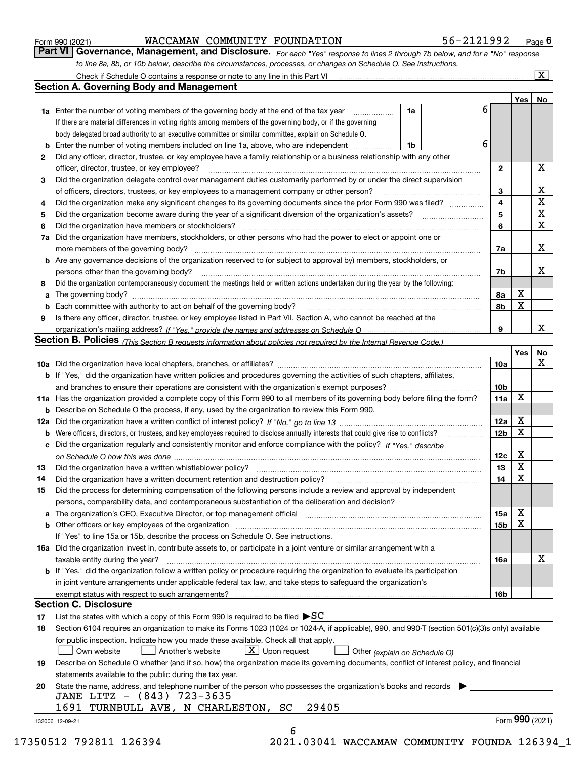|  | Form 990 (2021) |
|--|-----------------|
|  |                 |

#### WACCAMAW COMMUNITY FOUNDATION 56-2121992

*For each "Yes" response to lines 2 through 7b below, and for a "No" response to line 8a, 8b, or 10b below, describe the circumstances, processes, or changes on Schedule O. See instructions.* Form 990 (2021) **MACCAMAW COMMUNITY FOUNDATION** 56-2121992 <sub>Page</sub> 6<br>**Part VI** | Governance, Management, and Disclosure. *For each "Yes" response to lines 2 through 7b below, and for a "No" response* 

|    |                                                                                                                                                                            |    |   |                         | Yes             | No                      |
|----|----------------------------------------------------------------------------------------------------------------------------------------------------------------------------|----|---|-------------------------|-----------------|-------------------------|
|    | <b>1a</b> Enter the number of voting members of the governing body at the end of the tax year                                                                              | 1a | 6 |                         |                 |                         |
|    | If there are material differences in voting rights among members of the governing body, or if the governing                                                                |    |   |                         |                 |                         |
|    | body delegated broad authority to an executive committee or similar committee, explain on Schedule O.                                                                      |    | 6 |                         |                 |                         |
|    |                                                                                                                                                                            | 1b |   |                         |                 |                         |
| 2  | Did any officer, director, trustee, or key employee have a family relationship or a business relationship with any other                                                   |    |   |                         |                 |                         |
|    | officer, director, trustee, or key employee?                                                                                                                               |    |   | $\mathbf{2}$            |                 | X                       |
| 3  | Did the organization delegate control over management duties customarily performed by or under the direct supervision                                                      |    |   |                         |                 |                         |
|    |                                                                                                                                                                            |    |   | 3                       |                 | X                       |
| 4  | Did the organization make any significant changes to its governing documents since the prior Form 990 was filed?                                                           |    |   | $\overline{\mathbf{4}}$ |                 | $\overline{\textbf{X}}$ |
| 5  |                                                                                                                                                                            |    |   | 5                       |                 | $\mathbf X$             |
| 6  | Did the organization have members or stockholders?                                                                                                                         |    |   | 6                       |                 | $\mathbf x$             |
|    | 7a Did the organization have members, stockholders, or other persons who had the power to elect or appoint one or                                                          |    |   |                         |                 |                         |
|    |                                                                                                                                                                            |    |   | 7a                      |                 | x                       |
|    | <b>b</b> Are any governance decisions of the organization reserved to (or subject to approval by) members, stockholders, or                                                |    |   |                         |                 |                         |
|    | persons other than the governing body?                                                                                                                                     |    |   | 7b                      |                 | х                       |
| 8  | Did the organization contemporaneously document the meetings held or written actions undertaken during the year by the following:                                          |    |   |                         |                 |                         |
| a  |                                                                                                                                                                            |    |   | 8a                      | X               |                         |
|    |                                                                                                                                                                            |    |   | 8b                      | X               |                         |
| 9  | Is there any officer, director, trustee, or key employee listed in Part VII, Section A, who cannot be reached at the                                                       |    |   |                         |                 |                         |
|    |                                                                                                                                                                            |    |   | 9                       |                 | х                       |
|    | Section B. Policies (This Section B requests information about policies not required by the Internal Revenue Code.)                                                        |    |   |                         |                 |                         |
|    |                                                                                                                                                                            |    |   |                         | Yes             | No                      |
|    |                                                                                                                                                                            |    |   | 10a                     |                 | X                       |
|    | <b>b</b> If "Yes," did the organization have written policies and procedures governing the activities of such chapters, affiliates,                                        |    |   |                         |                 |                         |
|    |                                                                                                                                                                            |    |   | 10 <sub>b</sub>         |                 |                         |
|    | 11a Has the organization provided a complete copy of this Form 990 to all members of its governing body before filing the form?                                            |    |   | 11a                     | X               |                         |
|    | <b>b</b> Describe on Schedule O the process, if any, used by the organization to review this Form 990.                                                                     |    |   |                         |                 |                         |
|    |                                                                                                                                                                            |    |   | 12a                     | X               |                         |
| b  |                                                                                                                                                                            |    |   | 12b                     | X               |                         |
|    | c Did the organization regularly and consistently monitor and enforce compliance with the policy? If "Yes," describe                                                       |    |   |                         |                 |                         |
|    |                                                                                                                                                                            |    |   | 12c                     | х               |                         |
| 13 |                                                                                                                                                                            |    |   | 13                      | X               |                         |
| 14 | Did the organization have a written document retention and destruction policy? manufactured and the organization have a written document retention and destruction policy? |    |   | 14                      | X               |                         |
| 15 | Did the process for determining compensation of the following persons include a review and approval by independent                                                         |    |   |                         |                 |                         |
|    | persons, comparability data, and contemporaneous substantiation of the deliberation and decision?                                                                          |    |   |                         |                 |                         |
|    |                                                                                                                                                                            |    |   |                         | X               |                         |
|    |                                                                                                                                                                            |    |   | 15a                     | X               |                         |
|    |                                                                                                                                                                            |    |   | 15b                     |                 |                         |
|    | If "Yes" to line 15a or 15b, describe the process on Schedule O. See instructions.                                                                                         |    |   |                         |                 |                         |
|    | 16a Did the organization invest in, contribute assets to, or participate in a joint venture or similar arrangement with a                                                  |    |   |                         |                 |                         |
|    | taxable entity during the year?                                                                                                                                            |    |   | 16a                     |                 | X                       |
|    | <b>b</b> If "Yes," did the organization follow a written policy or procedure requiring the organization to evaluate its participation                                      |    |   |                         |                 |                         |
|    | in joint venture arrangements under applicable federal tax law, and take steps to safeguard the organization's                                                             |    |   |                         |                 |                         |
|    | exempt status with respect to such arrangements?                                                                                                                           |    |   | 16b                     |                 |                         |
|    | <b>Section C. Disclosure</b>                                                                                                                                               |    |   |                         |                 |                         |
| 17 | List the states with which a copy of this Form 990 is required to be filed $\blacktriangleright$ SC                                                                        |    |   |                         |                 |                         |
| 18 | Section 6104 requires an organization to make its Forms 1023 (1024 or 1024-A, if applicable), 990, and 990-T (section 501(c)(3)s only) available                           |    |   |                         |                 |                         |
|    | for public inspection. Indicate how you made these available. Check all that apply.                                                                                        |    |   |                         |                 |                         |
|    | $X$ Upon request<br>Own website<br>Another's website<br>Other (explain on Schedule O)                                                                                      |    |   |                         |                 |                         |
| 19 | Describe on Schedule O whether (and if so, how) the organization made its governing documents, conflict of interest policy, and financial                                  |    |   |                         |                 |                         |
|    | statements available to the public during the tax year.                                                                                                                    |    |   |                         |                 |                         |
| 20 | State the name, address, and telephone number of the person who possesses the organization's books and records                                                             |    |   |                         |                 |                         |
|    | JANE LITZ - (843) 723-3635                                                                                                                                                 |    |   |                         |                 |                         |
|    | 29405<br>1691 TURNBULL AVE, N CHARLESTON,<br>SC                                                                                                                            |    |   |                         |                 |                         |
|    |                                                                                                                                                                            |    |   |                         | Form 990 (2021) |                         |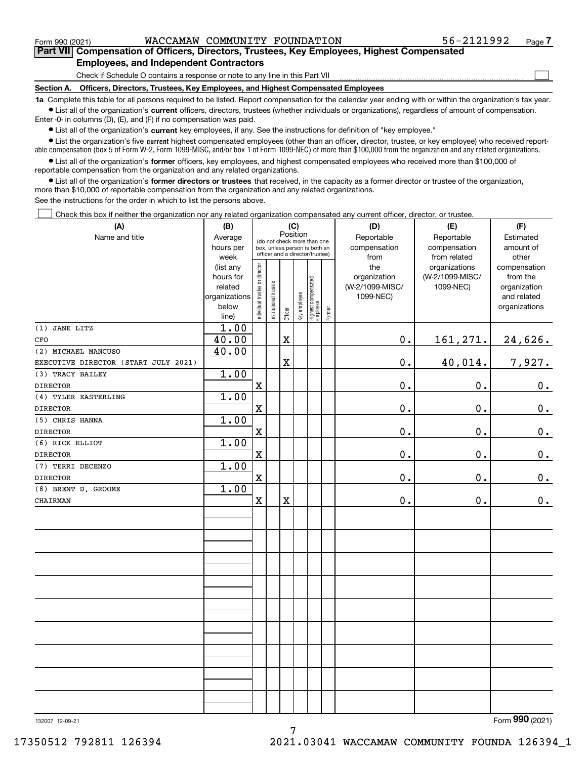$\mathcal{L}^{\text{max}}$ 

## **7Part VII Compensation of Officers, Directors, Trustees, Key Employees, Highest Compensated Employees, and Independent Contractors**

Check if Schedule O contains a response or note to any line in this Part VII

**Section A. Officers, Directors, Trustees, Key Employees, and Highest Compensated Employees**

**1a**  Complete this table for all persons required to be listed. Report compensation for the calendar year ending with or within the organization's tax year. **•** List all of the organization's current officers, directors, trustees (whether individuals or organizations), regardless of amount of compensation.

Enter -0- in columns (D), (E), and (F) if no compensation was paid.

 $\bullet$  List all of the organization's  $\sf current$  key employees, if any. See the instructions for definition of "key employee."

**•** List the organization's five current highest compensated employees (other than an officer, director, trustee, or key employee) who received reportable compensation (box 5 of Form W-2, Form 1099-MISC, and/or box 1 of Form 1099-NEC) of more than \$100,000 from the organization and any related organizations.

**•** List all of the organization's former officers, key employees, and highest compensated employees who received more than \$100,000 of reportable compensation from the organization and any related organizations.

**former directors or trustees**  ¥ List all of the organization's that received, in the capacity as a former director or trustee of the organization, more than \$10,000 of reportable compensation from the organization and any related organizations.

See the instructions for the order in which to list the persons above.

Check this box if neither the organization nor any related organization compensated any current officer, director, or trustee.  $\mathcal{L}^{\text{max}}$ 

| (A)                                  | (B)                  | (C)                            |                                                                                                 |             |              |                                  |           | (D)                             | (E)                              | (F)                         |
|--------------------------------------|----------------------|--------------------------------|-------------------------------------------------------------------------------------------------|-------------|--------------|----------------------------------|-----------|---------------------------------|----------------------------------|-----------------------------|
| Name and title                       | Average              |                                |                                                                                                 | Position    |              |                                  |           | Reportable                      | Reportable                       | Estimated                   |
|                                      | hours per            |                                | (do not check more than one<br>box, unless person is both an<br>officer and a director/trustee) |             | compensation | compensation                     | amount of |                                 |                                  |                             |
|                                      | week                 |                                |                                                                                                 |             |              |                                  |           | from                            | from related                     | other                       |
|                                      | (list any            |                                |                                                                                                 |             |              |                                  |           | the                             | organizations<br>(W-2/1099-MISC/ | compensation                |
|                                      | hours for<br>related |                                |                                                                                                 |             |              |                                  |           | organization<br>(W-2/1099-MISC/ |                                  | from the                    |
|                                      | organizations        |                                |                                                                                                 |             |              |                                  |           | 1099-NEC)                       | 1099-NEC)                        | organization<br>and related |
|                                      | below                |                                |                                                                                                 |             |              |                                  |           |                                 |                                  | organizations               |
|                                      | line)                | Individual trustee or director | Institutional trustee                                                                           | Officer     | Key employee | Highest compensated<br> employee | Former    |                                 |                                  |                             |
| (1) JANE LITZ                        | 1.00                 |                                |                                                                                                 |             |              |                                  |           |                                 |                                  |                             |
| CFO                                  | 40.00                |                                |                                                                                                 | $\mathbf X$ |              |                                  |           | $\mathbf 0$ .                   | 161,271.                         | 24,626.                     |
| (2) MICHAEL MANCUSO                  | 40.00                |                                |                                                                                                 |             |              |                                  |           |                                 |                                  |                             |
| EXECUTIVE DIRECTOR (START JULY 2021) |                      |                                |                                                                                                 | X           |              |                                  |           | $0$ .                           | 40,014.                          | 7,927.                      |
| (3) TRACY BAILEY                     | 1.00                 |                                |                                                                                                 |             |              |                                  |           |                                 |                                  |                             |
| <b>DIRECTOR</b>                      |                      | $\mathbf X$                    |                                                                                                 |             |              |                                  |           | 0.                              | 0.                               | $0_{.}$                     |
| (4) TYLER EASTERLING                 | 1.00                 |                                |                                                                                                 |             |              |                                  |           |                                 |                                  |                             |
| <b>DIRECTOR</b>                      |                      | $\mathbf X$                    |                                                                                                 |             |              |                                  |           | 0.                              | 0.                               | $0_{.}$                     |
| (5) CHRIS HANNA                      | 1.00                 |                                |                                                                                                 |             |              |                                  |           |                                 |                                  |                             |
| <b>DIRECTOR</b>                      |                      | $\mathbf x$                    |                                                                                                 |             |              |                                  |           | 0.                              | 0.                               | $\mathbf 0$ .               |
| (6) RICK ELLIOT                      | 1.00                 |                                |                                                                                                 |             |              |                                  |           |                                 |                                  |                             |
| <b>DIRECTOR</b>                      |                      | $\mathbf X$                    |                                                                                                 |             |              |                                  |           | 0.                              | 0.                               | $0_{.}$                     |
| (7) TERRI DECENZO                    | 1.00                 |                                |                                                                                                 |             |              |                                  |           |                                 |                                  |                             |
| <b>DIRECTOR</b>                      |                      | $\mathbf x$                    |                                                                                                 |             |              |                                  |           | 0.                              | 0.                               | $0_{.}$                     |
| (8) BRENT D. GROOME                  | 1.00                 |                                |                                                                                                 |             |              |                                  |           |                                 |                                  |                             |
| CHAIRMAN                             |                      | $\mathbf x$                    |                                                                                                 | $\mathbf X$ |              |                                  |           | $0$ .                           | 0.                               | $\mathbf 0$ .               |
|                                      |                      |                                |                                                                                                 |             |              |                                  |           |                                 |                                  |                             |
|                                      |                      |                                |                                                                                                 |             |              |                                  |           |                                 |                                  |                             |
|                                      |                      |                                |                                                                                                 |             |              |                                  |           |                                 |                                  |                             |
|                                      |                      |                                |                                                                                                 |             |              |                                  |           |                                 |                                  |                             |
|                                      |                      |                                |                                                                                                 |             |              |                                  |           |                                 |                                  |                             |
|                                      |                      |                                |                                                                                                 |             |              |                                  |           |                                 |                                  |                             |
|                                      |                      |                                |                                                                                                 |             |              |                                  |           |                                 |                                  |                             |
|                                      |                      |                                |                                                                                                 |             |              |                                  |           |                                 |                                  |                             |
|                                      |                      |                                |                                                                                                 |             |              |                                  |           |                                 |                                  |                             |
|                                      |                      |                                |                                                                                                 |             |              |                                  |           |                                 |                                  |                             |
|                                      |                      |                                |                                                                                                 |             |              |                                  |           |                                 |                                  |                             |
|                                      |                      |                                |                                                                                                 |             |              |                                  |           |                                 |                                  |                             |
|                                      |                      |                                |                                                                                                 |             |              |                                  |           |                                 |                                  |                             |
|                                      |                      |                                |                                                                                                 |             |              |                                  |           |                                 |                                  |                             |
|                                      |                      |                                |                                                                                                 |             |              |                                  |           |                                 |                                  |                             |
|                                      |                      |                                |                                                                                                 |             |              |                                  |           |                                 |                                  |                             |
|                                      |                      |                                |                                                                                                 |             |              |                                  |           |                                 |                                  |                             |
|                                      |                      |                                |                                                                                                 |             |              |                                  |           |                                 |                                  |                             |

7

132007 12-09-21

Form (2021) **990**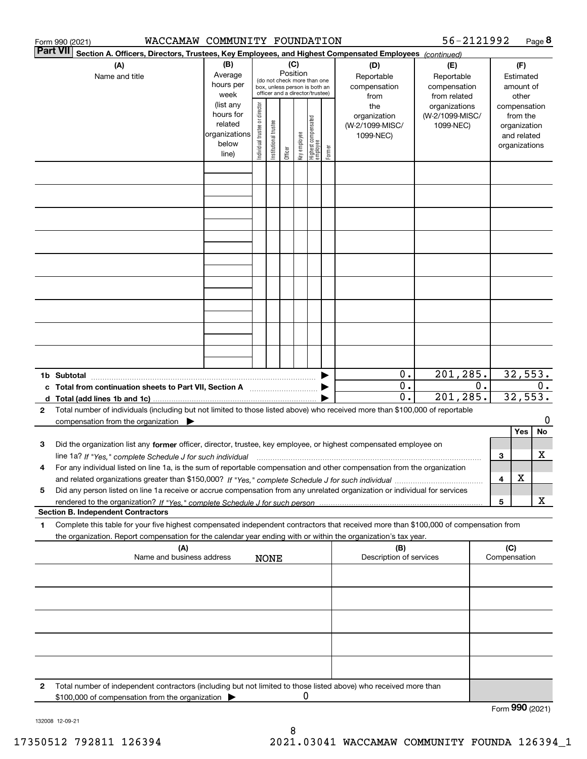| 56-2121992<br>WACCAMAW COMMUNITY FOUNDATION<br>Form 990 (2021) |                                                                                                                                                                                          |                                                         |                                |                       |                 |              |                                                                                                 |        |                                                  |                                                                    |    | Page 8                                 |                                                          |    |
|----------------------------------------------------------------|------------------------------------------------------------------------------------------------------------------------------------------------------------------------------------------|---------------------------------------------------------|--------------------------------|-----------------------|-----------------|--------------|-------------------------------------------------------------------------------------------------|--------|--------------------------------------------------|--------------------------------------------------------------------|----|----------------------------------------|----------------------------------------------------------|----|
|                                                                | <b>Part VII</b><br>Section A. Officers, Directors, Trustees, Key Employees, and Highest Compensated Employees (continued)                                                                |                                                         |                                |                       |                 |              |                                                                                                 |        |                                                  |                                                                    |    |                                        |                                                          |    |
|                                                                | (A)<br>Name and title                                                                                                                                                                    | (B)<br>Average<br>hours per<br>week<br>(list any        |                                |                       | (C)<br>Position |              | (do not check more than one<br>box, unless person is both an<br>officer and a director/trustee) |        | (D)<br>Reportable<br>compensation<br>from<br>the | (E)<br>Reportable<br>compensation<br>from related<br>organizations |    |                                        | (F)<br>Estimated<br>amount of<br>other<br>compensation   |    |
|                                                                |                                                                                                                                                                                          | hours for<br>related<br>organizations<br>below<br>line) | Individual trustee or director | Institutional trustee | Officer         | Key employee | Highest compensated<br> employee                                                                | Former | organization<br>(W-2/1099-MISC/<br>1099-NEC)     | (W-2/1099-MISC/<br>1099-NEC)                                       |    |                                        | from the<br>organization<br>and related<br>organizations |    |
|                                                                |                                                                                                                                                                                          |                                                         |                                |                       |                 |              |                                                                                                 |        |                                                  |                                                                    |    |                                        |                                                          |    |
|                                                                |                                                                                                                                                                                          |                                                         |                                |                       |                 |              |                                                                                                 |        |                                                  |                                                                    |    |                                        |                                                          |    |
|                                                                |                                                                                                                                                                                          |                                                         |                                |                       |                 |              |                                                                                                 |        |                                                  |                                                                    |    |                                        |                                                          |    |
|                                                                |                                                                                                                                                                                          |                                                         |                                |                       |                 |              |                                                                                                 |        |                                                  |                                                                    |    |                                        |                                                          |    |
|                                                                |                                                                                                                                                                                          |                                                         |                                |                       |                 |              |                                                                                                 |        |                                                  |                                                                    |    |                                        |                                                          |    |
|                                                                |                                                                                                                                                                                          |                                                         |                                |                       |                 |              |                                                                                                 |        |                                                  |                                                                    |    |                                        |                                                          |    |
|                                                                |                                                                                                                                                                                          |                                                         |                                |                       |                 |              |                                                                                                 |        | $0$ .                                            | 201,285.                                                           |    |                                        |                                                          |    |
|                                                                | 1b Subtotal<br>c Total from continuation sheets to Part VII, Section A [111] [120] [20]                                                                                                  |                                                         |                                |                       |                 |              |                                                                                                 |        | $\mathbf 0$ .<br>0.                              | 201,285.                                                           | 0. | $3\overline{2,553}$ .<br>0.<br>32,553. |                                                          |    |
| 2                                                              | Total number of individuals (including but not limited to those listed above) who received more than \$100,000 of reportable<br>compensation from the organization $\blacktriangleright$ |                                                         |                                |                       |                 |              |                                                                                                 |        |                                                  |                                                                    |    |                                        |                                                          | 0  |
| 3                                                              | Did the organization list any former officer, director, trustee, key employee, or highest compensated employee on                                                                        |                                                         |                                |                       |                 |              |                                                                                                 |        |                                                  |                                                                    |    |                                        | Yes                                                      | No |
| 4                                                              | For any individual listed on line 1a, is the sum of reportable compensation and other compensation from the organization                                                                 |                                                         |                                |                       |                 |              |                                                                                                 |        |                                                  |                                                                    |    | 3<br>4                                 | X                                                        | х  |
| 5                                                              | Did any person listed on line 1a receive or accrue compensation from any unrelated organization or individual for services<br><b>Section B. Independent Contractors</b>                  |                                                         |                                |                       |                 |              |                                                                                                 |        |                                                  |                                                                    |    | 5                                      |                                                          | x  |
| 1                                                              | Complete this table for your five highest compensated independent contractors that received more than \$100,000 of compensation from                                                     |                                                         |                                |                       |                 |              |                                                                                                 |        |                                                  |                                                                    |    |                                        |                                                          |    |
|                                                                | the organization. Report compensation for the calendar year ending with or within the organization's tax year.<br>(A)                                                                    |                                                         |                                |                       |                 |              |                                                                                                 |        | (B)                                              |                                                                    |    | (C)                                    |                                                          |    |
|                                                                | Name and business address                                                                                                                                                                |                                                         |                                | <b>NONE</b>           |                 |              |                                                                                                 |        | Description of services                          |                                                                    |    | Compensation                           |                                                          |    |
|                                                                |                                                                                                                                                                                          |                                                         |                                |                       |                 |              |                                                                                                 |        |                                                  |                                                                    |    |                                        |                                                          |    |
|                                                                |                                                                                                                                                                                          |                                                         |                                |                       |                 |              |                                                                                                 |        |                                                  |                                                                    |    |                                        |                                                          |    |
|                                                                |                                                                                                                                                                                          |                                                         |                                |                       |                 |              |                                                                                                 |        |                                                  |                                                                    |    |                                        |                                                          |    |
| 2                                                              | Total number of independent contractors (including but not limited to those listed above) who received more than<br>\$100,000 of compensation from the organization                      |                                                         |                                |                       |                 | 0            |                                                                                                 |        |                                                  |                                                                    |    |                                        |                                                          |    |
|                                                                |                                                                                                                                                                                          |                                                         |                                |                       |                 |              |                                                                                                 |        |                                                  |                                                                    |    | Form $990$ (2021)                      |                                                          |    |

132008 12-09-21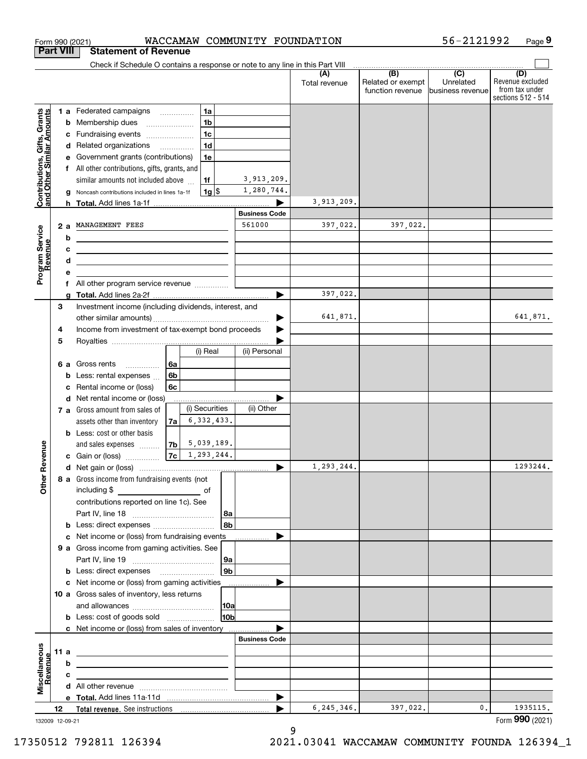|                                                           | <b>Part VIII</b>                          |   | <b>Statement of Revenue</b>                                                                                            |                |                        |              |                      |                      |                                              |                                                 |                                                                 |
|-----------------------------------------------------------|-------------------------------------------|---|------------------------------------------------------------------------------------------------------------------------|----------------|------------------------|--------------|----------------------|----------------------|----------------------------------------------|-------------------------------------------------|-----------------------------------------------------------------|
|                                                           |                                           |   | Check if Schedule O contains a response or note to any line in this Part VIII                                          |                |                        |              |                      |                      |                                              |                                                 |                                                                 |
|                                                           |                                           |   |                                                                                                                        |                |                        |              |                      | (A)<br>Total revenue | (B)<br>Related or exempt<br>function revenue | $\overline{C}$<br>Unrelated<br>business revenue | (D)<br>Revenue excluded<br>from tax under<br>sections 512 - 514 |
|                                                           |                                           |   | 1 a Federated campaigns                                                                                                |                | 1a                     |              |                      |                      |                                              |                                                 |                                                                 |
| Contributions, Gifts, Grants<br>and Other Similar Amounts |                                           |   | <b>b</b> Membership dues<br>$\ldots \ldots \ldots \ldots \ldots$                                                       |                | 1 <sub>b</sub>         |              |                      |                      |                                              |                                                 |                                                                 |
|                                                           |                                           | c | Fundraising events                                                                                                     |                | 1 <sub>c</sub>         |              |                      |                      |                                              |                                                 |                                                                 |
|                                                           |                                           |   | d Related organizations                                                                                                |                | 1 <sub>d</sub>         |              |                      |                      |                                              |                                                 |                                                                 |
|                                                           |                                           | е | Government grants (contributions)                                                                                      |                | 1e                     |              |                      |                      |                                              |                                                 |                                                                 |
|                                                           |                                           |   | f All other contributions, gifts, grants, and                                                                          |                |                        |              |                      |                      |                                              |                                                 |                                                                 |
|                                                           |                                           |   | similar amounts not included above                                                                                     |                | 1f                     |              | 3,913,209.           |                      |                                              |                                                 |                                                                 |
|                                                           |                                           |   | Noncash contributions included in lines 1a-1f                                                                          |                |                        | $1g$ \$      | 1,280,744.           |                      |                                              |                                                 |                                                                 |
|                                                           |                                           |   |                                                                                                                        |                |                        |              |                      | 3,913,209.           |                                              |                                                 |                                                                 |
|                                                           |                                           |   |                                                                                                                        |                |                        |              | <b>Business Code</b> |                      |                                              |                                                 |                                                                 |
|                                                           | 2a                                        |   | MANAGEMENT FEES                                                                                                        |                |                        |              | 561000               | 397,022.             | 397,022.                                     |                                                 |                                                                 |
|                                                           |                                           | b |                                                                                                                        |                |                        |              |                      |                      |                                              |                                                 |                                                                 |
|                                                           |                                           | c | <u> 1989 - Johann Stein, mars an deus Amerikaansk kommunister (</u>                                                    |                |                        |              |                      |                      |                                              |                                                 |                                                                 |
|                                                           |                                           | d | <u> 1989 - Johann Barn, amerikansk politiker (d. 1989)</u>                                                             |                |                        |              |                      |                      |                                              |                                                 |                                                                 |
| Program Service<br>Revenue                                |                                           | е |                                                                                                                        |                |                        |              |                      |                      |                                              |                                                 |                                                                 |
|                                                           | All other program service revenue  [<br>f |   |                                                                                                                        |                |                        |              | ▶                    | 397,022.             |                                              |                                                 |                                                                 |
|                                                           | 3                                         | a | Investment income (including dividends, interest, and                                                                  |                |                        |              |                      |                      |                                              |                                                 |                                                                 |
|                                                           |                                           |   |                                                                                                                        |                |                        |              |                      | 641,871.             |                                              |                                                 | 641,871.                                                        |
|                                                           | 4                                         |   | Income from investment of tax-exempt bond proceeds                                                                     |                |                        |              |                      |                      |                                              |                                                 |                                                                 |
|                                                           | 5                                         |   |                                                                                                                        |                |                        |              |                      |                      |                                              |                                                 |                                                                 |
|                                                           |                                           |   |                                                                                                                        |                | (i) Real               |              | (ii) Personal        |                      |                                              |                                                 |                                                                 |
|                                                           | 6а                                        |   | Gross rents<br>.                                                                                                       | 6a             |                        |              |                      |                      |                                              |                                                 |                                                                 |
|                                                           |                                           | b | Less: rental expenses                                                                                                  | 6 <sub>b</sub> |                        |              |                      |                      |                                              |                                                 |                                                                 |
|                                                           |                                           | с | Rental income or (loss)                                                                                                | 6c             |                        |              |                      |                      |                                              |                                                 |                                                                 |
|                                                           |                                           |   | d Net rental income or (loss)                                                                                          |                |                        |              |                      |                      |                                              |                                                 |                                                                 |
|                                                           |                                           |   | 7 a Gross amount from sales of                                                                                         |                | (i) Securities         |              | (ii) Other           |                      |                                              |                                                 |                                                                 |
|                                                           |                                           |   | assets other than inventory                                                                                            | 7a             |                        | 6, 332, 433. |                      |                      |                                              |                                                 |                                                                 |
|                                                           |                                           |   | <b>b</b> Less: cost or other basis                                                                                     |                |                        |              |                      |                      |                                              |                                                 |                                                                 |
|                                                           |                                           |   | and sales expenses                                                                                                     |                | $ 7b $ 5,039,189.      |              |                      |                      |                                              |                                                 |                                                                 |
| Revenue                                                   |                                           |   | <b>c</b> Gain or (loss) $\ldots$                                                                                       |                | $7c \mid 1, 293, 244.$ |              |                      |                      |                                              |                                                 |                                                                 |
|                                                           |                                           |   |                                                                                                                        |                |                        |              | ▶                    | 1,293,244.           |                                              |                                                 | 1293244.                                                        |
| Othe                                                      |                                           |   | 8 a Gross income from fundraising events (not<br>including \$                                                          |                |                        |              |                      |                      |                                              |                                                 |                                                                 |
|                                                           |                                           |   | contributions reported on line 1c). See                                                                                |                |                        |              |                      |                      |                                              |                                                 |                                                                 |
|                                                           |                                           |   |                                                                                                                        |                |                        | 8a           |                      |                      |                                              |                                                 |                                                                 |
|                                                           |                                           |   |                                                                                                                        |                |                        | 8b           |                      |                      |                                              |                                                 |                                                                 |
|                                                           |                                           |   | c Net income or (loss) from fundraising events                                                                         |                |                        |              |                      |                      |                                              |                                                 |                                                                 |
|                                                           |                                           |   | 9 a Gross income from gaming activities. See                                                                           |                |                        |              |                      |                      |                                              |                                                 |                                                                 |
|                                                           |                                           |   |                                                                                                                        |                |                        | 9a           |                      |                      |                                              |                                                 |                                                                 |
|                                                           |                                           |   | <b>b</b> Less: direct expenses <b>manually</b>                                                                         |                |                        | 9b           |                      |                      |                                              |                                                 |                                                                 |
|                                                           |                                           |   | c Net income or (loss) from gaming activities                                                                          |                |                        |              | .                    |                      |                                              |                                                 |                                                                 |
|                                                           |                                           |   | 10 a Gross sales of inventory, less returns                                                                            |                |                        |              |                      |                      |                                              |                                                 |                                                                 |
|                                                           |                                           |   |                                                                                                                        |                |                        | 10a          |                      |                      |                                              |                                                 |                                                                 |
|                                                           |                                           |   | <b>b</b> Less: cost of goods sold                                                                                      |                |                        | 10b          |                      |                      |                                              |                                                 |                                                                 |
|                                                           |                                           |   | c Net income or (loss) from sales of inventory                                                                         |                |                        |              |                      |                      |                                              |                                                 |                                                                 |
|                                                           |                                           |   |                                                                                                                        |                |                        |              | <b>Business Code</b> |                      |                                              |                                                 |                                                                 |
|                                                           | 11 a                                      |   | <u> 1989 - Johann Barn, mars ann an t-Amhain ann an t-Amhain an t-Amhain an t-Amhain an t-Amhain an t-Amhain an t-</u> |                |                        |              |                      |                      |                                              |                                                 |                                                                 |
|                                                           |                                           | b |                                                                                                                        |                |                        |              |                      |                      |                                              |                                                 |                                                                 |
| Miscellaneous<br>Revenue                                  |                                           | с |                                                                                                                        |                |                        |              |                      |                      |                                              |                                                 |                                                                 |
|                                                           |                                           |   |                                                                                                                        |                |                        |              |                      |                      |                                              |                                                 |                                                                 |
|                                                           | 12                                        |   |                                                                                                                        |                |                        |              | ▶                    | 6,245,346.           | 397,022.                                     | 0.                                              | 1935115.                                                        |
|                                                           | 132009 12-09-21                           |   |                                                                                                                        |                |                        |              |                      |                      |                                              |                                                 | Form 990 (2021)                                                 |
|                                                           |                                           |   |                                                                                                                        |                |                        |              |                      |                      |                                              |                                                 |                                                                 |

Form 990 (2021) **WACCAMAW COMMUNITY FOUNDATION** 56-2121992 Page

**9**

56-2121992

132009 12-09-21

9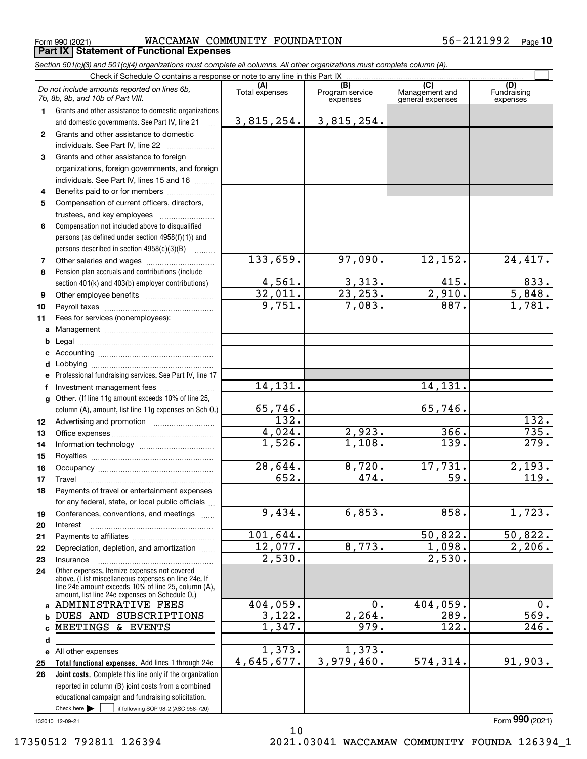$_{\rm Form}$   $_{990}$  (2021) <code>WACCAMAW COMMUNITY FOUNDATION</code>  $56-2121992$   $_{\rm Page}$ **Part IX Statement of Functional Expenses**

*Section 501(c)(3) and 501(c)(4) organizations must complete all columns. All other organizations must complete column (A).*

 $\overline{\Box}$ 

|          | Do not include amounts reported on lines 6b,<br>7b, 8b, 9b, and 10b of Part VIII.                          | (A)<br>Total expenses | (B)<br>Program service<br>expenses | $\overline{(C)}$<br>Management and<br>general expenses | (D)<br>Fundraising<br>expenses |
|----------|------------------------------------------------------------------------------------------------------------|-----------------------|------------------------------------|--------------------------------------------------------|--------------------------------|
| 1.       | Grants and other assistance to domestic organizations                                                      |                       |                                    |                                                        |                                |
|          | and domestic governments. See Part IV, line 21<br>$\ddotsc$                                                | 3,815,254.            | 3,815,254.                         |                                                        |                                |
| 2        | Grants and other assistance to domestic                                                                    |                       |                                    |                                                        |                                |
|          | individuals. See Part IV, line 22                                                                          |                       |                                    |                                                        |                                |
| 3        | Grants and other assistance to foreign                                                                     |                       |                                    |                                                        |                                |
|          | organizations, foreign governments, and foreign                                                            |                       |                                    |                                                        |                                |
|          | individuals. See Part IV, lines 15 and 16                                                                  |                       |                                    |                                                        |                                |
| 4        | Benefits paid to or for members                                                                            |                       |                                    |                                                        |                                |
| 5        | Compensation of current officers, directors,                                                               |                       |                                    |                                                        |                                |
|          |                                                                                                            |                       |                                    |                                                        |                                |
| 6        | Compensation not included above to disqualified                                                            |                       |                                    |                                                        |                                |
|          | persons (as defined under section 4958(f)(1)) and                                                          |                       |                                    |                                                        |                                |
|          | persons described in section 4958(c)(3)(B)                                                                 |                       |                                    |                                                        |                                |
| 7        |                                                                                                            | 133,659.              | 97,090.                            | 12, 152.                                               | 24,417.                        |
| 8        | Pension plan accruals and contributions (include                                                           |                       |                                    |                                                        |                                |
|          | section 401(k) and 403(b) employer contributions)                                                          | 4,561.                | $\frac{3,313}{23,253}$             | 415.                                                   | $\frac{833}{5,848}$            |
| 9        |                                                                                                            | $\overline{32,011}$ . |                                    | $\overline{2,910.}$                                    |                                |
| 10       |                                                                                                            | 9,751.                | 7,083.                             | 887.                                                   | 1,781.                         |
| 11       | Fees for services (nonemployees):                                                                          |                       |                                    |                                                        |                                |
|          |                                                                                                            |                       |                                    |                                                        |                                |
| b        |                                                                                                            |                       |                                    |                                                        |                                |
|          |                                                                                                            |                       |                                    |                                                        |                                |
|          |                                                                                                            |                       |                                    |                                                        |                                |
| е        | Professional fundraising services. See Part IV, line 17                                                    | 14,131.               |                                    | 14,131.                                                |                                |
| f        | Investment management fees                                                                                 |                       |                                    |                                                        |                                |
|          | g Other. (If line 11g amount exceeds 10% of line 25,                                                       | 65,746.               |                                    | 65,746.                                                |                                |
|          | column (A), amount, list line 11g expenses on Sch O.)                                                      | $\overline{132}$ .    |                                    |                                                        | 132.                           |
| 12<br>13 |                                                                                                            | 4,024.                | 2,923.                             | 366.                                                   | 735.                           |
| 14       |                                                                                                            | 1,526.                | 1,108.                             | 139.                                                   | 279.                           |
| 15       |                                                                                                            |                       |                                    |                                                        |                                |
| 16       |                                                                                                            | 28,644.               | 8,720.                             | 17,731.                                                | 2,193.                         |
| 17       | Travel                                                                                                     | 652.                  | 474.                               | 59.                                                    | $\overline{119}$ .             |
| 18       | Payments of travel or entertainment expenses                                                               |                       |                                    |                                                        |                                |
|          | for any federal, state, or local public officials                                                          |                       |                                    |                                                        |                                |
| 19       | Conferences, conventions, and meetings                                                                     | 9,434.                | 6,853.                             | 858.                                                   | 1,723.                         |
| 20       | Interest                                                                                                   |                       |                                    |                                                        |                                |
| 21       |                                                                                                            | 101, 644.             |                                    | 50,822.                                                | 50,822.                        |
| 22       | Depreciation, depletion, and amortization                                                                  | 12,077.               | 8,773.                             | 1,098.                                                 | 2,206.                         |
| 23       | Insurance                                                                                                  | 2,530.                |                                    | $\overline{2,530}$ .                                   |                                |
| 24       | Other expenses. Itemize expenses not covered                                                               |                       |                                    |                                                        |                                |
|          | above. (List miscellaneous expenses on line 24e. If<br>line 24e amount exceeds 10% of line 25, column (A), |                       |                                    |                                                        |                                |
|          | amount, list line 24e expenses on Schedule O.)                                                             |                       |                                    |                                                        |                                |
|          | a ADMINISTRATIVE FEES                                                                                      | 404,059.              | 0.                                 | 404,059.                                               | $0$ .                          |
| b        | DUES AND SUBSCRIPTIONS                                                                                     | 3,122.                | 2, 264.                            | 289.                                                   | $\overline{569}$ .             |
| c        | MEETINGS & EVENTS                                                                                          | 1,347.                | 979.                               | 122.                                                   | 246.                           |
| d        |                                                                                                            |                       |                                    |                                                        |                                |
|          | e All other expenses                                                                                       | 1,373.                | 1,373.                             |                                                        |                                |
| 25       | Total functional expenses. Add lines 1 through 24e                                                         | 4,645,677.            | 3,979,460.                         | 574, 314.                                              | 91,903.                        |
| 26       | <b>Joint costs.</b> Complete this line only if the organization                                            |                       |                                    |                                                        |                                |
|          | reported in column (B) joint costs from a combined                                                         |                       |                                    |                                                        |                                |
|          | educational campaign and fundraising solicitation.                                                         |                       |                                    |                                                        |                                |
|          | Check here $\blacktriangleright$<br>if following SOP 98-2 (ASC 958-720)                                    |                       |                                    |                                                        |                                |
|          | 132010 12-09-21                                                                                            |                       |                                    |                                                        | Form 990 (2021)                |

10

17350512 792811 126394 2021.03041 WACCAMAW COMMUNITY FOUNDA 126394\_1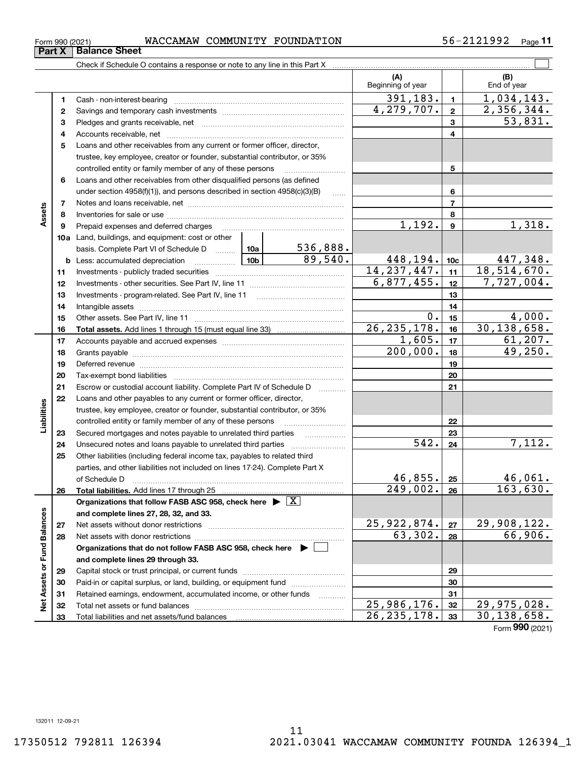$\overline{\phantom{a}}$ 

 $\overline{\phantom{0}}$ 

### $_{\rm Form}$   $_{990}$  (2021) <code>WACCAMAW COMMUNITY FOUNDATION</code>  $56-2121992$   $_{\rm Page}$ **Part X Balance Sheet**<br>**Part X Balance Sheet**

**11**

|                             |          |                                                                                                                                                    |             |            | (A)<br>Beginning of year |                 | (B)<br>End of year        |
|-----------------------------|----------|----------------------------------------------------------------------------------------------------------------------------------------------------|-------------|------------|--------------------------|-----------------|---------------------------|
|                             | 1        |                                                                                                                                                    |             |            | 391, 183.                | $\blacksquare$  | 1,034,143.                |
|                             | 2        |                                                                                                                                                    |             |            | 4,279,707.               | $\mathbf{2}$    | 2,356,344.                |
|                             | 3        |                                                                                                                                                    |             |            |                          | 3               | 53,831.                   |
|                             | 4        |                                                                                                                                                    |             | 4          |                          |                 |                           |
|                             | 5        | Loans and other receivables from any current or former officer, director,                                                                          |             |            |                          |                 |                           |
|                             |          | trustee, key employee, creator or founder, substantial contributor, or 35%                                                                         |             |            |                          |                 |                           |
|                             |          | controlled entity or family member of any of these persons                                                                                         |             |            |                          | 5               |                           |
|                             | 6        | Loans and other receivables from other disqualified persons (as defined                                                                            |             |            |                          |                 |                           |
|                             |          | under section $4958(f)(1)$ , and persons described in section $4958(c)(3)(B)$                                                                      |             | 6          |                          |                 |                           |
|                             | 7        |                                                                                                                                                    |             |            |                          | $\overline{7}$  |                           |
| Assets                      | 8        |                                                                                                                                                    |             |            |                          | 8               |                           |
|                             | 9        | Prepaid expenses and deferred charges                                                                                                              |             |            | 1,192.                   | 9               | 1,318.                    |
|                             |          | 10a Land, buildings, and equipment: cost or other                                                                                                  |             |            |                          |                 |                           |
|                             |          | basis. Complete Part VI of Schedule D  10a                                                                                                         |             | 536,888.   |                          |                 |                           |
|                             |          | <b>b</b> Less: accumulated depreciation                                                                                                            |             | 89,540.    | 448, 194.                | 10 <sub>c</sub> | 447,348.                  |
|                             | 11       |                                                                                                                                                    |             |            | 14, 237, 447.            | 11              | 18,514,670.               |
|                             | 12       |                                                                                                                                                    |             | 6,877,455. | 12                       | 7,727,004.      |                           |
|                             | 13       |                                                                                                                                                    |             |            | 13                       |                 |                           |
|                             | 14       |                                                                                                                                                    |             |            |                          | 14              |                           |
|                             | 15       |                                                                                                                                                    |             |            | 0.                       | 15              | 4,000.                    |
|                             | 16       |                                                                                                                                                    |             |            | 26, 235, 178.<br>1,605.  | 16              | 30, 138, 658.<br>61, 207. |
|                             | 17       |                                                                                                                                                    |             |            | $\overline{200,000}$ .   | 17              | 49,250.                   |
|                             | 18       |                                                                                                                                                    |             | 18         |                          |                 |                           |
|                             | 19       |                                                                                                                                                    |             | 19         |                          |                 |                           |
|                             | 20<br>21 |                                                                                                                                                    |             |            |                          | 20              |                           |
|                             |          | Escrow or custodial account liability. Complete Part IV of Schedule D                                                                              |             |            |                          | 21              |                           |
| Liabilities                 | 22       | Loans and other payables to any current or former officer, director,<br>trustee, key employee, creator or founder, substantial contributor, or 35% |             |            |                          |                 |                           |
|                             |          | controlled entity or family member of any of these persons                                                                                         |             |            |                          | 22              |                           |
|                             | 23       | Secured mortgages and notes payable to unrelated third parties                                                                                     |             |            |                          | 23              |                           |
|                             | 24       |                                                                                                                                                    |             |            | $\overline{542}$ .       | 24              | 7,112.                    |
|                             | 25       | Other liabilities (including federal income tax, payables to related third                                                                         |             |            |                          |                 |                           |
|                             |          | parties, and other liabilities not included on lines 17-24). Complete Part X                                                                       |             |            |                          |                 |                           |
|                             |          | of Schedule D                                                                                                                                      |             |            | 46,855.                  | 25              | 46,061.                   |
|                             | 26       |                                                                                                                                                    |             |            | $\overline{249,002.}$    | 26              | 163,630.                  |
|                             |          | Organizations that follow FASB ASC 958, check here $\triangleright \lfloor \underline{X} \rfloor$                                                  |             |            |                          |                 |                           |
|                             |          | and complete lines 27, 28, 32, and 33.                                                                                                             |             |            |                          |                 |                           |
|                             | 27       |                                                                                                                                                    |             |            | 25,922,874.              | 27              | 29,908,122.               |
|                             | 28       |                                                                                                                                                    |             |            | 63,302.                  | 28              | 66,906.                   |
|                             |          | Organizations that do not follow FASB ASC 958, check here $\;\blacktriangleright\; \Box$                                                           |             |            |                          |                 |                           |
|                             |          | and complete lines 29 through 33.                                                                                                                  |             |            |                          |                 |                           |
| Net Assets or Fund Balances | 29       |                                                                                                                                                    |             | 29         |                          |                 |                           |
|                             | 30       | Paid-in or capital surplus, or land, building, or equipment fund                                                                                   |             | 30         |                          |                 |                           |
|                             | 31       | Retained earnings, endowment, accumulated income, or other funds                                                                                   |             |            |                          | 31              |                           |
|                             | 32       |                                                                                                                                                    | 25,986,176. | 32         | 29,975,028.              |                 |                           |
|                             | 33       | Total liabilities and net assets/fund balances                                                                                                     |             |            | 26, 235, 178.            | 33              | 30, 138, 658.             |

Form (2021) **990**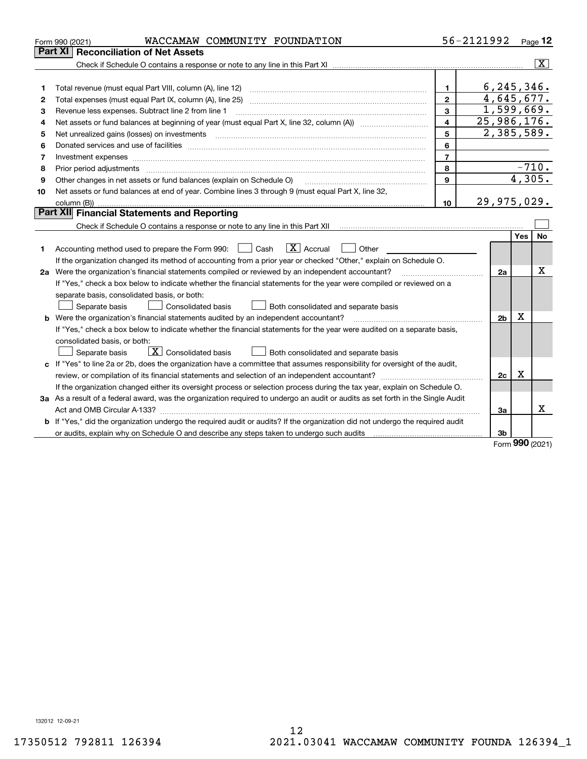|    | WACCAMAW COMMUNITY FOUNDATION<br>Form 990 (2021)                                                                                                                                                                               |                | 56-2121992     |        | Page 12                 |  |  |
|----|--------------------------------------------------------------------------------------------------------------------------------------------------------------------------------------------------------------------------------|----------------|----------------|--------|-------------------------|--|--|
|    | <b>Part XI Reconciliation of Net Assets</b>                                                                                                                                                                                    |                |                |        |                         |  |  |
|    |                                                                                                                                                                                                                                |                |                |        | $\overline{\mathtt{x}}$ |  |  |
|    |                                                                                                                                                                                                                                |                |                |        |                         |  |  |
| 1  |                                                                                                                                                                                                                                | $\mathbf{1}$   | 6, 245, 346.   |        |                         |  |  |
| 2  |                                                                                                                                                                                                                                | $\overline{2}$ | 4,645,677.     |        |                         |  |  |
| З  | Revenue less expenses. Subtract line 2 from line 1                                                                                                                                                                             | 3              | 1,599,669.     |        |                         |  |  |
| 4  |                                                                                                                                                                                                                                | 4              | 25,986,176.    |        |                         |  |  |
| 5  | Net unrealized gains (losses) on investments                                                                                                                                                                                   | 5              | 2,385,589.     |        |                         |  |  |
| 6  |                                                                                                                                                                                                                                | 6              |                |        |                         |  |  |
| 7  | Investment expenses                                                                                                                                                                                                            | $\overline{7}$ |                |        |                         |  |  |
| 8  | Prior period adjustments material contents and content of the content of the content of the content of the content of the content of the content of the content of the content of the content of the content of the content of | 8              |                |        | $-710.$                 |  |  |
| 9  | Other changes in net assets or fund balances (explain on Schedule O)                                                                                                                                                           | 9              |                | 4,305. |                         |  |  |
| 10 | Net assets or fund balances at end of year. Combine lines 3 through 9 (must equal Part X, line 32,                                                                                                                             |                |                |        |                         |  |  |
|    |                                                                                                                                                                                                                                | 10             | $29,975,029$ . |        |                         |  |  |
|    | Part XII Financial Statements and Reporting                                                                                                                                                                                    |                |                |        |                         |  |  |
|    |                                                                                                                                                                                                                                |                |                |        |                         |  |  |
|    |                                                                                                                                                                                                                                |                |                | Yes    | No                      |  |  |
| 1  | $\boxed{\mathbf{X}}$ Accrual<br>Accounting method used to prepare the Form 990: <u>[</u> Cash<br>Other                                                                                                                         |                |                |        |                         |  |  |
|    | If the organization changed its method of accounting from a prior year or checked "Other," explain on Schedule O.                                                                                                              |                |                |        | X                       |  |  |
|    | 2a Were the organization's financial statements compiled or reviewed by an independent accountant?                                                                                                                             |                |                |        |                         |  |  |
|    | If "Yes," check a box below to indicate whether the financial statements for the year were compiled or reviewed on a                                                                                                           |                |                |        |                         |  |  |
|    | separate basis, consolidated basis, or both:                                                                                                                                                                                   |                |                |        |                         |  |  |
|    | Both consolidated and separate basis<br>Separate basis<br>Consolidated basis                                                                                                                                                   |                |                |        |                         |  |  |
|    | <b>b</b> Were the organization's financial statements audited by an independent accountant?                                                                                                                                    |                | 2 <sub>b</sub> | X      |                         |  |  |
|    | If "Yes," check a box below to indicate whether the financial statements for the year were audited on a separate basis,                                                                                                        |                |                |        |                         |  |  |
|    | consolidated basis, or both:                                                                                                                                                                                                   |                |                |        |                         |  |  |
|    | $\boxed{\mathbf{X}}$ Consolidated basis<br>Both consolidated and separate basis<br>Separate basis                                                                                                                              |                |                |        |                         |  |  |
|    | c If "Yes" to line 2a or 2b, does the organization have a committee that assumes responsibility for oversight of the audit,                                                                                                    |                |                |        |                         |  |  |
|    | review, or compilation of its financial statements and selection of an independent accountant?                                                                                                                                 |                | 2c             | х      |                         |  |  |
|    | If the organization changed either its oversight process or selection process during the tax year, explain on Schedule O.                                                                                                      |                |                |        |                         |  |  |
|    | 3a As a result of a federal award, was the organization required to undergo an audit or audits as set forth in the Single Audit                                                                                                |                |                |        |                         |  |  |
|    |                                                                                                                                                                                                                                |                | За             |        | Χ                       |  |  |
|    | <b>b</b> If "Yes," did the organization undergo the required audit or audits? If the organization did not undergo the required audit                                                                                           |                |                |        |                         |  |  |
|    | or audits, explain why on Schedule O and describe any steps taken to undergo such audits [11] content to under                                                                                                                 |                | 3b             |        |                         |  |  |

Form (2021) **990**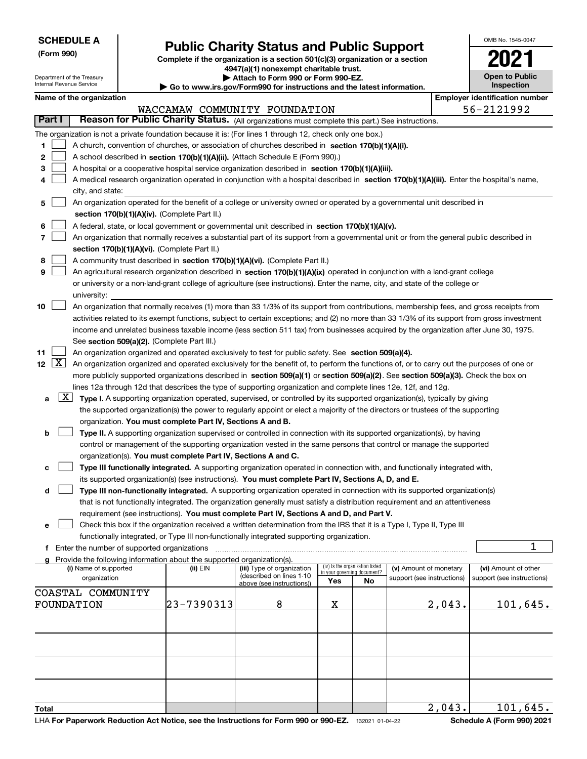Department of the Treasury Internal Revenue Service

**(Form 990)**

## **Public Charity Status and Public Support**

**Complete if the organization is a section 501(c)(3) organization or a section 4947(a)(1) nonexempt charitable trust.**

**| Attach to Form 990 or Form 990-EZ.** 

**| Go to www.irs.gov/Form990 for instructions and the latest information.**

| OMB No. 1545-0047                   |
|-------------------------------------|
| 112                                 |
| <b>Open to Public</b><br>Inspection |

|  | Name of the organization |
|--|--------------------------|
|--|--------------------------|

|                          | Name of the organization                                                                                                                                                                                                                      |            |                                                        |                                                                |    |                            |        | <b>Employer identification number</b> |  |  |  |
|--------------------------|-----------------------------------------------------------------------------------------------------------------------------------------------------------------------------------------------------------------------------------------------|------------|--------------------------------------------------------|----------------------------------------------------------------|----|----------------------------|--------|---------------------------------------|--|--|--|
|                          |                                                                                                                                                                                                                                               |            | WACCAMAW COMMUNITY FOUNDATION                          |                                                                |    |                            |        | 56-2121992                            |  |  |  |
| Part I                   | Reason for Public Charity Status. (All organizations must complete this part.) See instructions.                                                                                                                                              |            |                                                        |                                                                |    |                            |        |                                       |  |  |  |
|                          | The organization is not a private foundation because it is: (For lines 1 through 12, check only one box.)                                                                                                                                     |            |                                                        |                                                                |    |                            |        |                                       |  |  |  |
| 1                        | A church, convention of churches, or association of churches described in section 170(b)(1)(A)(i).                                                                                                                                            |            |                                                        |                                                                |    |                            |        |                                       |  |  |  |
| 2                        | A school described in section 170(b)(1)(A)(ii). (Attach Schedule E (Form 990).)                                                                                                                                                               |            |                                                        |                                                                |    |                            |        |                                       |  |  |  |
| З                        | A hospital or a cooperative hospital service organization described in section 170(b)(1)(A)(iii).                                                                                                                                             |            |                                                        |                                                                |    |                            |        |                                       |  |  |  |
|                          | A medical research organization operated in conjunction with a hospital described in section 170(b)(1)(A)(iii). Enter the hospital's name,                                                                                                    |            |                                                        |                                                                |    |                            |        |                                       |  |  |  |
|                          | city, and state:                                                                                                                                                                                                                              |            |                                                        |                                                                |    |                            |        |                                       |  |  |  |
| 5                        | An organization operated for the benefit of a college or university owned or operated by a governmental unit described in                                                                                                                     |            |                                                        |                                                                |    |                            |        |                                       |  |  |  |
|                          | section 170(b)(1)(A)(iv). (Complete Part II.)                                                                                                                                                                                                 |            |                                                        |                                                                |    |                            |        |                                       |  |  |  |
| 6                        | A federal, state, or local government or governmental unit described in section 170(b)(1)(A)(v).                                                                                                                                              |            |                                                        |                                                                |    |                            |        |                                       |  |  |  |
| 7                        | An organization that normally receives a substantial part of its support from a governmental unit or from the general public described in                                                                                                     |            |                                                        |                                                                |    |                            |        |                                       |  |  |  |
|                          | section 170(b)(1)(A)(vi). (Complete Part II.)                                                                                                                                                                                                 |            |                                                        |                                                                |    |                            |        |                                       |  |  |  |
| 8                        | A community trust described in section 170(b)(1)(A)(vi). (Complete Part II.)                                                                                                                                                                  |            |                                                        |                                                                |    |                            |        |                                       |  |  |  |
| 9                        | An agricultural research organization described in section 170(b)(1)(A)(ix) operated in conjunction with a land-grant college                                                                                                                 |            |                                                        |                                                                |    |                            |        |                                       |  |  |  |
|                          | or university or a non-land-grant college of agriculture (see instructions). Enter the name, city, and state of the college or                                                                                                                |            |                                                        |                                                                |    |                            |        |                                       |  |  |  |
|                          | university:                                                                                                                                                                                                                                   |            |                                                        |                                                                |    |                            |        |                                       |  |  |  |
| 10                       | An organization that normally receives (1) more than 33 1/3% of its support from contributions, membership fees, and gross receipts from                                                                                                      |            |                                                        |                                                                |    |                            |        |                                       |  |  |  |
|                          | activities related to its exempt functions, subject to certain exceptions; and (2) no more than 33 1/3% of its support from gross investment                                                                                                  |            |                                                        |                                                                |    |                            |        |                                       |  |  |  |
|                          | income and unrelated business taxable income (less section 511 tax) from businesses acquired by the organization after June 30, 1975.                                                                                                         |            |                                                        |                                                                |    |                            |        |                                       |  |  |  |
|                          | See section 509(a)(2). (Complete Part III.)                                                                                                                                                                                                   |            |                                                        |                                                                |    |                            |        |                                       |  |  |  |
| 11<br>$\boxed{\text{X}}$ | An organization organized and operated exclusively to test for public safety. See section 509(a)(4).                                                                                                                                          |            |                                                        |                                                                |    |                            |        |                                       |  |  |  |
| 12                       | An organization organized and operated exclusively for the benefit of, to perform the functions of, or to carry out the purposes of one or                                                                                                    |            |                                                        |                                                                |    |                            |        |                                       |  |  |  |
|                          | more publicly supported organizations described in section 509(a)(1) or section 509(a)(2). See section 509(a)(3). Check the box on                                                                                                            |            |                                                        |                                                                |    |                            |        |                                       |  |  |  |
| X <br>a                  | lines 12a through 12d that describes the type of supporting organization and complete lines 12e, 12f, and 12g.<br>Type I. A supporting organization operated, supervised, or controlled by its supported organization(s), typically by giving |            |                                                        |                                                                |    |                            |        |                                       |  |  |  |
|                          | the supported organization(s) the power to regularly appoint or elect a majority of the directors or trustees of the supporting                                                                                                               |            |                                                        |                                                                |    |                            |        |                                       |  |  |  |
|                          | organization. You must complete Part IV, Sections A and B.                                                                                                                                                                                    |            |                                                        |                                                                |    |                            |        |                                       |  |  |  |
| b                        | Type II. A supporting organization supervised or controlled in connection with its supported organization(s), by having                                                                                                                       |            |                                                        |                                                                |    |                            |        |                                       |  |  |  |
|                          | control or management of the supporting organization vested in the same persons that control or manage the supported                                                                                                                          |            |                                                        |                                                                |    |                            |        |                                       |  |  |  |
|                          | organization(s). You must complete Part IV, Sections A and C.                                                                                                                                                                                 |            |                                                        |                                                                |    |                            |        |                                       |  |  |  |
| c                        | Type III functionally integrated. A supporting organization operated in connection with, and functionally integrated with,                                                                                                                    |            |                                                        |                                                                |    |                            |        |                                       |  |  |  |
|                          | its supported organization(s) (see instructions). You must complete Part IV, Sections A, D, and E.                                                                                                                                            |            |                                                        |                                                                |    |                            |        |                                       |  |  |  |
| d                        | Type III non-functionally integrated. A supporting organization operated in connection with its supported organization(s)                                                                                                                     |            |                                                        |                                                                |    |                            |        |                                       |  |  |  |
|                          | that is not functionally integrated. The organization generally must satisfy a distribution requirement and an attentiveness                                                                                                                  |            |                                                        |                                                                |    |                            |        |                                       |  |  |  |
|                          | requirement (see instructions). You must complete Part IV, Sections A and D, and Part V.                                                                                                                                                      |            |                                                        |                                                                |    |                            |        |                                       |  |  |  |
| е                        | Check this box if the organization received a written determination from the IRS that it is a Type I, Type II, Type III                                                                                                                       |            |                                                        |                                                                |    |                            |        |                                       |  |  |  |
|                          | functionally integrated, or Type III non-functionally integrated supporting organization.                                                                                                                                                     |            |                                                        |                                                                |    |                            |        |                                       |  |  |  |
|                          | f Enter the number of supported organizations                                                                                                                                                                                                 |            |                                                        |                                                                |    |                            |        | 1                                     |  |  |  |
|                          | g Provide the following information about the supported organization(s).                                                                                                                                                                      |            |                                                        |                                                                |    |                            |        |                                       |  |  |  |
|                          | (i) Name of supported                                                                                                                                                                                                                         | (ii) EIN   | (iii) Type of organization<br>(described on lines 1-10 | (iv) Is the organization listed<br>in your governing document? |    | (v) Amount of monetary     |        | (vi) Amount of other                  |  |  |  |
|                          | organization                                                                                                                                                                                                                                  |            | above (see instructions))                              | Yes                                                            | No | support (see instructions) |        | support (see instructions)            |  |  |  |
|                          | COASTAL COMMUNITY                                                                                                                                                                                                                             |            |                                                        |                                                                |    |                            |        |                                       |  |  |  |
|                          | FOUNDATION                                                                                                                                                                                                                                    | 23-7390313 | 8                                                      | X                                                              |    |                            | 2,043. | 101,645.                              |  |  |  |
|                          |                                                                                                                                                                                                                                               |            |                                                        |                                                                |    |                            |        |                                       |  |  |  |
|                          |                                                                                                                                                                                                                                               |            |                                                        |                                                                |    |                            |        |                                       |  |  |  |
|                          |                                                                                                                                                                                                                                               |            |                                                        |                                                                |    |                            |        |                                       |  |  |  |
|                          |                                                                                                                                                                                                                                               |            |                                                        |                                                                |    |                            |        |                                       |  |  |  |
|                          |                                                                                                                                                                                                                                               |            |                                                        |                                                                |    |                            |        |                                       |  |  |  |
|                          |                                                                                                                                                                                                                                               |            |                                                        |                                                                |    |                            |        |                                       |  |  |  |
|                          |                                                                                                                                                                                                                                               |            |                                                        |                                                                |    |                            |        |                                       |  |  |  |
|                          |                                                                                                                                                                                                                                               |            |                                                        |                                                                |    |                            |        |                                       |  |  |  |
| Total                    |                                                                                                                                                                                                                                               |            |                                                        |                                                                |    |                            | 2,043. | 101, 645.                             |  |  |  |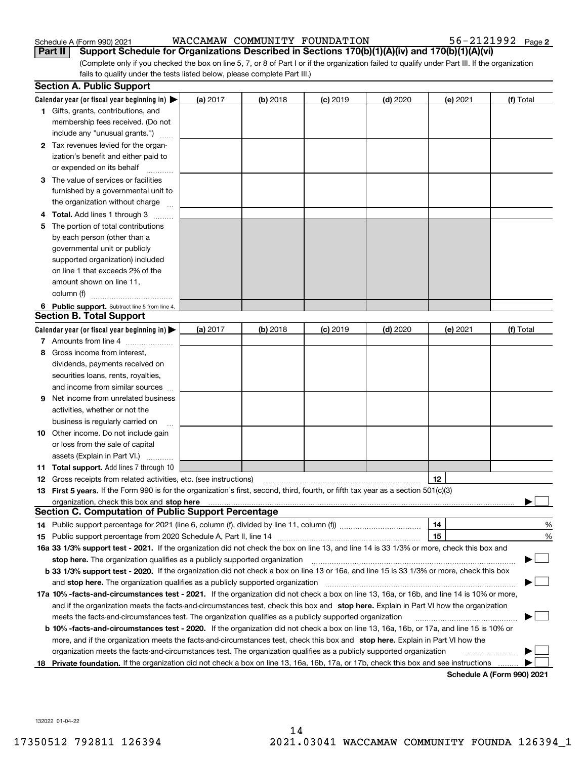| Schedule A (Form 990) 202 <sup>-</sup> |  |  |
|----------------------------------------|--|--|

Schedule A (Form 990) 2021 Page WACCAMAW COMMUNITY FOUNDATION 56-2121992

(Complete only if you checked the box on line 5, 7, or 8 of Part I or if the organization failed to qualify under Part III. If the organization fails to qualify under the tests listed below, please complete Part III.) **Part II Support Schedule for Organizations Described in Sections 170(b)(1)(A)(iv) and 170(b)(1)(A)(vi)**

|    | <b>Section A. Public Support</b>                                                                                                                                                                                                                                                                  |          |            |            |            |          |                            |
|----|---------------------------------------------------------------------------------------------------------------------------------------------------------------------------------------------------------------------------------------------------------------------------------------------------|----------|------------|------------|------------|----------|----------------------------|
|    | Calendar year (or fiscal year beginning in) $\blacktriangleright$                                                                                                                                                                                                                                 | (a) 2017 | $(b)$ 2018 | $(c)$ 2019 | $(d)$ 2020 | (e) 2021 | (f) Total                  |
|    | 1 Gifts, grants, contributions, and                                                                                                                                                                                                                                                               |          |            |            |            |          |                            |
|    | membership fees received. (Do not                                                                                                                                                                                                                                                                 |          |            |            |            |          |                            |
|    | include any "unusual grants.")                                                                                                                                                                                                                                                                    |          |            |            |            |          |                            |
|    | 2 Tax revenues levied for the organ-                                                                                                                                                                                                                                                              |          |            |            |            |          |                            |
|    | ization's benefit and either paid to                                                                                                                                                                                                                                                              |          |            |            |            |          |                            |
|    | or expended on its behalf                                                                                                                                                                                                                                                                         |          |            |            |            |          |                            |
|    | 3 The value of services or facilities                                                                                                                                                                                                                                                             |          |            |            |            |          |                            |
|    | furnished by a governmental unit to                                                                                                                                                                                                                                                               |          |            |            |            |          |                            |
|    | the organization without charge                                                                                                                                                                                                                                                                   |          |            |            |            |          |                            |
| 4  | <b>Total.</b> Add lines 1 through 3<br>$\sim$                                                                                                                                                                                                                                                     |          |            |            |            |          |                            |
| 5  | The portion of total contributions                                                                                                                                                                                                                                                                |          |            |            |            |          |                            |
|    | by each person (other than a                                                                                                                                                                                                                                                                      |          |            |            |            |          |                            |
|    | governmental unit or publicly                                                                                                                                                                                                                                                                     |          |            |            |            |          |                            |
|    | supported organization) included                                                                                                                                                                                                                                                                  |          |            |            |            |          |                            |
|    | on line 1 that exceeds 2% of the                                                                                                                                                                                                                                                                  |          |            |            |            |          |                            |
|    | amount shown on line 11,                                                                                                                                                                                                                                                                          |          |            |            |            |          |                            |
|    | column (f)                                                                                                                                                                                                                                                                                        |          |            |            |            |          |                            |
|    | 6 Public support. Subtract line 5 from line 4.<br><b>Section B. Total Support</b>                                                                                                                                                                                                                 |          |            |            |            |          |                            |
|    |                                                                                                                                                                                                                                                                                                   |          |            |            |            |          |                            |
|    | Calendar year (or fiscal year beginning in)                                                                                                                                                                                                                                                       | (a) 2017 | $(b)$ 2018 | $(c)$ 2019 | $(d)$ 2020 | (e) 2021 | (f) Total                  |
|    | 7 Amounts from line 4                                                                                                                                                                                                                                                                             |          |            |            |            |          |                            |
| 8  | Gross income from interest,                                                                                                                                                                                                                                                                       |          |            |            |            |          |                            |
|    | dividends, payments received on                                                                                                                                                                                                                                                                   |          |            |            |            |          |                            |
|    | securities loans, rents, royalties,                                                                                                                                                                                                                                                               |          |            |            |            |          |                            |
|    | and income from similar sources                                                                                                                                                                                                                                                                   |          |            |            |            |          |                            |
| 9  | Net income from unrelated business                                                                                                                                                                                                                                                                |          |            |            |            |          |                            |
|    | activities, whether or not the                                                                                                                                                                                                                                                                    |          |            |            |            |          |                            |
|    | business is regularly carried on                                                                                                                                                                                                                                                                  |          |            |            |            |          |                            |
|    | <b>10</b> Other income. Do not include gain                                                                                                                                                                                                                                                       |          |            |            |            |          |                            |
|    | or loss from the sale of capital                                                                                                                                                                                                                                                                  |          |            |            |            |          |                            |
|    | assets (Explain in Part VI.)                                                                                                                                                                                                                                                                      |          |            |            |            |          |                            |
|    | <b>11 Total support.</b> Add lines 7 through 10                                                                                                                                                                                                                                                   |          |            |            |            |          |                            |
|    | <b>12</b> Gross receipts from related activities, etc. (see instructions)                                                                                                                                                                                                                         |          |            |            |            | 12       |                            |
|    | 13 First 5 years. If the Form 990 is for the organization's first, second, third, fourth, or fifth tax year as a section 501(c)(3)                                                                                                                                                                |          |            |            |            |          |                            |
|    | organization, check this box and <b>stop here</b> manual content content content to the content of the content of the content of the content of the content of the content of the content of the content of the content of the cont<br><b>Section C. Computation of Public Support Percentage</b> |          |            |            |            |          |                            |
|    | 14 Public support percentage for 2021 (line 6, column (f), divided by line 11, column (f) <i>marroummaname</i>                                                                                                                                                                                    |          |            |            |            | 14       | %                          |
|    |                                                                                                                                                                                                                                                                                                   |          |            |            |            | 15       | $\%$                       |
|    | 16a 33 1/3% support test - 2021. If the organization did not check the box on line 13, and line 14 is 33 1/3% or more, check this box and                                                                                                                                                         |          |            |            |            |          |                            |
|    | stop here. The organization qualifies as a publicly supported organization                                                                                                                                                                                                                        |          |            |            |            |          |                            |
|    | b 33 1/3% support test - 2020. If the organization did not check a box on line 13 or 16a, and line 15 is 33 1/3% or more, check this box                                                                                                                                                          |          |            |            |            |          |                            |
|    | and stop here. The organization qualifies as a publicly supported organization                                                                                                                                                                                                                    |          |            |            |            |          |                            |
|    | 17a 10% -facts-and-circumstances test - 2021. If the organization did not check a box on line 13, 16a, or 16b, and line 14 is 10% or more,                                                                                                                                                        |          |            |            |            |          |                            |
|    | and if the organization meets the facts-and-circumstances test, check this box and stop here. Explain in Part VI how the organization                                                                                                                                                             |          |            |            |            |          |                            |
|    | meets the facts-and-circumstances test. The organization qualifies as a publicly supported organization                                                                                                                                                                                           |          |            |            |            |          |                            |
|    | <b>b 10% -facts-and-circumstances test - 2020.</b> If the organization did not check a box on line 13, 16a, 16b, or 17a, and line 15 is 10% or                                                                                                                                                    |          |            |            |            |          |                            |
|    | more, and if the organization meets the facts-and-circumstances test, check this box and stop here. Explain in Part VI how the                                                                                                                                                                    |          |            |            |            |          |                            |
|    | organization meets the facts-and-circumstances test. The organization qualifies as a publicly supported organization                                                                                                                                                                              |          |            |            |            |          |                            |
| 18 | Private foundation. If the organization did not check a box on line 13, 16a, 16b, 17a, or 17b, check this box and see instructions                                                                                                                                                                |          |            |            |            |          |                            |
|    |                                                                                                                                                                                                                                                                                                   |          |            |            |            |          | Schedule A (Form 990) 2021 |

**Schedule A (Form 990) 2021**

132022 01-04-22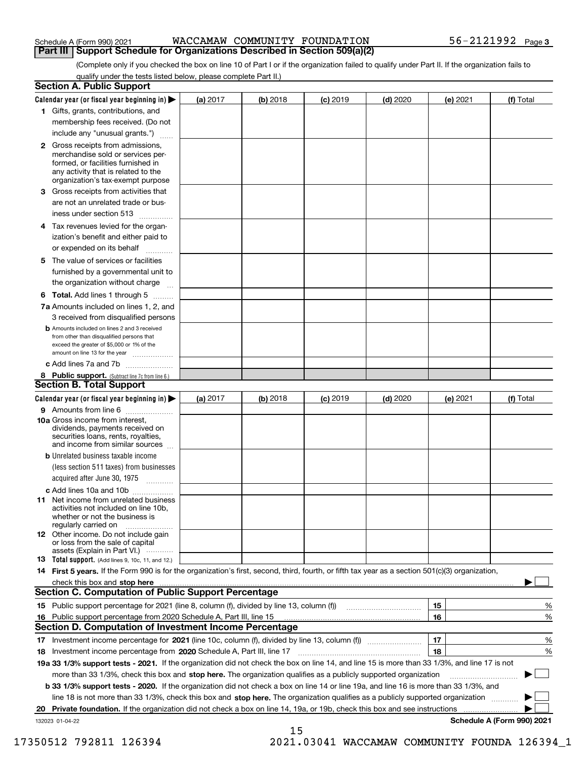| Schedule A (Form 990) 2021 |  |  |
|----------------------------|--|--|
|                            |  |  |

#### Schedule A (Form 990) 2021 Page WACCAMAW COMMUNITY FOUNDATION 56-2121992 **Part III | Support Schedule for Organizations Described in Section 509(a)(2)**

(Complete only if you checked the box on line 10 of Part I or if the organization failed to qualify under Part II. If the organization fails to qualify under the tests listed below, please complete Part II.)

|    | <b>Section A. Public Support</b>                                                                                                                                                         |            |          |            |            |          |                            |
|----|------------------------------------------------------------------------------------------------------------------------------------------------------------------------------------------|------------|----------|------------|------------|----------|----------------------------|
|    | Calendar year (or fiscal year beginning in) $\blacktriangleright$                                                                                                                        | (a) 2017   | (b) 2018 | $(c)$ 2019 | $(d)$ 2020 | (e) 2021 | (f) Total                  |
|    | 1 Gifts, grants, contributions, and                                                                                                                                                      |            |          |            |            |          |                            |
|    | membership fees received. (Do not                                                                                                                                                        |            |          |            |            |          |                            |
|    | include any "unusual grants.")                                                                                                                                                           |            |          |            |            |          |                            |
|    | 2 Gross receipts from admissions,<br>merchandise sold or services per-<br>formed, or facilities furnished in<br>any activity that is related to the<br>organization's tax-exempt purpose |            |          |            |            |          |                            |
|    | 3 Gross receipts from activities that<br>are not an unrelated trade or bus-                                                                                                              |            |          |            |            |          |                            |
|    | iness under section 513                                                                                                                                                                  |            |          |            |            |          |                            |
|    | 4 Tax revenues levied for the organ-<br>ization's benefit and either paid to                                                                                                             |            |          |            |            |          |                            |
|    | or expended on its behalf<br>.                                                                                                                                                           |            |          |            |            |          |                            |
|    | 5 The value of services or facilities<br>furnished by a governmental unit to<br>the organization without charge                                                                          |            |          |            |            |          |                            |
|    | <b>6 Total.</b> Add lines 1 through 5                                                                                                                                                    |            |          |            |            |          |                            |
|    | 7a Amounts included on lines 1, 2, and<br>3 received from disqualified persons                                                                                                           |            |          |            |            |          |                            |
|    | <b>b</b> Amounts included on lines 2 and 3 received<br>from other than disqualified persons that<br>exceed the greater of \$5,000 or 1% of the                                           |            |          |            |            |          |                            |
|    | amount on line 13 for the year                                                                                                                                                           |            |          |            |            |          |                            |
|    | c Add lines 7a and 7b                                                                                                                                                                    |            |          |            |            |          |                            |
|    | 8 Public support. (Subtract line 7c from line 6.)<br><b>Section B. Total Support</b>                                                                                                     |            |          |            |            |          |                            |
|    | Calendar year (or fiscal year beginning in) $\blacktriangleright$                                                                                                                        | (a) $2017$ | (b) 2018 | $(c)$ 2019 | $(d)$ 2020 | (e) 2021 | (f) Total                  |
|    | 9 Amounts from line 6                                                                                                                                                                    |            |          |            |            |          |                            |
|    | 10a Gross income from interest,<br>dividends, payments received on<br>securities loans, rents, royalties,<br>and income from similar sources                                             |            |          |            |            |          |                            |
|    | <b>b</b> Unrelated business taxable income                                                                                                                                               |            |          |            |            |          |                            |
|    | (less section 511 taxes) from businesses<br>acquired after June 30, 1975<br>1.1.1.1.1.1.1.1.1.1                                                                                          |            |          |            |            |          |                            |
|    | c Add lines 10a and 10b                                                                                                                                                                  |            |          |            |            |          |                            |
|    | <b>11</b> Net income from unrelated business<br>activities not included on line 10b.<br>whether or not the business is<br>regularly carried on                                           |            |          |            |            |          |                            |
|    | <b>12</b> Other income. Do not include gain<br>or loss from the sale of capital<br>assets (Explain in Part VI.)                                                                          |            |          |            |            |          |                            |
|    | <b>13</b> Total support. (Add lines 9, 10c, 11, and 12.)                                                                                                                                 |            |          |            |            |          |                            |
|    | 14 First 5 years. If the Form 990 is for the organization's first, second, third, fourth, or fifth tax year as a section 501(c)(3) organization,                                         |            |          |            |            |          |                            |
|    |                                                                                                                                                                                          |            |          |            |            |          |                            |
|    | <b>Section C. Computation of Public Support Percentage</b>                                                                                                                               |            |          |            |            |          |                            |
|    | 15 Public support percentage for 2021 (line 8, column (f), divided by line 13, column (f))                                                                                               |            |          |            |            | 15       | %                          |
|    | 16 Public support percentage from 2020 Schedule A, Part III, line 15                                                                                                                     |            |          |            |            | 16       | %                          |
|    | <b>Section D. Computation of Investment Income Percentage</b>                                                                                                                            |            |          |            |            |          |                            |
|    | 17 Investment income percentage for 2021 (line 10c, column (f), divided by line 13, column (f))                                                                                          |            |          |            |            | 17       | %                          |
|    | 18 Investment income percentage from 2020 Schedule A, Part III, line 17                                                                                                                  |            |          |            |            | 18       | %                          |
|    | 19a 33 1/3% support tests - 2021. If the organization did not check the box on line 14, and line 15 is more than 33 1/3%, and line 17 is not                                             |            |          |            |            |          |                            |
|    | more than 33 1/3%, check this box and stop here. The organization qualifies as a publicly supported organization                                                                         |            |          |            |            |          |                            |
|    | b 33 1/3% support tests - 2020. If the organization did not check a box on line 14 or line 19a, and line 16 is more than 33 1/3%, and                                                    |            |          |            |            |          |                            |
|    | line 18 is not more than 33 1/3%, check this box and stop here. The organization qualifies as a publicly supported organization                                                          |            |          |            |            |          |                            |
| 20 | Private foundation. If the organization did not check a box on line 14, 19a, or 19b, check this box and see instructions                                                                 |            |          |            |            |          |                            |
|    | 132023 01-04-22                                                                                                                                                                          |            |          |            |            |          | Schedule A (Form 990) 2021 |

15

17350512 792811 126394 2021.03041 WACCAMAW COMMUNITY FOUNDA 126394\_1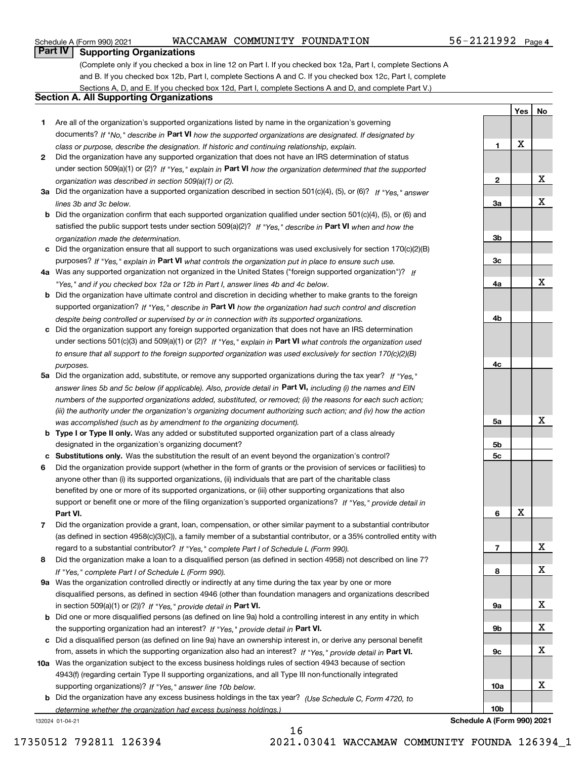### Schedule A (Form 990) 2021 Page WACCAMAW COMMUNITY FOUNDATION 56-2121992

**Yes**

**No**

### **Part IV Supporting Organizations**

(Complete only if you checked a box in line 12 on Part I. If you checked box 12a, Part I, complete Sections A and B. If you checked box 12b, Part I, complete Sections A and C. If you checked box 12c, Part I, complete Sections A, D, and E. If you checked box 12d, Part I, complete Sections A and D, and complete Part V.)

### **Section A. All Supporting Organizations**

- **1** Are all of the organization's supported organizations listed by name in the organization's governing documents? If "No," describe in **Part VI** how the supported organizations are designated. If designated by *class or purpose, describe the designation. If historic and continuing relationship, explain.*
- **2** Did the organization have any supported organization that does not have an IRS determination of status under section 509(a)(1) or (2)? If "Yes," explain in Part VI how the organization determined that the supported *organization was described in section 509(a)(1) or (2).*
- **3a** Did the organization have a supported organization described in section 501(c)(4), (5), or (6)? If "Yes," answer *lines 3b and 3c below.*
- **b** Did the organization confirm that each supported organization qualified under section 501(c)(4), (5), or (6) and satisfied the public support tests under section 509(a)(2)? If "Yes," describe in **Part VI** when and how the *organization made the determination.*
- **c**Did the organization ensure that all support to such organizations was used exclusively for section 170(c)(2)(B) purposes? If "Yes," explain in **Part VI** what controls the organization put in place to ensure such use.
- **4a***If* Was any supported organization not organized in the United States ("foreign supported organization")? *"Yes," and if you checked box 12a or 12b in Part I, answer lines 4b and 4c below.*
- **b** Did the organization have ultimate control and discretion in deciding whether to make grants to the foreign supported organization? If "Yes," describe in **Part VI** how the organization had such control and discretion *despite being controlled or supervised by or in connection with its supported organizations.*
- **c** Did the organization support any foreign supported organization that does not have an IRS determination under sections 501(c)(3) and 509(a)(1) or (2)? If "Yes," explain in **Part VI** what controls the organization used *to ensure that all support to the foreign supported organization was used exclusively for section 170(c)(2)(B) purposes.*
- **5a** Did the organization add, substitute, or remove any supported organizations during the tax year? If "Yes," answer lines 5b and 5c below (if applicable). Also, provide detail in **Part VI,** including (i) the names and EIN *numbers of the supported organizations added, substituted, or removed; (ii) the reasons for each such action; (iii) the authority under the organization's organizing document authorizing such action; and (iv) how the action was accomplished (such as by amendment to the organizing document).*
- **b** Type I or Type II only. Was any added or substituted supported organization part of a class already designated in the organization's organizing document?
- **cSubstitutions only.**  Was the substitution the result of an event beyond the organization's control?
- **6** Did the organization provide support (whether in the form of grants or the provision of services or facilities) to **Part VI.** *If "Yes," provide detail in* support or benefit one or more of the filing organization's supported organizations? anyone other than (i) its supported organizations, (ii) individuals that are part of the charitable class benefited by one or more of its supported organizations, or (iii) other supporting organizations that also
- **7**Did the organization provide a grant, loan, compensation, or other similar payment to a substantial contributor *If "Yes," complete Part I of Schedule L (Form 990).* regard to a substantial contributor? (as defined in section 4958(c)(3)(C)), a family member of a substantial contributor, or a 35% controlled entity with
- **8** Did the organization make a loan to a disqualified person (as defined in section 4958) not described on line 7? *If "Yes," complete Part I of Schedule L (Form 990).*
- **9a** Was the organization controlled directly or indirectly at any time during the tax year by one or more in section 509(a)(1) or (2))? If "Yes," *provide detail in* <code>Part VI.</code> disqualified persons, as defined in section 4946 (other than foundation managers and organizations described
- **b**the supporting organization had an interest? If "Yes," provide detail in P**art VI**. Did one or more disqualified persons (as defined on line 9a) hold a controlling interest in any entity in which
- **c**Did a disqualified person (as defined on line 9a) have an ownership interest in, or derive any personal benefit from, assets in which the supporting organization also had an interest? If "Yes," provide detail in P**art VI.**
- **10a** Was the organization subject to the excess business holdings rules of section 4943 because of section supporting organizations)? If "Yes," answer line 10b below. 4943(f) (regarding certain Type II supporting organizations, and all Type III non-functionally integrated
- **b** Did the organization have any excess business holdings in the tax year? (Use Schedule C, Form 4720, to *determine whether the organization had excess business holdings.)*

132024 01-04-21



**Schedule A (Form 990) 2021**

16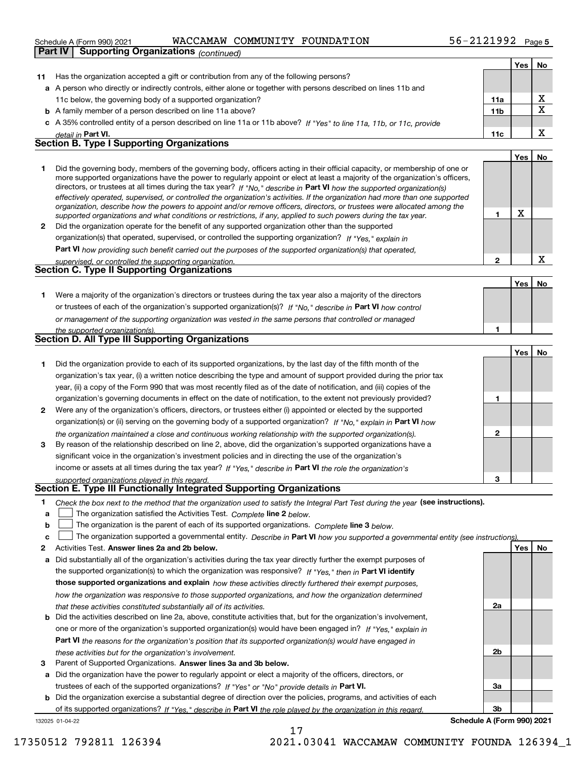|    | WACCAMAW COMMUNITY FOUNDATION<br>Schedule A (Form 990) 2021                                                                                                                                                                                                                                                                                                                                                                                                                                                                                                                                                                                          | 56-2121992 $_{Page 5}$ |            |                         |
|----|------------------------------------------------------------------------------------------------------------------------------------------------------------------------------------------------------------------------------------------------------------------------------------------------------------------------------------------------------------------------------------------------------------------------------------------------------------------------------------------------------------------------------------------------------------------------------------------------------------------------------------------------------|------------------------|------------|-------------------------|
|    | <b>Supporting Organizations (continued)</b><br>Part IV                                                                                                                                                                                                                                                                                                                                                                                                                                                                                                                                                                                               |                        |            |                         |
|    |                                                                                                                                                                                                                                                                                                                                                                                                                                                                                                                                                                                                                                                      |                        | <b>Yes</b> | No                      |
| 11 | Has the organization accepted a gift or contribution from any of the following persons?                                                                                                                                                                                                                                                                                                                                                                                                                                                                                                                                                              |                        |            |                         |
|    | a A person who directly or indirectly controls, either alone or together with persons described on lines 11b and                                                                                                                                                                                                                                                                                                                                                                                                                                                                                                                                     |                        |            |                         |
|    | 11c below, the governing body of a supported organization?                                                                                                                                                                                                                                                                                                                                                                                                                                                                                                                                                                                           | 11a                    |            | X                       |
|    | <b>b</b> A family member of a person described on line 11a above?                                                                                                                                                                                                                                                                                                                                                                                                                                                                                                                                                                                    | 11 <sub>b</sub>        |            | $\overline{\mathbf{x}}$ |
|    | c A 35% controlled entity of a person described on line 11a or 11b above? If "Yes" to line 11a, 11b, or 11c, provide                                                                                                                                                                                                                                                                                                                                                                                                                                                                                                                                 |                        |            |                         |
|    | detail in Part VI.                                                                                                                                                                                                                                                                                                                                                                                                                                                                                                                                                                                                                                   | 11c                    |            | X                       |
|    | <b>Section B. Type I Supporting Organizations</b>                                                                                                                                                                                                                                                                                                                                                                                                                                                                                                                                                                                                    |                        |            |                         |
|    |                                                                                                                                                                                                                                                                                                                                                                                                                                                                                                                                                                                                                                                      |                        | Yes        | No                      |
| 1  | Did the governing body, members of the governing body, officers acting in their official capacity, or membership of one or<br>more supported organizations have the power to regularly appoint or elect at least a majority of the organization's officers,<br>directors, or trustees at all times during the tax year? If "No," describe in Part VI how the supported organization(s)<br>effectively operated, supervised, or controlled the organization's activities. If the organization had more than one supported<br>organization, describe how the powers to appoint and/or remove officers, directors, or trustees were allocated among the |                        |            |                         |
|    | supported organizations and what conditions or restrictions, if any, applied to such powers during the tax year.                                                                                                                                                                                                                                                                                                                                                                                                                                                                                                                                     | 1                      | х          |                         |
|    | 2 Did the organization operate for the benefit of any supported organization other than the supported                                                                                                                                                                                                                                                                                                                                                                                                                                                                                                                                                |                        |            |                         |
|    | organization(s) that operated, supervised, or controlled the supporting organization? If "Yes," explain in                                                                                                                                                                                                                                                                                                                                                                                                                                                                                                                                           |                        |            |                         |
|    | <b>Part VI</b> how providing such benefit carried out the purposes of the supported organization(s) that operated,                                                                                                                                                                                                                                                                                                                                                                                                                                                                                                                                   |                        |            |                         |
|    | supervised, or controlled the supporting organization.                                                                                                                                                                                                                                                                                                                                                                                                                                                                                                                                                                                               | $\mathbf 2$            |            | X                       |
|    | <b>Section C. Type II Supporting Organizations</b>                                                                                                                                                                                                                                                                                                                                                                                                                                                                                                                                                                                                   |                        |            |                         |
|    |                                                                                                                                                                                                                                                                                                                                                                                                                                                                                                                                                                                                                                                      |                        | <b>Yes</b> | No                      |
| 1  | Were a majority of the organization's directors or trustees during the tax year also a majority of the directors                                                                                                                                                                                                                                                                                                                                                                                                                                                                                                                                     |                        |            |                         |
|    | or trustees of each of the organization's supported organization(s)? If "No," describe in Part VI how control                                                                                                                                                                                                                                                                                                                                                                                                                                                                                                                                        |                        |            |                         |
|    | or management of the supporting organization was vested in the same persons that controlled or managed                                                                                                                                                                                                                                                                                                                                                                                                                                                                                                                                               |                        |            |                         |
|    | the supported organization(s).                                                                                                                                                                                                                                                                                                                                                                                                                                                                                                                                                                                                                       | 1                      |            |                         |
|    | Section D. All Type III Supporting Organizations                                                                                                                                                                                                                                                                                                                                                                                                                                                                                                                                                                                                     |                        |            |                         |
|    |                                                                                                                                                                                                                                                                                                                                                                                                                                                                                                                                                                                                                                                      |                        | Yes        | No                      |
| 1  | Did the organization provide to each of its supported organizations, by the last day of the fifth month of the                                                                                                                                                                                                                                                                                                                                                                                                                                                                                                                                       |                        |            |                         |
|    | organization's tax year, (i) a written notice describing the type and amount of support provided during the prior tax                                                                                                                                                                                                                                                                                                                                                                                                                                                                                                                                |                        |            |                         |
|    | year, (ii) a copy of the Form 990 that was most recently filed as of the date of notification, and (iii) copies of the                                                                                                                                                                                                                                                                                                                                                                                                                                                                                                                               |                        |            |                         |
|    | organization's governing documents in effect on the date of notification, to the extent not previously provided?                                                                                                                                                                                                                                                                                                                                                                                                                                                                                                                                     | 1                      |            |                         |
| 2  | Were any of the organization's officers, directors, or trustees either (i) appointed or elected by the supported                                                                                                                                                                                                                                                                                                                                                                                                                                                                                                                                     |                        |            |                         |
|    | organization(s) or (ii) serving on the governing body of a supported organization? If "No." explain in Part VI how                                                                                                                                                                                                                                                                                                                                                                                                                                                                                                                                   |                        |            |                         |
|    | the organization maintained a close and continuous working relationship with the supported organization(s).                                                                                                                                                                                                                                                                                                                                                                                                                                                                                                                                          | $\mathbf{2}$           |            |                         |
| 3  | By reason of the relationship described on line 2, above, did the organization's supported organizations have a                                                                                                                                                                                                                                                                                                                                                                                                                                                                                                                                      |                        |            |                         |
|    | significant voice in the organization's investment policies and in directing the use of the organization's                                                                                                                                                                                                                                                                                                                                                                                                                                                                                                                                           |                        |            |                         |
|    | income or assets at all times during the tax year? If "Yes," describe in Part VI the role the organization's                                                                                                                                                                                                                                                                                                                                                                                                                                                                                                                                         |                        |            |                         |
|    | supported organizations played in this regard.                                                                                                                                                                                                                                                                                                                                                                                                                                                                                                                                                                                                       | 3                      |            |                         |
|    | Section E. Type III Functionally Integrated Supporting Organizations                                                                                                                                                                                                                                                                                                                                                                                                                                                                                                                                                                                 |                        |            |                         |
| 1  | Check the box next to the method that the organization used to satisfy the Integral Part Test during the year (see instructions).                                                                                                                                                                                                                                                                                                                                                                                                                                                                                                                    |                        |            |                         |

- **alinupy** The organization satisfied the Activities Test. Complete line 2 below.
- **bThe organization is the parent of each of its supported organizations. Complete line 3 below.**

|  |  |  | The organization supported a governmental entity. Describe in Part VI how you supported a governmental entity (see instructions). |  |
|--|--|--|-----------------------------------------------------------------------------------------------------------------------------------|--|
|--|--|--|-----------------------------------------------------------------------------------------------------------------------------------|--|

- **2Answer lines 2a and 2b below. Yes No** Activities Test.
- **a** Did substantially all of the organization's activities during the tax year directly further the exempt purposes of the supported organization(s) to which the organization was responsive? If "Yes," then in **Part VI identify those supported organizations and explain**  *how these activities directly furthered their exempt purposes, how the organization was responsive to those supported organizations, and how the organization determined that these activities constituted substantially all of its activities.*
- **b** Did the activities described on line 2a, above, constitute activities that, but for the organization's involvement, **Part VI**  *the reasons for the organization's position that its supported organization(s) would have engaged in* one or more of the organization's supported organization(s) would have been engaged in? If "Yes," e*xplain in these activities but for the organization's involvement.*
- **3** Parent of Supported Organizations. Answer lines 3a and 3b below.

**a** Did the organization have the power to regularly appoint or elect a majority of the officers, directors, or trustees of each of the supported organizations? If "Yes" or "No" provide details in **Part VI.** 

132025 01-04-22 **b** Did the organization exercise a substantial degree of direction over the policies, programs, and activities of each of its supported organizations? If "Yes," describe in Part VI the role played by the organization in this regard.

**3bSchedule A (Form 990) 2021**

**2a**

**2b**

**3a**

17350512 792811 126394 2021.03041 WACCAMAW COMMUNITY FOUNDA 126394\_1

17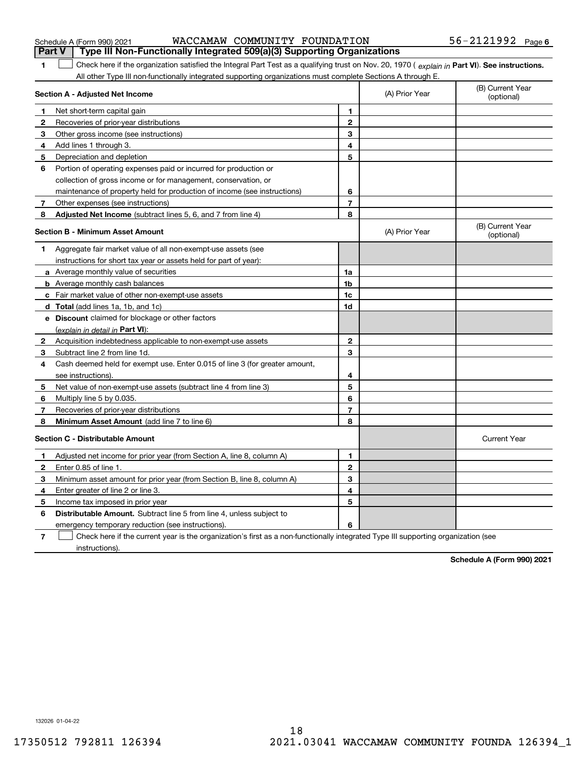| l Part V                   |  |  | Type III Non-Functionally Integrated 509(a)(3) Supporting Organizations |  |
|----------------------------|--|--|-------------------------------------------------------------------------|--|
| Schedule A (Form 990) 2021 |  |  | WACCAMAW COMMUNITY FOUNDATION                                           |  |

| Schedule A (Form 990) 2021 |  | WACCAMAW COMMUNITY FOUNDATION | 56-2121992 | Page 6 |
|----------------------------|--|-------------------------------|------------|--------|
|                            |  |                               |            |        |

| 1            | Check here if the organization satisfied the Integral Part Test as a qualifying trust on Nov. 20, 1970 (explain in Part VI). See instructions. |                |                |                                |
|--------------|------------------------------------------------------------------------------------------------------------------------------------------------|----------------|----------------|--------------------------------|
|              | All other Type III non-functionally integrated supporting organizations must complete Sections A through E.                                    |                |                |                                |
|              | Section A - Adjusted Net Income                                                                                                                |                | (A) Prior Year | (B) Current Year<br>(optional) |
| 1            | Net short-term capital gain                                                                                                                    | 1              |                |                                |
| $\mathbf{2}$ | Recoveries of prior-year distributions                                                                                                         | $\mathbf{2}$   |                |                                |
| 3            | Other gross income (see instructions)                                                                                                          | 3              |                |                                |
| 4            | Add lines 1 through 3.                                                                                                                         | 4              |                |                                |
| 5            | Depreciation and depletion                                                                                                                     | 5              |                |                                |
| 6            | Portion of operating expenses paid or incurred for production or                                                                               |                |                |                                |
|              | collection of gross income or for management, conservation, or                                                                                 |                |                |                                |
|              | maintenance of property held for production of income (see instructions)                                                                       | 6              |                |                                |
| 7            | Other expenses (see instructions)                                                                                                              | $\overline{7}$ |                |                                |
| 8            | Adjusted Net Income (subtract lines 5, 6, and 7 from line 4)                                                                                   | 8              |                |                                |
|              | Section B - Minimum Asset Amount                                                                                                               |                | (A) Prior Year | (B) Current Year<br>(optional) |
| 1            | Aggregate fair market value of all non-exempt-use assets (see                                                                                  |                |                |                                |
|              | instructions for short tax year or assets held for part of year):                                                                              |                |                |                                |
|              | a Average monthly value of securities                                                                                                          | 1a             |                |                                |
|              | <b>b</b> Average monthly cash balances                                                                                                         | 1b             |                |                                |
|              | c Fair market value of other non-exempt-use assets                                                                                             | 1c             |                |                                |
|              | <b>d</b> Total (add lines 1a, 1b, and 1c)                                                                                                      | 1d             |                |                                |
|              | <b>e</b> Discount claimed for blockage or other factors                                                                                        |                |                |                                |
|              | (explain in detail in Part VI):                                                                                                                |                |                |                                |
| $\mathbf{2}$ | Acquisition indebtedness applicable to non-exempt-use assets                                                                                   | $\mathbf{2}$   |                |                                |
| 3            | Subtract line 2 from line 1d.                                                                                                                  | 3              |                |                                |
| 4            | Cash deemed held for exempt use. Enter 0.015 of line 3 (for greater amount,                                                                    |                |                |                                |
|              | see instructions)                                                                                                                              | 4              |                |                                |
| 5            | Net value of non-exempt-use assets (subtract line 4 from line 3)                                                                               | 5              |                |                                |
| 6            | Multiply line 5 by 0.035.                                                                                                                      | 6              |                |                                |
| 7            | Recoveries of prior-year distributions                                                                                                         | 7              |                |                                |
| 8            | <b>Minimum Asset Amount</b> (add line 7 to line 6)                                                                                             | 8              |                |                                |
|              | <b>Section C - Distributable Amount</b>                                                                                                        |                |                | <b>Current Year</b>            |
| 1            | Adjusted net income for prior year (from Section A, line 8, column A)                                                                          | 1              |                |                                |
| $\mathbf{2}$ | Enter 0.85 of line 1.                                                                                                                          | $\mathbf{2}$   |                |                                |
| 3            | Minimum asset amount for prior year (from Section B, line 8, column A)                                                                         | 3              |                |                                |
| 4            | Enter greater of line 2 or line 3.                                                                                                             | 4              |                |                                |
| 5            | Income tax imposed in prior year                                                                                                               | 5              |                |                                |
| 6            | <b>Distributable Amount.</b> Subtract line 5 from line 4, unless subject to                                                                    |                |                |                                |
|              | emergency temporary reduction (see instructions).                                                                                              | 6              |                |                                |
|              |                                                                                                                                                |                |                |                                |

**7** Check here if the current year is the organization's first as a non-functionally integrated Type III supporting organization (see instructions).

**Schedule A (Form 990) 2021**

132026 01-04-22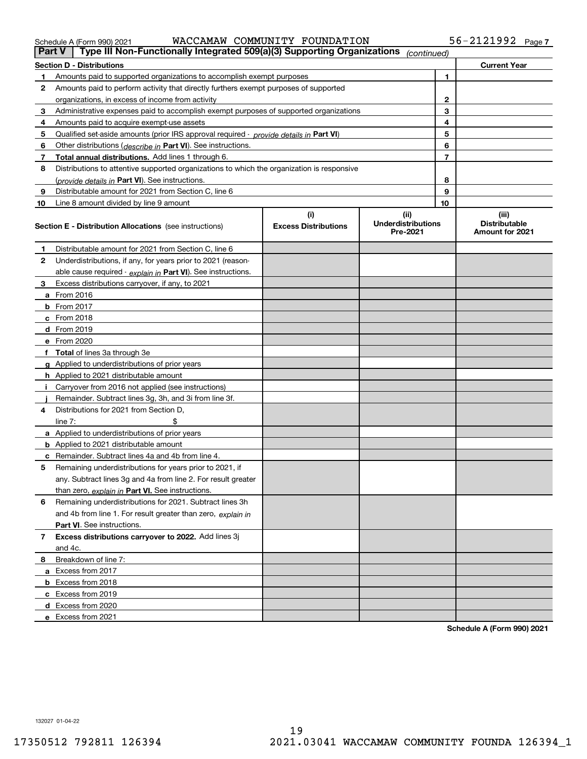Schedule A (Form 990) 2021 WACCAMAW\_COMMUNITY\_FOUNDATIION 56~2IZI992 Page WACCAMAW COMMUNITY FOUNDATION 56-2121992

| Part V         | Type III Non-Functionally Integrated 509(a)(3) Supporting Organizations                       |                             | (continued)                           |                |                                                |
|----------------|-----------------------------------------------------------------------------------------------|-----------------------------|---------------------------------------|----------------|------------------------------------------------|
|                | <b>Section D - Distributions</b>                                                              |                             |                                       |                | <b>Current Year</b>                            |
| 1              | Amounts paid to supported organizations to accomplish exempt purposes                         |                             |                                       | 1              |                                                |
| 2              | Amounts paid to perform activity that directly furthers exempt purposes of supported          |                             |                                       |                |                                                |
|                | organizations, in excess of income from activity                                              |                             |                                       | 2              |                                                |
| 3              | Administrative expenses paid to accomplish exempt purposes of supported organizations         |                             |                                       | 3              |                                                |
| 4              | Amounts paid to acquire exempt-use assets                                                     |                             |                                       | 4              |                                                |
| 5              | Qualified set-aside amounts (prior IRS approval required - <i>provide details in</i> Part VI) |                             |                                       | 5              |                                                |
| 6              | Other distributions (describe in Part VI). See instructions.                                  |                             |                                       | 6              |                                                |
| 7              | Total annual distributions. Add lines 1 through 6.                                            |                             |                                       | $\overline{7}$ |                                                |
| 8              | Distributions to attentive supported organizations to which the organization is responsive    |                             |                                       |                |                                                |
|                | (provide details in Part VI). See instructions.                                               |                             |                                       | 8              |                                                |
| 9              | Distributable amount for 2021 from Section C, line 6                                          |                             |                                       | 9              |                                                |
| 10             | Line 8 amount divided by line 9 amount                                                        |                             |                                       | 10             |                                                |
|                |                                                                                               | (i)                         | (ii)                                  |                | (iii)                                          |
|                | <b>Section E - Distribution Allocations</b> (see instructions)                                | <b>Excess Distributions</b> | <b>Underdistributions</b><br>Pre-2021 |                | <b>Distributable</b><br><b>Amount for 2021</b> |
| 1              | Distributable amount for 2021 from Section C, line 6                                          |                             |                                       |                |                                                |
| 2              | Underdistributions, if any, for years prior to 2021 (reason-                                  |                             |                                       |                |                                                |
|                | able cause required - explain in Part VI). See instructions.                                  |                             |                                       |                |                                                |
| 3              | Excess distributions carryover, if any, to 2021                                               |                             |                                       |                |                                                |
|                | <b>a</b> From 2016                                                                            |                             |                                       |                |                                                |
|                | <b>b</b> From 2017                                                                            |                             |                                       |                |                                                |
|                | $c$ From 2018                                                                                 |                             |                                       |                |                                                |
|                | d From 2019                                                                                   |                             |                                       |                |                                                |
|                | e From 2020                                                                                   |                             |                                       |                |                                                |
|                | f Total of lines 3a through 3e                                                                |                             |                                       |                |                                                |
|                | g Applied to underdistributions of prior years                                                |                             |                                       |                |                                                |
|                | <b>h</b> Applied to 2021 distributable amount                                                 |                             |                                       |                |                                                |
|                | Carryover from 2016 not applied (see instructions)                                            |                             |                                       |                |                                                |
|                | Remainder. Subtract lines 3g, 3h, and 3i from line 3f.                                        |                             |                                       |                |                                                |
| 4              | Distributions for 2021 from Section D.                                                        |                             |                                       |                |                                                |
|                | line $7:$                                                                                     |                             |                                       |                |                                                |
|                | a Applied to underdistributions of prior years                                                |                             |                                       |                |                                                |
|                | <b>b</b> Applied to 2021 distributable amount                                                 |                             |                                       |                |                                                |
|                | c Remainder. Subtract lines 4a and 4b from line 4.                                            |                             |                                       |                |                                                |
| 5              | Remaining underdistributions for years prior to 2021, if                                      |                             |                                       |                |                                                |
|                | any. Subtract lines 3g and 4a from line 2. For result greater                                 |                             |                                       |                |                                                |
|                | than zero, explain in Part VI. See instructions.                                              |                             |                                       |                |                                                |
| 6              | Remaining underdistributions for 2021. Subtract lines 3h                                      |                             |                                       |                |                                                |
|                | and 4b from line 1. For result greater than zero, explain in                                  |                             |                                       |                |                                                |
|                | <b>Part VI.</b> See instructions.                                                             |                             |                                       |                |                                                |
| $\overline{7}$ | Excess distributions carryover to 2022. Add lines 3j                                          |                             |                                       |                |                                                |
|                | and 4c.                                                                                       |                             |                                       |                |                                                |
| 8              | Breakdown of line 7:                                                                          |                             |                                       |                |                                                |
|                | a Excess from 2017                                                                            |                             |                                       |                |                                                |
|                | <b>b</b> Excess from 2018                                                                     |                             |                                       |                |                                                |
|                | c Excess from 2019                                                                            |                             |                                       |                |                                                |
|                | d Excess from 2020                                                                            |                             |                                       |                |                                                |
|                | e Excess from 2021                                                                            |                             |                                       |                |                                                |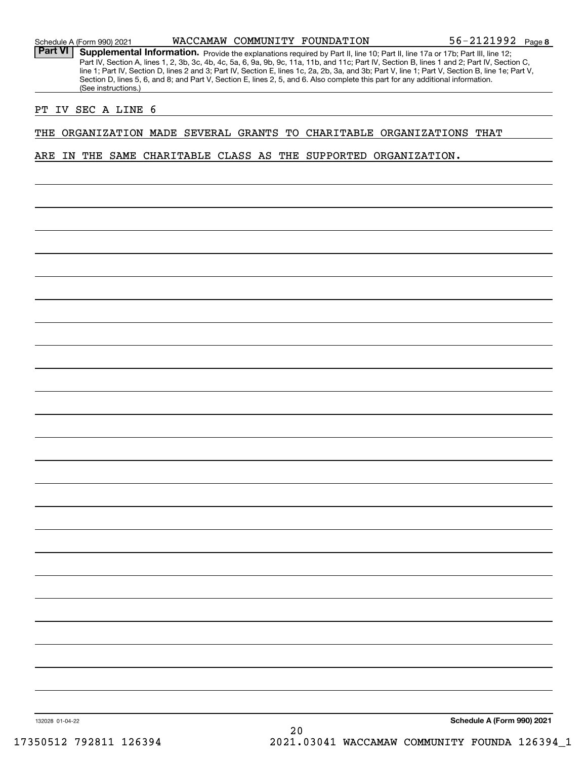Part VI | Supplemental Information. Provide the explanations required by Part II, line 10; Part II, line 17a or 17b; Part III, line 12; Part IV, Section A, lines 1, 2, 3b, 3c, 4b, 4c, 5a, 6, 9a, 9b, 9c, 11a, 11b, and 11c; Part IV, Section B, lines 1 and 2; Part IV, Section C, line 1; Part IV, Section D, lines 2 and 3; Part IV, Section E, lines 1c, 2a, 2b, 3a, and 3b; Part V, line 1; Part V, Section B, line 1e; Part V, Section D, lines 5, 6, and 8; and Part V, Section E, lines 2, 5, and 6. Also complete this part for any additional information. (See instructions.)

#### PT IV SEC A LINE 6

THE ORGANIZATION MADE SEVERAL GRANTS TO CHARITABLE ORGANIZATIONS THAT

ARE IN THE SAME CHARITABLE CLASS AS THE SUPPORTED ORGANIZATION.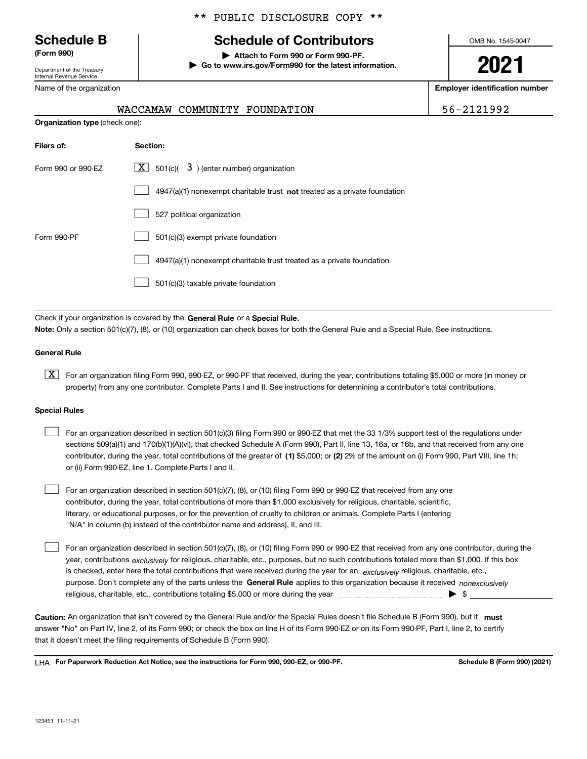Department of the Treasury Internal Revenue Service

Nam

### \*\* PUBLIC DISCLOSURE COPY \*\*

## **Schedule B Schedule of Contributors**

**(Form 990) | Attach to Form 990 or Form 990-PF. | Go to www.irs.gov/Form990 for the latest information.** OMB No. 1545-0047

**2021**

**Employer identification number**

|  |  |  |  | 56-2121992 |  |
|--|--|--|--|------------|--|
|  |  |  |  |            |  |

| e of the organization |  |                               |  |
|-----------------------|--|-------------------------------|--|
|                       |  | WACCAMAW COMMUNITY FOUNDATION |  |

| <b>Organization type (check one):</b> |                                                                                    |  |  |
|---------------------------------------|------------------------------------------------------------------------------------|--|--|
| Filers of:                            | Section:                                                                           |  |  |
| Form 990 or 990-EZ                    | $\lfloor x \rfloor$ 501(c)( 3) (enter number) organization                         |  |  |
|                                       | $4947(a)(1)$ nonexempt charitable trust <b>not</b> treated as a private foundation |  |  |
|                                       | 527 political organization                                                         |  |  |
| Form 990-PF                           | 501(c)(3) exempt private foundation                                                |  |  |
|                                       | 4947(a)(1) nonexempt charitable trust treated as a private foundation              |  |  |
|                                       | 501(c)(3) taxable private foundation                                               |  |  |

Check if your organization is covered by the **General Rule** or a **Special Rule. Note:**  Only a section 501(c)(7), (8), or (10) organization can check boxes for both the General Rule and a Special Rule. See instructions.

#### **General Rule**

 $\boxed{\textbf{X}}$  For an organization filing Form 990, 990-EZ, or 990-PF that received, during the year, contributions totaling \$5,000 or more (in money or property) from any one contributor. Complete Parts I and II. See instructions for determining a contributor's total contributions.

#### **Special Rules**

| $\mathbf{1}$ | For an organization described in section 501(c)(3) filing Form 990 or 990-EZ that met the 33 1/3% support test of the regulations under       |
|--------------|-----------------------------------------------------------------------------------------------------------------------------------------------|
|              | sections 509(a)(1) and 170(b)(1)(A)(vi), that checked Schedule A (Form 990), Part II, line 13, 16a, or 16b, and that received from any one    |
|              | contributor, during the year, total contributions of the greater of (1) \$5,000; or (2) 2% of the amount on (i) Form 990, Part VIII, line 1h; |
|              | or (ii) Form 990-EZ, line 1. Complete Parts I and II.                                                                                         |

For an organization described in section 501(c)(7), (8), or (10) filing Form 990 or 990-EZ that received from any one contributor, during the year, total contributions of more than \$1,000 exclusively for religious, charitable, scientific, literary, or educational purposes, or for the prevention of cruelty to children or animals. Complete Parts I (entering "N/A" in column (b) instead of the contributor name and address), II, and III.  $\mathcal{L}^{\text{max}}$ 

purpose. Don't complete any of the parts unless the **General Rule** applies to this organization because it received *nonexclusively* year, contributions <sub>exclusively</sub> for religious, charitable, etc., purposes, but no such contributions totaled more than \$1,000. If this box is checked, enter here the total contributions that were received during the year for an  $\;$ exclusively religious, charitable, etc., For an organization described in section 501(c)(7), (8), or (10) filing Form 990 or 990-EZ that received from any one contributor, during the religious, charitable, etc., contributions totaling \$5,000 or more during the year  $\Box$ — $\Box$  =  $\Box$  $\mathcal{L}^{\text{max}}$ 

Caution: An organization that isn't covered by the General Rule and/or the Special Rules doesn't file Schedule B (Form 990), but it **must** answer "No" on Part IV, line 2, of its Form 990; or check the box on line H of its Form 990-EZ or on its Form 990-PF, Part I, line 2, to certify that it doesn't meet the filing requirements of Schedule B (Form 990).

LHA For Paperwork Reduction Act Notice, see the instructions for Form 990, 990-EZ, or 990-PF. **In the act and Schedule B** (Form 990) (2021)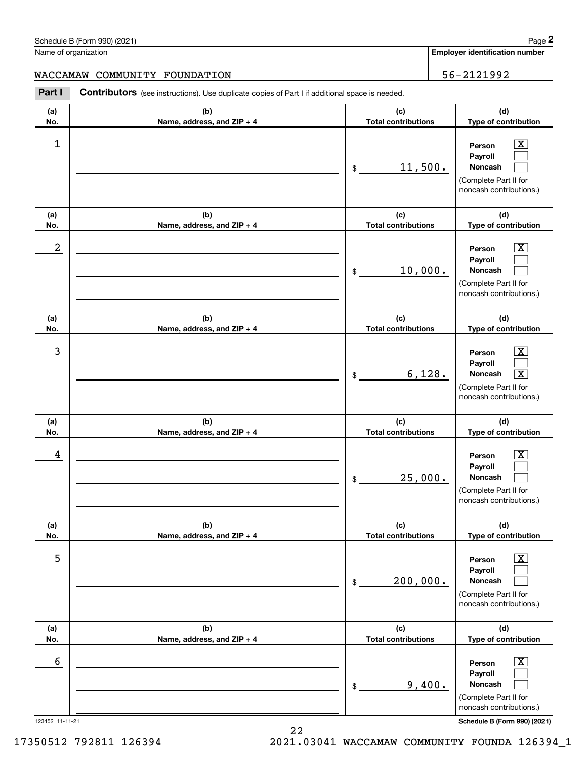|                  | Schedule B (Form 990) (2021)                                                                          |                                   | Page 2                                                                                                                      |
|------------------|-------------------------------------------------------------------------------------------------------|-----------------------------------|-----------------------------------------------------------------------------------------------------------------------------|
|                  | Name of organization                                                                                  |                                   | Employer identification number                                                                                              |
|                  | WACCAMAW COMMUNITY FOUNDATION                                                                         |                                   | 56-2121992                                                                                                                  |
| Part I           | <b>Contributors</b> (see instructions). Use duplicate copies of Part I if additional space is needed. |                                   |                                                                                                                             |
| (a)<br>No.       | (b)<br>Name, address, and ZIP + 4                                                                     | (c)<br><b>Total contributions</b> | (d)<br>Type of contribution                                                                                                 |
| 1                |                                                                                                       | 11,500.<br>\$                     | $\mathbf{X}$<br>Person<br>Payroll<br>Noncash<br>(Complete Part II for<br>noncash contributions.)                            |
| (a)<br>No.       | (b)<br>Name, address, and ZIP + 4                                                                     | (c)<br><b>Total contributions</b> | (d)<br>Type of contribution                                                                                                 |
| $\boldsymbol{2}$ |                                                                                                       | 10,000.<br>\$                     | $\overline{\mathbf{X}}$<br>Person<br>Payroll<br>Noncash<br>(Complete Part II for<br>noncash contributions.)                 |
| (a)<br>No.       | (b)<br>Name, address, and ZIP + 4                                                                     | (c)<br><b>Total contributions</b> | (d)<br>Type of contribution                                                                                                 |
| 3                |                                                                                                       | 6,128.<br>\$                      | $\mathbf{X}$<br>Person<br>Payroll<br>$\overline{\mathbf{X}}$<br>Noncash<br>(Complete Part II for<br>noncash contributions.) |
| (a)<br>No.       | (b)<br>Name, address, and ZIP + 4                                                                     | (c)<br><b>Total contributions</b> | (d)<br>Type of contribution                                                                                                 |
| 4                |                                                                                                       | 25,000.<br>\$                     | $\mathbf{X}$<br>Person<br><b>Payroll</b><br>Noncash<br>(Complete Part II for<br>noncash contributions.)                     |
| (a)<br>No.       | (b)<br>Name, address, and ZIP + 4                                                                     | (c)<br><b>Total contributions</b> | (d)<br>Type of contribution                                                                                                 |
| 5                |                                                                                                       | 200,000.<br>\$                    | $\boxed{\text{X}}$<br>Person<br>Payroll<br>Noncash<br>(Complete Part II for<br>noncash contributions.)                      |
| (a)<br>No.       | (b)<br>Name, address, and ZIP + 4                                                                     | (c)<br><b>Total contributions</b> | (d)<br>Type of contribution                                                                                                 |
| 6                |                                                                                                       | 9,400.<br>\$                      | $\boxed{\text{X}}$<br>Person<br>Payroll<br>Noncash<br>(Complete Part II for<br>noncash contributions.)                      |

123452 11-11-21 **Schedule B (Form 990) (2021)**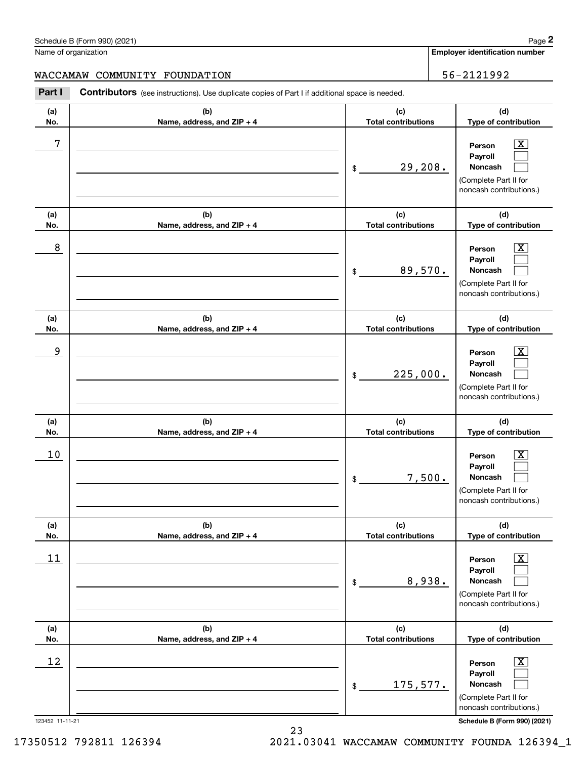Name of organization

WACCAMAW COMMUNITY FOUNDATION 56-2121992

**(a)No.(b)Name, address, and ZIP + 4 (c)Total contributions (d)Type of contribution PersonPayrollNoncash (a)No.(b)Name, address, and ZIP + 4 (c)Total contributions (d)Type of contribution PersonPayrollNoncash (a)No.(b)Name, address, and ZIP + 4 (c)Total contributions (d)Type of contribution PersonPayrollNoncash (a) No.(b) Name, address, and ZIP + 4 (c) Total contributions (d) Type of contribution PersonPayrollNoncash (a) No.(b) Name, address, and ZIP + 4 (c) Total contributions (d) Type of contribution PersonPayrollNoncash (a) No.(b)Name, address, and ZIP + 4 (c) Total contributions (d)Type of contribution PersonPayrollNoncash** Contributors (see instructions). Use duplicate copies of Part I if additional space is needed. \$(Complete Part II for noncash contributions.) \$(Complete Part II for noncash contributions.) \$(Complete Part II for noncash contributions.) \$(Complete Part II for noncash contributions.) \$(Complete Part II for noncash contributions.) \$(Complete Part II for noncash contributions.) **2Page 2**<br>
Iame of organization<br> **2Part I COMMUNITY FOUNDATION**<br> **2Part I Contributors** (see instructions). Use duplicate copies of Part I if additional space is needed.  $|X|$  $\mathcal{L}^{\text{max}}$  $\mathcal{L}^{\text{max}}$  $\boxed{\text{X}}$  $\mathcal{L}^{\text{max}}$  $\mathcal{L}^{\text{max}}$  $|X|$  $\mathcal{L}^{\text{max}}$  $\mathcal{L}^{\text{max}}$  $\boxed{\text{X}}$  $\mathcal{L}^{\text{max}}$  $\mathcal{L}^{\text{max}}$  $\boxed{\text{X}}$  $\mathcal{L}^{\text{max}}$  $\mathcal{L}^{\text{max}}$  $\boxed{\text{X}}$  $\mathcal{L}^{\text{max}}$  $\mathcal{L}^{\text{max}}$ 7 X 29,208. 8 X 89,570. example and the set of the set of the set of the set of the set of the set of the set of the set of the set of 225,000.  $10$  Person  $\overline{\text{X}}$ 7,500.  $11$  Person X 8,938.  $12$  Person X 175,577.

123452 11-11-21 **Schedule B (Form 990) (2021)**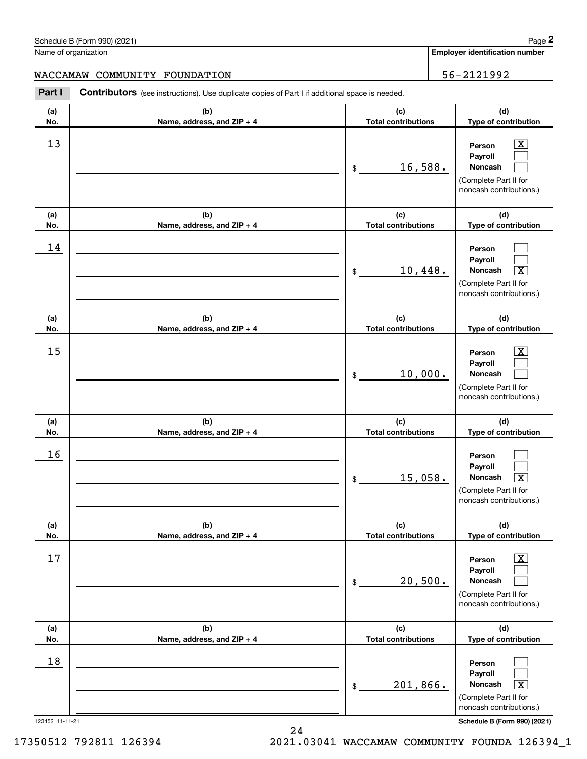Schedule B (Form 990) (2021) Page 2 Name of organization

WACCAMAW COMMUNITY FOUNDATION 56-2121992

**(a)No.(b)Name, address, and ZIP + 4 (c)Total contributions (d)Type of contribution PersonPayrollNoncash (a)No.(b)Name, address, and ZIP + 4 (c)Total contributions (d)Type of contribution PersonPayrollNoncash (a)No.(b)Name, address, and ZIP + 4 (c)Total contributions (d)Type of contribution PersonPayrollNoncash (a) No.(b) Name, address, and ZIP + 4 (c) Total contributions (d) Type of contribution PersonPayrollNoncash(a) No.(b) Name, address, and ZIP + 4 (c) Total contributions (d) Type of contribution PersonPayrollNoncash (a) No.(b)Name, address, and ZIP + 4 (c) Total contributions (d)Type of contribution PersonPayrollNoncash** Contributors (see instructions). Use duplicate copies of Part I if additional space is needed. \$(Complete Part II for noncash contributions.) \$(Complete Part II for noncash contributions.) \$(Complete Part II for noncash contributions.) \$(Complete Part II for noncash contributions.) \$(Complete Part II for noncash contributions.) \$(Complete Part II for noncash contributions.) **2Page 2**<br>
Iame of organization<br> **2Part I COMMUNITY FOUNDATION**<br> **2Part I Contributors** (see instructions). Use duplicate copies of Part I if additional space is needed.  $|X|$  $\mathcal{L}^{\text{max}}$  $\mathcal{L}^{\text{max}}$  $\mathcal{L}^{\text{max}}$  $\mathcal{L}^{\text{max}}$  $\overline{\mathbf{X}}$  $|X|$  $\mathcal{L}^{\text{max}}$  $\mathcal{L}^{\text{max}}$  $\mathcal{L}^{\text{max}}$  $\mathcal{L}^{\text{max}}$  $\lceil \text{X} \rceil$  $\boxed{\text{X}}$  $\mathcal{L}^{\text{max}}$  $\mathcal{L}^{\text{max}}$  $\mathcal{L}^{\text{max}}$  $\mathcal{L}^{\text{max}}$  $\mathbf{X}$  $13$  Person X 16,588. 14 10,448. X  $15$  Person X 10,000. 16  $15,058$ .  $17$  | Person  $\overline{\text{X}}$ 20,500. 18 201,866. X

123452 11-11-21 **Schedule B (Form 990) (2021)**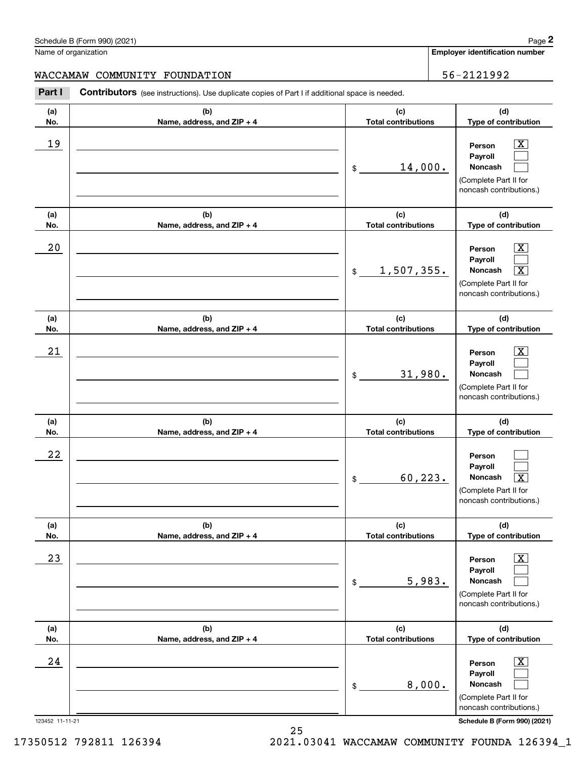Schedule B (Form 990) (2021) Page 2 Name of organization

WACCAMAW COMMUNITY FOUNDATION 56-2121992

**(a)No.(b)Name, address, and ZIP + 4 (c)Total contributions (d)Type of contribution PersonPayrollNoncash (a)No.(b)Name, address, and ZIP + 4 (c)Total contributions (d)Type of contribution PersonPayrollNoncash (a)No.(b)Name, address, and ZIP + 4 (c)Total contributions (d)Type of contribution PersonPayrollNoncash (a) No.(b) Name, address, and ZIP + 4 (c) Total contributions (d) Type of contribution PersonPayrollNoncash (a) No.(b) Name, address, and ZIP + 4 (c) Total contributions (d) Type of contribution PersonPayrollNoncash (a) No.(b)Name, address, and ZIP + 4 (c) Total contributions (d)Type of contribution PersonPayrollNoncash** Contributors (see instructions). Use duplicate copies of Part I if additional space is needed. \$(Complete Part II for noncash contributions.) \$(Complete Part II for noncash contributions.) \$(Complete Part II for noncash contributions.) \$(Complete Part II for noncash contributions.) \$(Complete Part II for noncash contributions.) \$(Complete Part II for noncash contributions.) **2Page 2**<br>
Iame of organization<br> **2Part I COMMUNITY FOUNDATION**<br> **2Part I Contributors** (see instructions). Use duplicate copies of Part I if additional space is needed.  $|X|$  $\mathcal{L}^{\text{max}}$  $\mathcal{L}^{\text{max}}$  $\boxed{\text{X}}$  $\mathcal{L}^{\text{max}}$  $\overline{\mathbf{X}}$  $|X|$  $\mathcal{L}^{\text{max}}$  $\mathcal{L}^{\text{max}}$  $\mathcal{L}^{\text{max}}$  $\mathcal{L}^{\text{max}}$  $\lceil \text{X} \rceil$  $\boxed{\text{X}}$  $\mathcal{L}^{\text{max}}$  $\mathcal{L}^{\text{max}}$  $\boxed{\text{X}}$  $\mathcal{L}^{\text{max}}$  $\mathcal{L}^{\text{max}}$ 19 X 14,000.  $20$  | Person  $\overline{\text{X}}$ 1,507,355. X  $21$  Person X 31,980. 22  $60,223.$  $23$  | Person  $\overline{\text{X}}$ 5,983.  $24$  | Person  $\overline{\text{X}}$ 8,000.

123452 11-11-21 **Schedule B (Form 990) (2021)**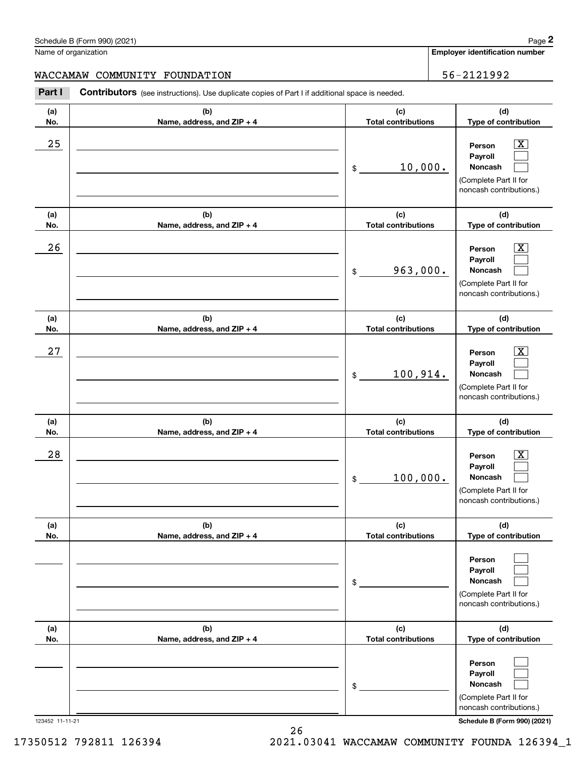Name of organization

WACCAMAW COMMUNITY FOUNDATION 56-2121992

**(a)No.(b)Name, address, and ZIP + 4 (c)Total contributions (d)Type of contribution PersonPayrollNoncash (a)No.(b)Name, address, and ZIP + 4 (c)Total contributions (d)Type of contribution PersonPayrollNoncash (a)No.(b)Name, address, and ZIP + 4 (c)Total contributions (d)Type of contribution PersonPayrollNoncash (a) No.(b) Name, address, and ZIP + 4 (c) Total contributions (d) Type of contribution PersonPayrollNoncash(a) No.(b) Name, address, and ZIP + 4 (c) Total contributions (d) Type of contribution PersonPayrollNoncash(a) No.(b)Name, address, and ZIP + 4 (c) Total contributions (d)Type of contribution PersonPayrollNoncash** Contributors (see instructions). Use duplicate copies of Part I if additional space is needed. \$(Complete Part II for noncash contributions.) \$(Complete Part II for noncash contributions.) \$(Complete Part II for noncash contributions.) \$(Complete Part II for noncash contributions.) \$(Complete Part II for noncash contributions.) \$(Complete Part II for noncash contributions.) **2Page 2**<br>
Iame of organization<br> **2Part I COMMUNITY FOUNDATION**<br> **2Part I Contributors** (see instructions). Use duplicate copies of Part I if additional space is needed.  $|X|$  $\mathcal{L}^{\text{max}}$  $\mathcal{L}^{\text{max}}$  $\boxed{\text{X}}$  $\mathcal{L}^{\text{max}}$  $\mathcal{L}^{\text{max}}$  $|X|$  $\mathcal{L}^{\text{max}}$  $\mathcal{L}^{\text{max}}$  $\boxed{\text{X}}$  $\mathcal{L}^{\text{max}}$  $\mathcal{L}^{\text{max}}$  $\mathcal{L}^{\text{max}}$  $\mathcal{L}^{\text{max}}$  $\mathcal{L}^{\text{max}}$  $\mathcal{L}^{\text{max}}$  $\mathcal{L}^{\text{max}}$  $\mathcal{L}^{\text{max}}$  $25$  | Person  $\overline{\text{X}}$ 10,000.  $26$  | Person  $\overline{\text{X}}$ 963,000.  $27$  | Person  $\overline{\text{X}}$ 100,914.  $28$  | Person  $\overline{\text{X}}$ 100,000.

123452 11-11-21 **Schedule B (Form 990) (2021)**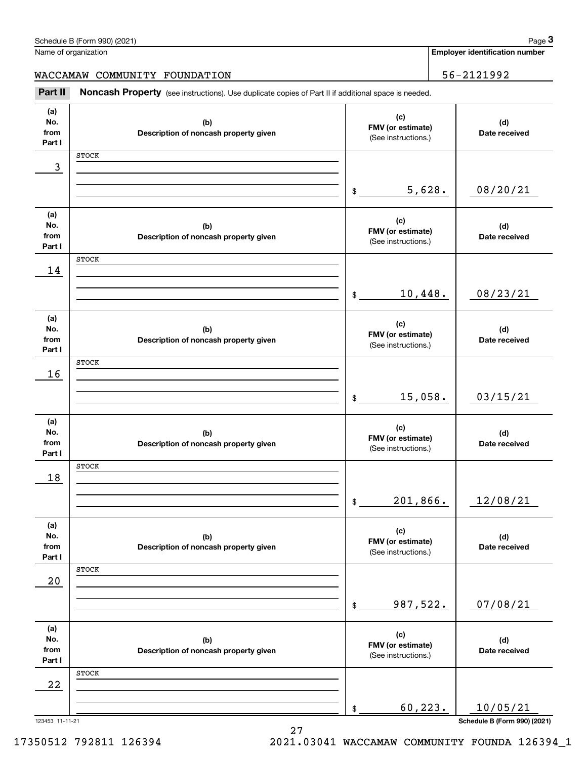|                              | Schedule B (Form 990) (2021)                                                                        |                                                 |        | Page 3                                |
|------------------------------|-----------------------------------------------------------------------------------------------------|-------------------------------------------------|--------|---------------------------------------|
|                              | Name of organization                                                                                |                                                 |        | <b>Employer identification number</b> |
|                              | WACCAMAW COMMUNITY FOUNDATION                                                                       |                                                 |        | 56-2121992                            |
| Part II                      | Noncash Property (see instructions). Use duplicate copies of Part II if additional space is needed. |                                                 |        |                                       |
| (a)<br>No.<br>from<br>Part I | (b)<br>Description of noncash property given                                                        | (c)<br>FMV (or estimate)<br>(See instructions.) |        | (d)<br>Date received                  |
|                              | <b>STOCK</b>                                                                                        |                                                 |        |                                       |
| 3                            |                                                                                                     |                                                 |        |                                       |
|                              |                                                                                                     | \$                                              | 5,628. | 08/20/21                              |
| (a)<br>No.<br>from<br>Part I | (b)<br>Description of noncash property given                                                        | (c)<br>FMV (or estimate)<br>(See instructions.) |        | (d)<br>Date received                  |
|                              | <b>STOCK</b>                                                                                        |                                                 |        |                                       |
| 14                           |                                                                                                     |                                                 |        |                                       |
|                              |                                                                                                     | 10,448.<br>\$                                   |        | 08/23/21                              |
| (a)<br>No.<br>from<br>Part I | (b)<br>Description of noncash property given                                                        | (c)<br>FMV (or estimate)<br>(See instructions.) |        | (d)<br>Date received                  |
|                              | <b>STOCK</b>                                                                                        |                                                 |        |                                       |
| 16                           |                                                                                                     | 15,058.<br>\$                                   |        | 03/15/21                              |
|                              |                                                                                                     |                                                 |        |                                       |
| (a)<br>No.<br>from<br>Part I | (b)<br>Description of noncash property given                                                        | (c)<br>FMV (or estimate)<br>(See instructions.) |        | (d)<br>Date received                  |
|                              | <b>STOCK</b>                                                                                        |                                                 |        |                                       |
| 18                           |                                                                                                     |                                                 |        |                                       |
|                              |                                                                                                     | 201,866.<br>\$                                  |        | 12/08/21                              |
| (a)<br>No.<br>from<br>Part I | (b)<br>Description of noncash property given                                                        | (c)<br>FMV (or estimate)<br>(See instructions.) |        | (d)<br>Date received                  |
|                              | <b>STOCK</b>                                                                                        |                                                 |        |                                       |
| 20                           |                                                                                                     |                                                 |        |                                       |
|                              |                                                                                                     | 987,522.<br>\$                                  |        | 07/08/21                              |
| (a)<br>No.<br>from<br>Part I | (b)<br>Description of noncash property given                                                        | (c)<br>FMV (or estimate)<br>(See instructions.) |        | (d)<br>Date received                  |
|                              | <b>STOCK</b>                                                                                        |                                                 |        |                                       |
| 22                           |                                                                                                     |                                                 |        |                                       |
|                              |                                                                                                     | 60,223.<br>\$                                   |        | 10/05/21                              |
| 123453 11-11-21              |                                                                                                     |                                                 |        | Schedule B (Form 990) (2021)          |

27

Schedule B (Form 990) (2021) Page 3

17350512 792811 126394 2021.03041 WACCAMAW COMMUNITY FOUNDA 126394\_1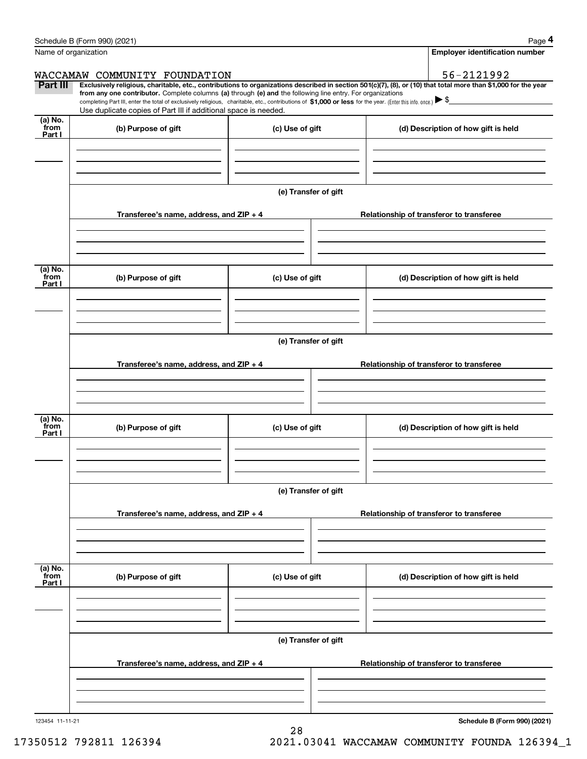|                            | Schedule B (Form 990) (2021)                                                                                                                                                      |                                          | Page 4                                                                                                                                                         |  |  |  |  |
|----------------------------|-----------------------------------------------------------------------------------------------------------------------------------------------------------------------------------|------------------------------------------|----------------------------------------------------------------------------------------------------------------------------------------------------------------|--|--|--|--|
|                            | Name of organization                                                                                                                                                              |                                          | <b>Employer identification number</b>                                                                                                                          |  |  |  |  |
|                            | WACCAMAW COMMUNITY FOUNDATION                                                                                                                                                     |                                          | 56-2121992                                                                                                                                                     |  |  |  |  |
| Part III                   | from any one contributor. Complete columns (a) through (e) and the following line entry. For organizations                                                                        |                                          | Exclusively religious, charitable, etc., contributions to organizations described in section 501(c)(7), (8), or (10) that total more than \$1,000 for the year |  |  |  |  |
|                            | completing Part III, enter the total of exclusively religious, charitable, etc., contributions of \$1,000 or less for the year. (Enter this info. once.) $\blacktriangleright$ \$ |                                          |                                                                                                                                                                |  |  |  |  |
|                            | Use duplicate copies of Part III if additional space is needed.                                                                                                                   |                                          |                                                                                                                                                                |  |  |  |  |
| (a) No.<br>from<br>Part I  | (b) Purpose of gift                                                                                                                                                               | (c) Use of gift                          | (d) Description of how gift is held                                                                                                                            |  |  |  |  |
|                            |                                                                                                                                                                                   |                                          |                                                                                                                                                                |  |  |  |  |
|                            |                                                                                                                                                                                   |                                          |                                                                                                                                                                |  |  |  |  |
|                            |                                                                                                                                                                                   | (e) Transfer of gift                     |                                                                                                                                                                |  |  |  |  |
|                            | Transferee's name, address, and ZIP + 4                                                                                                                                           |                                          | Relationship of transferor to transferee                                                                                                                       |  |  |  |  |
|                            |                                                                                                                                                                                   |                                          |                                                                                                                                                                |  |  |  |  |
|                            |                                                                                                                                                                                   |                                          |                                                                                                                                                                |  |  |  |  |
| (a) No.<br>from<br>Part I  | (b) Purpose of gift                                                                                                                                                               | (c) Use of gift                          | (d) Description of how gift is held                                                                                                                            |  |  |  |  |
|                            |                                                                                                                                                                                   |                                          |                                                                                                                                                                |  |  |  |  |
|                            |                                                                                                                                                                                   |                                          |                                                                                                                                                                |  |  |  |  |
|                            |                                                                                                                                                                                   | (e) Transfer of gift                     |                                                                                                                                                                |  |  |  |  |
|                            | Transferee's name, address, and ZIP + 4                                                                                                                                           | Relationship of transferor to transferee |                                                                                                                                                                |  |  |  |  |
|                            |                                                                                                                                                                                   |                                          |                                                                                                                                                                |  |  |  |  |
|                            |                                                                                                                                                                                   |                                          |                                                                                                                                                                |  |  |  |  |
| (a) No.<br>from<br>Part I  | (b) Purpose of gift                                                                                                                                                               | (c) Use of gift                          | (d) Description of how gift is held                                                                                                                            |  |  |  |  |
|                            |                                                                                                                                                                                   |                                          |                                                                                                                                                                |  |  |  |  |
|                            |                                                                                                                                                                                   |                                          |                                                                                                                                                                |  |  |  |  |
|                            | (e) Transfer of gift                                                                                                                                                              |                                          |                                                                                                                                                                |  |  |  |  |
|                            | Transferee's name, address, and $ZIP + 4$                                                                                                                                         |                                          | Relationship of transferor to transferee                                                                                                                       |  |  |  |  |
|                            |                                                                                                                                                                                   |                                          |                                                                                                                                                                |  |  |  |  |
|                            |                                                                                                                                                                                   |                                          |                                                                                                                                                                |  |  |  |  |
| (a) No.<br>`from<br>Part I | (b) Purpose of gift                                                                                                                                                               | (c) Use of gift                          | (d) Description of how gift is held                                                                                                                            |  |  |  |  |
|                            |                                                                                                                                                                                   |                                          |                                                                                                                                                                |  |  |  |  |
|                            |                                                                                                                                                                                   |                                          |                                                                                                                                                                |  |  |  |  |
|                            |                                                                                                                                                                                   | (e) Transfer of gift                     |                                                                                                                                                                |  |  |  |  |
|                            | Transferee's name, address, and $ZIP + 4$                                                                                                                                         |                                          | Relationship of transferor to transferee                                                                                                                       |  |  |  |  |
|                            |                                                                                                                                                                                   |                                          |                                                                                                                                                                |  |  |  |  |
|                            |                                                                                                                                                                                   |                                          |                                                                                                                                                                |  |  |  |  |
|                            |                                                                                                                                                                                   |                                          | $d_{\text{obs}} = 0$ (Farmer 000) (0004)                                                                                                                       |  |  |  |  |

28

123454 11-11-21

**Schedule B (Form 990) (2021)**

17350512 792811 126394 2021.03041 WACCAMAW COMMUNITY FOUNDA 126394\_1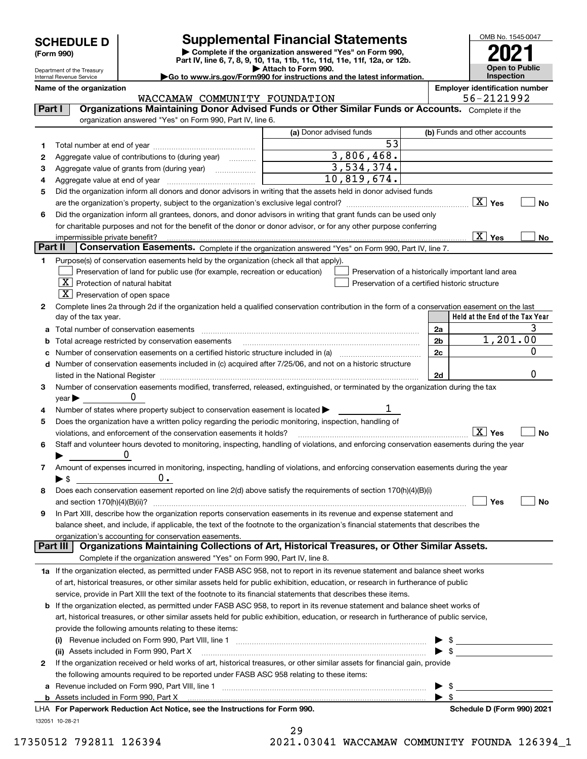Department of the Treasury Internal Revenue Service

**(Form 990)**

## **SCHEDULE D Supplemental Financial Statements**

**| Complete if the organization answered "Yes" on Form 990, Part IV, line 6, 7, 8, 9, 10, 11a, 11b, 11c, 11d, 11e, 11f, 12a, or 12b. | Attach to Form 990.** OMB No. 1545-0047 **Open to Public Inspection2021**

| Go to www.irs.gov/Form990 for instructions and the latest information. |  |
|------------------------------------------------------------------------|--|
|                                                                        |  |

**Name of the organization Employer identification number**

|         | WACCAMAW COMMUNITY FOUNDATION                                                                                                                  |                                                                                                      |                         | 56-2121992                      |
|---------|------------------------------------------------------------------------------------------------------------------------------------------------|------------------------------------------------------------------------------------------------------|-------------------------|---------------------------------|
| Part I  | Organizations Maintaining Donor Advised Funds or Other Similar Funds or Accounts. Complete if the                                              |                                                                                                      |                         |                                 |
|         | organization answered "Yes" on Form 990, Part IV, line 6.                                                                                      |                                                                                                      |                         |                                 |
|         |                                                                                                                                                | (a) Donor advised funds                                                                              |                         | (b) Funds and other accounts    |
| 1       |                                                                                                                                                | 53                                                                                                   |                         |                                 |
| 2       | Aggregate value of contributions to (during year)                                                                                              | 3,806,468.                                                                                           |                         |                                 |
| з       | Aggregate value of grants from (during year)                                                                                                   | $\overline{3,534,374.}$                                                                              |                         |                                 |
| 4       |                                                                                                                                                | 10,819,674.                                                                                          |                         |                                 |
| 5       | Did the organization inform all donors and donor advisors in writing that the assets held in donor advised funds                               |                                                                                                      |                         |                                 |
|         |                                                                                                                                                |                                                                                                      |                         | No                              |
| 6       | Did the organization inform all grantees, donors, and donor advisors in writing that grant funds can be used only                              |                                                                                                      |                         |                                 |
|         | for charitable purposes and not for the benefit of the donor or donor advisor, or for any other purpose conferring                             |                                                                                                      |                         |                                 |
|         | impermissible private benefit?                                                                                                                 |                                                                                                      |                         | $\overline{X}$ Yes<br>No        |
| Part II | Conservation Easements. Complete if the organization answered "Yes" on Form 990, Part IV, line 7.                                              |                                                                                                      |                         |                                 |
|         |                                                                                                                                                |                                                                                                      |                         |                                 |
| 1.      | Purpose(s) of conservation easements held by the organization (check all that apply).                                                          |                                                                                                      |                         |                                 |
|         | Preservation of land for public use (for example, recreation or education)<br>$X$ Protection of natural habitat                                | Preservation of a historically important land area<br>Preservation of a certified historic structure |                         |                                 |
|         |                                                                                                                                                |                                                                                                      |                         |                                 |
|         | $ \mathbf{X} $ Preservation of open space                                                                                                      |                                                                                                      |                         |                                 |
| 2       | Complete lines 2a through 2d if the organization held a qualified conservation contribution in the form of a conservation easement on the last |                                                                                                      |                         | Held at the End of the Tax Year |
|         | day of the tax year.                                                                                                                           |                                                                                                      |                         |                                 |
|         | a Total number of conservation easements                                                                                                       |                                                                                                      | 2a                      | 3<br>1,201.00                   |
|         | Total acreage restricted by conservation easements                                                                                             |                                                                                                      | 2b                      |                                 |
|         | c Number of conservation easements on a certified historic structure included in (a) manufacture included in (a)                               |                                                                                                      | 2c                      | 0                               |
|         | d Number of conservation easements included in (c) acquired after 7/25/06, and not on a historic structure                                     |                                                                                                      |                         |                                 |
|         | listed in the National Register [111] [12] The Mational Register [11] Matter Matter Matter Matter Matter Matter                                |                                                                                                      | 2d                      | 0                               |
| з       | Number of conservation easements modified, transferred, released, extinguished, or terminated by the organization during the tax               |                                                                                                      |                         |                                 |
|         | $\mathsf{year}$                                                                                                                                |                                                                                                      |                         |                                 |
|         | Number of states where property subject to conservation easement is located $\blacktriangleright$                                              |                                                                                                      |                         |                                 |
| 5       | Does the organization have a written policy regarding the periodic monitoring, inspection, handling of                                         |                                                                                                      |                         |                                 |
|         | violations, and enforcement of the conservation easements it holds?                                                                            |                                                                                                      |                         | $X$ Yes<br><b>No</b>            |
| 6       | Staff and volunteer hours devoted to monitoring, inspecting, handling of violations, and enforcing conservation easements during the year      |                                                                                                      |                         |                                 |
|         |                                                                                                                                                |                                                                                                      |                         |                                 |
| 7.      | Amount of expenses incurred in monitoring, inspecting, handling of violations, and enforcing conservation easements during the year            |                                                                                                      |                         |                                 |
|         | υ.<br>▶ \$                                                                                                                                     |                                                                                                      |                         |                                 |
| 8       | Does each conservation easement reported on line 2(d) above satisfy the requirements of section 170(h)(4)(B)(i)                                |                                                                                                      |                         |                                 |
|         | and section $170(h)(4)(B)(ii)?$                                                                                                                |                                                                                                      |                         | Yes<br>No                       |
| 9       | In Part XIII, describe how the organization reports conservation easements in its revenue and expense statement and                            |                                                                                                      |                         |                                 |
|         | balance sheet, and include, if applicable, the text of the footnote to the organization's financial statements that describes the              |                                                                                                      |                         |                                 |
|         | organization's accounting for conservation easements.                                                                                          |                                                                                                      |                         |                                 |
|         | Organizations Maintaining Collections of Art, Historical Treasures, or Other Similar Assets.<br>Part III                                       |                                                                                                      |                         |                                 |
|         | Complete if the organization answered "Yes" on Form 990, Part IV, line 8.                                                                      |                                                                                                      |                         |                                 |
|         | 1a If the organization elected, as permitted under FASB ASC 958, not to report in its revenue statement and balance sheet works                |                                                                                                      |                         |                                 |
|         | of art, historical treasures, or other similar assets held for public exhibition, education, or research in furtherance of public              |                                                                                                      |                         |                                 |
|         | service, provide in Part XIII the text of the footnote to its financial statements that describes these items.                                 |                                                                                                      |                         |                                 |
|         | <b>b</b> If the organization elected, as permitted under FASB ASC 958, to report in its revenue statement and balance sheet works of           |                                                                                                      |                         |                                 |
|         | art, historical treasures, or other similar assets held for public exhibition, education, or research in furtherance of public service,        |                                                                                                      |                         |                                 |
|         | provide the following amounts relating to these items:                                                                                         |                                                                                                      |                         |                                 |
|         |                                                                                                                                                |                                                                                                      |                         | \$                              |
|         | (ii) Assets included in Form 990, Part X                                                                                                       |                                                                                                      | $\blacktriangleright$ s |                                 |
| 2       | If the organization received or held works of art, historical treasures, or other similar assets for financial gain, provide                   |                                                                                                      |                         |                                 |
|         | the following amounts required to be reported under FASB ASC 958 relating to these items:                                                      |                                                                                                      |                         |                                 |
|         |                                                                                                                                                |                                                                                                      |                         | \$                              |
|         |                                                                                                                                                |                                                                                                      | $\blacktriangleright$ s |                                 |
|         | LHA For Paperwork Reduction Act Notice, see the Instructions for Form 990.                                                                     |                                                                                                      |                         | Schedule D (Form 990) 2021      |
|         | 132051 10-28-21                                                                                                                                |                                                                                                      |                         |                                 |

29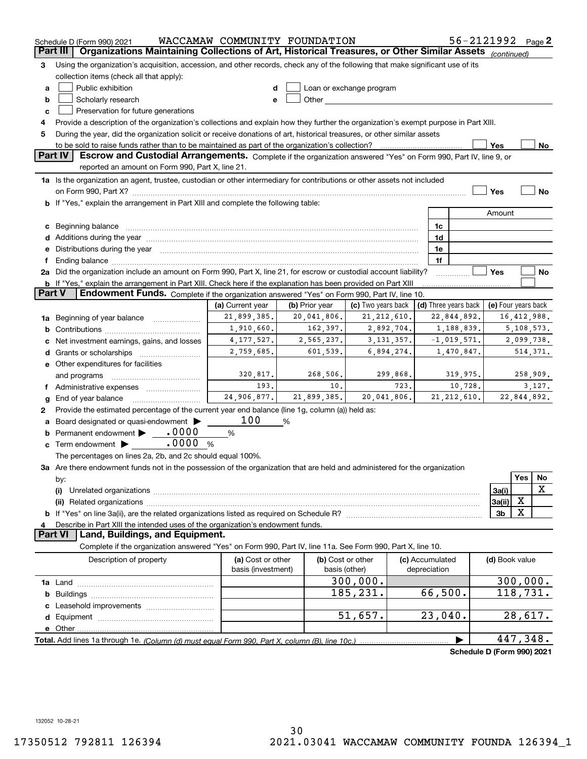|          | Schedule D (Form 990) 2021                                                                                                                                                                                                     | WACCAMAW COMMUNITY FOUNDATION                                    |                   |                          |                 |                      |                          | 56-2121992 Page 2          |
|----------|--------------------------------------------------------------------------------------------------------------------------------------------------------------------------------------------------------------------------------|------------------------------------------------------------------|-------------------|--------------------------|-----------------|----------------------|--------------------------|----------------------------|
| Part III | Organizations Maintaining Collections of Art, Historical Treasures, or Other Similar Assets (continued)                                                                                                                        |                                                                  |                   |                          |                 |                      |                          |                            |
| З        | Using the organization's acquisition, accession, and other records, check any of the following that make significant use of its                                                                                                |                                                                  |                   |                          |                 |                      |                          |                            |
|          | collection items (check all that apply):                                                                                                                                                                                       |                                                                  |                   |                          |                 |                      |                          |                            |
| a        | Public exhibition                                                                                                                                                                                                              | d                                                                |                   | Loan or exchange program |                 |                      |                          |                            |
| b        | Scholarly research                                                                                                                                                                                                             | e                                                                |                   |                          |                 |                      |                          |                            |
| c        | Preservation for future generations                                                                                                                                                                                            |                                                                  |                   |                          |                 |                      |                          |                            |
| 4        | Provide a description of the organization's collections and explain how they further the organization's exempt purpose in Part XIII.                                                                                           |                                                                  |                   |                          |                 |                      |                          |                            |
| 5        | During the year, did the organization solicit or receive donations of art, historical treasures, or other similar assets                                                                                                       |                                                                  |                   |                          |                 |                      |                          |                            |
|          | to be sold to raise funds rather than to be maintained as part of the organization's collection?<br>Yes<br>No                                                                                                                  |                                                                  |                   |                          |                 |                      |                          |                            |
|          | Part IV<br>Escrow and Custodial Arrangements. Complete if the organization answered "Yes" on Form 990, Part IV, line 9, or<br>reported an amount on Form 990, Part X, line 21.                                                 |                                                                  |                   |                          |                 |                      |                          |                            |
|          | 1a Is the organization an agent, trustee, custodian or other intermediary for contributions or other assets not included                                                                                                       |                                                                  |                   |                          |                 |                      |                          |                            |
|          | on Form 990, Part X? [11] matter contracts and contracts and contracts are contracted to the set of the set of                                                                                                                 |                                                                  |                   |                          |                 |                      | Yes                      | <b>No</b>                  |
|          | If "Yes," explain the arrangement in Part XIII and complete the following table:                                                                                                                                               |                                                                  |                   |                          |                 |                      |                          |                            |
|          |                                                                                                                                                                                                                                |                                                                  |                   |                          |                 |                      | Amount                   |                            |
| c        |                                                                                                                                                                                                                                |                                                                  |                   |                          | 1c              |                      |                          |                            |
| d        | Additions during the year manufactured and an according to the year manufactured and according the year manufactured and according the year manufactured and according the year manufactured and according the year manufactur |                                                                  |                   |                          | 1d              |                      |                          |                            |
| е        | Distributions during the year manufactured and continuum and contained and the parameter of the set of the set of the set of the set of the set of the set of the set of the set of the set of the set of the set of the set o |                                                                  |                   |                          | 1e              |                      |                          |                            |
|          | 1f                                                                                                                                                                                                                             |                                                                  |                   |                          |                 |                      |                          |                            |
|          | 2a Did the organization include an amount on Form 990, Part X, line 21, for escrow or custodial account liability?                                                                                                             |                                                                  |                   |                          |                 |                      | Yes                      | No                         |
|          | <b>b</b> If "Yes," explain the arrangement in Part XIII. Check here if the explanation has been provided on Part XIII                                                                                                          |                                                                  |                   |                          |                 |                      |                          |                            |
| Part V   | Endowment Funds. Complete if the organization answered "Yes" on Form 990, Part IV, line 10.                                                                                                                                    |                                                                  |                   |                          |                 |                      |                          |                            |
|          |                                                                                                                                                                                                                                | (a) Current year                                                 | (b) Prior year    | (c) Two years back       |                 | (d) Three years back |                          | (e) Four years back        |
| 1a       | Beginning of year balance                                                                                                                                                                                                      | 21,899,385.<br>20,041,806.<br>21, 212, 610.<br>22,844,892.       |                   |                          |                 |                      |                          | 16, 412, 988.              |
| b        |                                                                                                                                                                                                                                | 1,910,660.<br>162,397.<br>2,892,704.<br>1,188,839.<br>5,108,573. |                   |                          |                 |                      |                          |                            |
|          | Net investment earnings, gains, and losses                                                                                                                                                                                     | 4, 177, 527.                                                     | 2,565,237.        | 3, 131, 357.             | $-1,019,571.$   |                      | 2,099,738.               |                            |
| d        |                                                                                                                                                                                                                                | 2,759,685.                                                       | 601,539.          | 6,894,274.               |                 | 1,470,847.           |                          | 514, 371.                  |
|          | e Other expenditures for facilities                                                                                                                                                                                            |                                                                  |                   |                          |                 |                      |                          |                            |
|          | and programs                                                                                                                                                                                                                   | 320,817.                                                         | 268,506.          | 299,868.                 |                 | 319,975.             |                          | 258,909.                   |
|          | f Administrative expenses                                                                                                                                                                                                      | 193.                                                             | 10.               | 723.                     |                 | 10,728.              |                          | 3,127.                     |
| g        | End of year balance                                                                                                                                                                                                            | 24,906,877.                                                      | 21,899,385.       | 20,041,806.              |                 | 21, 212, 610.        |                          | 22,844,892.                |
| 2        | Provide the estimated percentage of the current year end balance (line 1g, column (a)) held as:                                                                                                                                |                                                                  |                   |                          |                 |                      |                          |                            |
|          | Board designated or quasi-endowment                                                                                                                                                                                            | 100                                                              | %                 |                          |                 |                      |                          |                            |
|          | Permanent endowment > 0000                                                                                                                                                                                                     | %                                                                |                   |                          |                 |                      |                          |                            |
| c        | Term endowment <b>Department</b> 10000<br>%                                                                                                                                                                                    |                                                                  |                   |                          |                 |                      |                          |                            |
|          | The percentages on lines 2a, 2b, and 2c should equal 100%.                                                                                                                                                                     |                                                                  |                   |                          |                 |                      |                          |                            |
|          | 3a Are there endowment funds not in the possession of the organization that are held and administered for the organization                                                                                                     |                                                                  |                   |                          |                 |                      |                          | Yes                        |
|          | by:                                                                                                                                                                                                                            |                                                                  |                   |                          |                 |                      |                          | No.<br>Χ                   |
|          | (i)                                                                                                                                                                                                                            |                                                                  |                   |                          |                 |                      | 3a(i)                    | х                          |
|          |                                                                                                                                                                                                                                |                                                                  |                   |                          |                 |                      | 3a(ii)<br>3 <sub>b</sub> | X                          |
|          |                                                                                                                                                                                                                                |                                                                  |                   |                          |                 |                      |                          |                            |
|          | Describe in Part XIII the intended uses of the organization's endowment funds.<br>Land, Buildings, and Equipment.<br>Part VI                                                                                                   |                                                                  |                   |                          |                 |                      |                          |                            |
|          | Complete if the organization answered "Yes" on Form 990, Part IV, line 11a. See Form 990, Part X, line 10.                                                                                                                     |                                                                  |                   |                          |                 |                      |                          |                            |
|          | Description of property                                                                                                                                                                                                        | (a) Cost or other                                                | (b) Cost or other |                          | (c) Accumulated |                      | (d) Book value           |                            |
|          |                                                                                                                                                                                                                                | basis (investment)                                               | basis (other)     |                          | depreciation    |                      |                          |                            |
|          |                                                                                                                                                                                                                                |                                                                  |                   | 300,000.                 |                 |                      |                          | 300,000.                   |
| b        |                                                                                                                                                                                                                                |                                                                  |                   | 185,231.                 | 66,500.         |                      |                          | 118,731.                   |
|          |                                                                                                                                                                                                                                |                                                                  |                   |                          |                 |                      |                          |                            |
| d        |                                                                                                                                                                                                                                |                                                                  |                   | 51,657.                  | 23,040.         |                      |                          | 28,617.                    |
|          | e Other                                                                                                                                                                                                                        |                                                                  |                   |                          |                 |                      |                          |                            |
|          |                                                                                                                                                                                                                                |                                                                  |                   |                          |                 |                      |                          | 447,348.                   |
|          |                                                                                                                                                                                                                                |                                                                  |                   |                          |                 |                      |                          | Cahadule D (Faum 000) 0004 |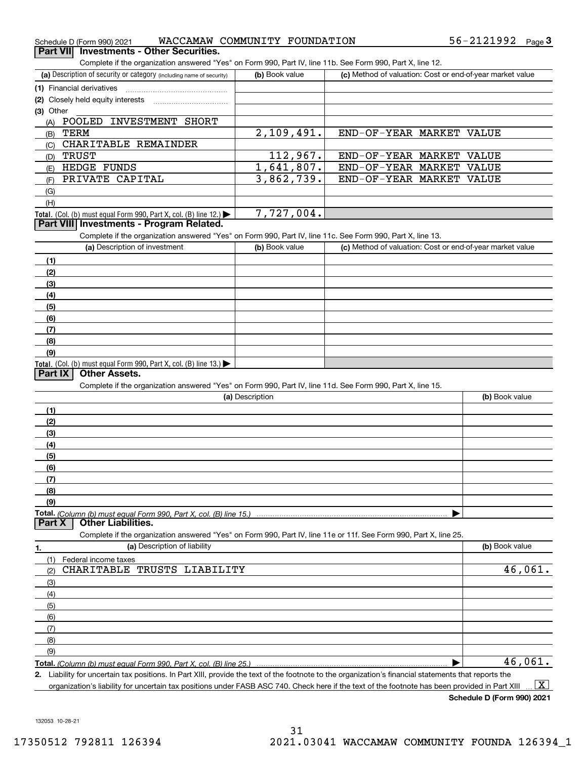| Schedule D (Form 990) 2021                                                                                                                           | WACCAMAW COMMUNITY FOUNDATION |                          | 56-2121992<br>Page $3$                                    |
|------------------------------------------------------------------------------------------------------------------------------------------------------|-------------------------------|--------------------------|-----------------------------------------------------------|
| <b>Investments - Other Securities.</b><br>Part VIII                                                                                                  |                               |                          |                                                           |
| Complete if the organization answered "Yes" on Form 990, Part IV, line 11b. See Form 990, Part X, line 12.                                           |                               |                          |                                                           |
| (a) Description of security or category (including name of security)                                                                                 | (b) Book value                |                          | (c) Method of valuation: Cost or end-of-year market value |
|                                                                                                                                                      |                               |                          |                                                           |
|                                                                                                                                                      |                               |                          |                                                           |
| (3) Other                                                                                                                                            |                               |                          |                                                           |
| (A) POOLED INVESTMENT SHORT                                                                                                                          |                               |                          |                                                           |
| <b>TERM</b><br>(B)                                                                                                                                   | 2,109,491.                    | END-OF-YEAR MARKET VALUE |                                                           |
| (C) CHARITABLE REMAINDER                                                                                                                             |                               |                          |                                                           |
| <b>TRUST</b><br>(D)                                                                                                                                  | 112,967.                      | END-OF-YEAR MARKET VALUE |                                                           |
| HEDGE FUNDS<br>(E)                                                                                                                                   | 1,641,807.                    | END-OF-YEAR MARKET VALUE |                                                           |
| PRIVATE CAPITAL                                                                                                                                      | 3,862,739.                    | END-OF-YEAR MARKET VALUE |                                                           |
| (F)                                                                                                                                                  |                               |                          |                                                           |
| (G)                                                                                                                                                  |                               |                          |                                                           |
| (H)                                                                                                                                                  |                               |                          |                                                           |
| Total. (Col. (b) must equal Form 990, Part X, col. (B) line 12.)<br>Part VIII Investments - Program Related.                                         | 7,727,004.                    |                          |                                                           |
|                                                                                                                                                      |                               |                          |                                                           |
| Complete if the organization answered "Yes" on Form 990, Part IV, line 11c. See Form 990, Part X, line 13.                                           |                               |                          |                                                           |
| (a) Description of investment                                                                                                                        | (b) Book value                |                          | (c) Method of valuation: Cost or end-of-year market value |
| (1)                                                                                                                                                  |                               |                          |                                                           |
| (2)                                                                                                                                                  |                               |                          |                                                           |
| (3)                                                                                                                                                  |                               |                          |                                                           |
| (4)                                                                                                                                                  |                               |                          |                                                           |
| (5)                                                                                                                                                  |                               |                          |                                                           |
| (6)                                                                                                                                                  |                               |                          |                                                           |
| (7)                                                                                                                                                  |                               |                          |                                                           |
| (8)                                                                                                                                                  |                               |                          |                                                           |
| (9)                                                                                                                                                  |                               |                          |                                                           |
| Total. (Col. (b) must equal Form 990, Part X, col. (B) line 13.)                                                                                     |                               |                          |                                                           |
| <b>Other Assets.</b><br>Part $ X $                                                                                                                   |                               |                          |                                                           |
| Complete if the organization answered "Yes" on Form 990, Part IV, line 11d. See Form 990, Part X, line 15.                                           |                               |                          |                                                           |
|                                                                                                                                                      | (a) Description               |                          | (b) Book value                                            |
| (1)                                                                                                                                                  |                               |                          |                                                           |
| (2)                                                                                                                                                  |                               |                          |                                                           |
| (3)                                                                                                                                                  |                               |                          |                                                           |
| (4)                                                                                                                                                  |                               |                          |                                                           |
| (5)                                                                                                                                                  |                               |                          |                                                           |
| (6)                                                                                                                                                  |                               |                          |                                                           |
| (7)                                                                                                                                                  |                               |                          |                                                           |
| (8)                                                                                                                                                  |                               |                          |                                                           |
| (9)                                                                                                                                                  |                               |                          |                                                           |
|                                                                                                                                                      |                               |                          |                                                           |
| <b>Other Liabilities.</b><br>Part X                                                                                                                  |                               |                          |                                                           |
| Complete if the organization answered "Yes" on Form 990, Part IV, line 11e or 11f. See Form 990, Part X, line 25.                                    |                               |                          |                                                           |
| (a) Description of liability                                                                                                                         |                               |                          | (b) Book value                                            |
| 1.                                                                                                                                                   |                               |                          |                                                           |
| Federal income taxes<br>(1)<br>CHARITABLE TRUSTS LIABILITY                                                                                           |                               |                          | 46,061.                                                   |
| (2)                                                                                                                                                  |                               |                          |                                                           |
| (3)                                                                                                                                                  |                               |                          |                                                           |
| (4)                                                                                                                                                  |                               |                          |                                                           |
| (5)                                                                                                                                                  |                               |                          |                                                           |
| (6)                                                                                                                                                  |                               |                          |                                                           |
| (7)                                                                                                                                                  |                               |                          |                                                           |
| (8)                                                                                                                                                  |                               |                          |                                                           |
| (9)                                                                                                                                                  |                               |                          |                                                           |
|                                                                                                                                                      |                               |                          | 46,061.                                                   |
| 2. Liability for uncertain tax positions. In Part XIII, provide the text of the footnote to the organization's financial statements that reports the |                               |                          |                                                           |

organization's liability for uncertain tax positions under FASB ASC 740. Check here if the text of the footnote has been provided in Part XIII  $\,$  ...  $\overline{\rm X}$ 

**Schedule D (Form 990) 2021**

132053 10-28-21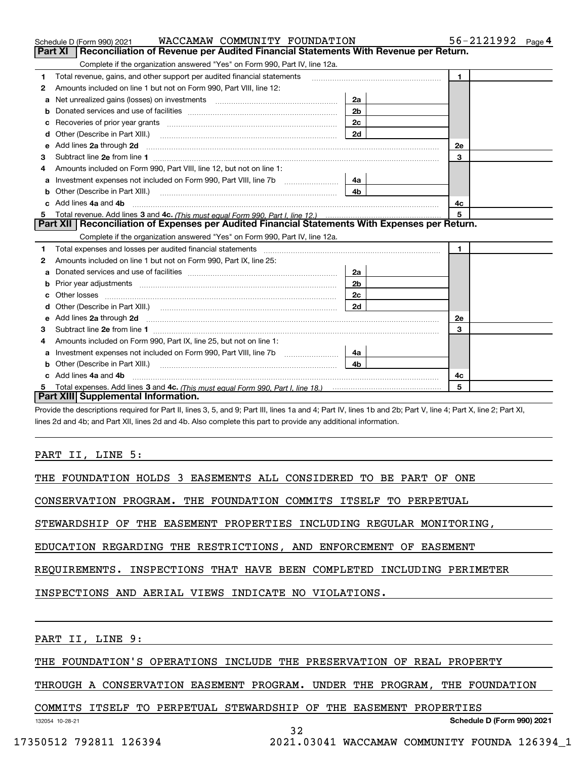|    | WACCAMAW COMMUNITY FOUNDATION<br>Schedule D (Form 990) 2021                                                                                                                                                                         | 56-2121992<br>Page 4 |                |
|----|-------------------------------------------------------------------------------------------------------------------------------------------------------------------------------------------------------------------------------------|----------------------|----------------|
|    | <b>Part XI</b><br>Reconciliation of Revenue per Audited Financial Statements With Revenue per Return.                                                                                                                               |                      |                |
|    | Complete if the organization answered "Yes" on Form 990, Part IV, line 12a.                                                                                                                                                         |                      |                |
| 1  | Total revenue, gains, and other support per audited financial statements                                                                                                                                                            |                      | $\blacksquare$ |
| 2  | Amounts included on line 1 but not on Form 990, Part VIII, line 12:                                                                                                                                                                 |                      |                |
| a  |                                                                                                                                                                                                                                     | 2a                   |                |
|    |                                                                                                                                                                                                                                     | 2 <sub>b</sub>       |                |
| с  | Recoveries of prior year grants [111] matter contracts and prior year grants [11] matter contracts and prior year grants and an intervention and an intervention and an intervention and an intervention and an intervention a      | 2c                   |                |
| d  |                                                                                                                                                                                                                                     | 2d                   |                |
| е  | Add lines 2a through 2d                                                                                                                                                                                                             |                      | 2e             |
| 3  |                                                                                                                                                                                                                                     |                      | 3              |
| 4  | Amounts included on Form 990, Part VIII, line 12, but not on line 1:                                                                                                                                                                |                      |                |
|    |                                                                                                                                                                                                                                     | - 4а                 |                |
| b  |                                                                                                                                                                                                                                     | 4 <sub>b</sub>       |                |
| c. | Add lines 4a and 4b                                                                                                                                                                                                                 |                      | 4c             |
| 5  |                                                                                                                                                                                                                                     |                      | 5              |
|    | Part XII   Reconciliation of Expenses per Audited Financial Statements With Expenses per Return.                                                                                                                                    |                      |                |
|    | Complete if the organization answered "Yes" on Form 990, Part IV, line 12a.                                                                                                                                                         |                      |                |
| 1  |                                                                                                                                                                                                                                     |                      | $\mathbf{1}$   |
| 2  | Amounts included on line 1 but not on Form 990, Part IX, line 25:                                                                                                                                                                   |                      |                |
| a  |                                                                                                                                                                                                                                     | 2a                   |                |
| b  |                                                                                                                                                                                                                                     | 2 <sub>b</sub>       |                |
| c  |                                                                                                                                                                                                                                     | 2 <sub>c</sub>       |                |
| d  |                                                                                                                                                                                                                                     | 2d                   |                |
| е  | Add lines 2a through 2d <b>must be a constructed as the constant of the S2a</b> through 2d must be a constructed as a construction of the set of the set of the set of the set of the set of the set of the set of the set of the s |                      | 2e             |
| 3  |                                                                                                                                                                                                                                     |                      | 3              |
| 4  | Amounts included on Form 990, Part IX, line 25, but not on line 1:                                                                                                                                                                  |                      |                |
| a  | Investment expenses not included on Form 990, Part VIII, line 7b [111] [11] [12]                                                                                                                                                    | 4a l                 |                |
| b  |                                                                                                                                                                                                                                     | 4b                   |                |
|    | Add lines 4a and 4b                                                                                                                                                                                                                 |                      | 4с             |
|    |                                                                                                                                                                                                                                     |                      | 5              |
|    | Part XIII Supplemental Information.                                                                                                                                                                                                 |                      |                |

Provide the descriptions required for Part II, lines 3, 5, and 9; Part III, lines 1a and 4; Part IV, lines 1b and 2b; Part V, line 4; Part X, line 2; Part XI, lines 2d and 4b; and Part XII, lines 2d and 4b. Also complete this part to provide any additional information.

### PART II, LINE 5:

THE FOUNDATION HOLDS 3 EASEMENTS ALL CONSIDERED TO BE PART OF ONE

CONSERVATION PROGRAM. THE FOUNDATION COMMITS ITSELF TO PERPETUAL

STEWARDSHIP OF THE EASEMENT PROPERTIES INCLUDING REGULAR MONITORING,

EDUCATION REGARDING THE RESTRICTIONS, AND ENFORCEMENT OF EASEMENT

REQUIREMENTS. INSPECTIONS THAT HAVE BEEN COMPLETED INCLUDING PERIMETER

INSPECTIONS AND AERIAL VIEWS INDICATE NO VIOLATIONS.

PART II, LINE 9:

THE FOUNDATION'S OPERATIONS INCLUDE THE PRESERVATION OF REAL PROPERTY

THROUGH A CONSERVATION EASEMENT PROGRAM. UNDER THE PROGRAM, THE FOUNDATION

COMMITS ITSELF TO PERPETUAL STEWARDSHIP OF THE EASEMENT PROPERTIES

**Schedule D (Form 990) 2021**

132054 10-28-21

32

17350512 792811 126394 2021.03041 WACCAMAW COMMUNITY FOUNDA 126394\_1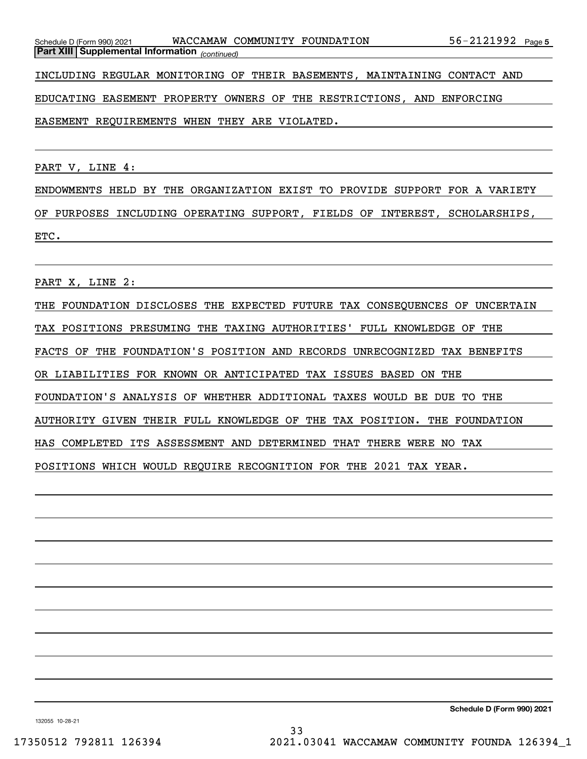*(continued)* **Part XIII Supplemental Information** 

INCLUDING REGULAR MONITORING OF THEIR BASEMENTS, MAINTAINING CONTACT AND

EDUCATING EASEMENT PROPERTY OWNERS OF THE RESTRICTIONS, AND ENFORCING

EASEMENT REQUIREMENTS WHEN THEY ARE VIOLATED.

PART V, LINE 4:

ENDOWMENTS HELD BY THE ORGANIZATION EXIST TO PROVIDE SUPPORT FOR A VARIETY OF PURPOSES INCLUDING OPERATING SUPPORT, FIELDS OF INTEREST, SCHOLARSHIPS, ETC.

PART X, LINE 2:

THE FOUNDATION DISCLOSES THE EXPECTED FUTURE TAX CONSEQUENCES OF UNCERTAIN TAX POSITIONS PRESUMING THE TAXING AUTHORITIES' FULL KNOWLEDGE OF THE FACTS OF THE FOUNDATION'S POSITION AND RECORDS UNRECOGNIZED TAX BENEFITS OR LIABILITIES FOR KNOWN OR ANTICIPATED TAX ISSUES BASED ON THE FOUNDATION'S ANALYSIS OF WHETHER ADDITIONAL TAXES WOULD BE DUE TO THE AUTHORITY GIVEN THEIR FULL KNOWLEDGE OF THE TAX POSITION. THE FOUNDATION HAS COMPLETED ITS ASSESSMENT AND DETERMINED THAT THERE WERE NO TAX POSITIONS WHICH WOULD REQUIRE RECOGNITION FOR THE 2021 TAX YEAR.

**Schedule D (Form 990) 2021**

132055 10-28-21

33 17350512 792811 126394 2021.03041 WACCAMAW COMMUNITY FOUNDA 126394\_1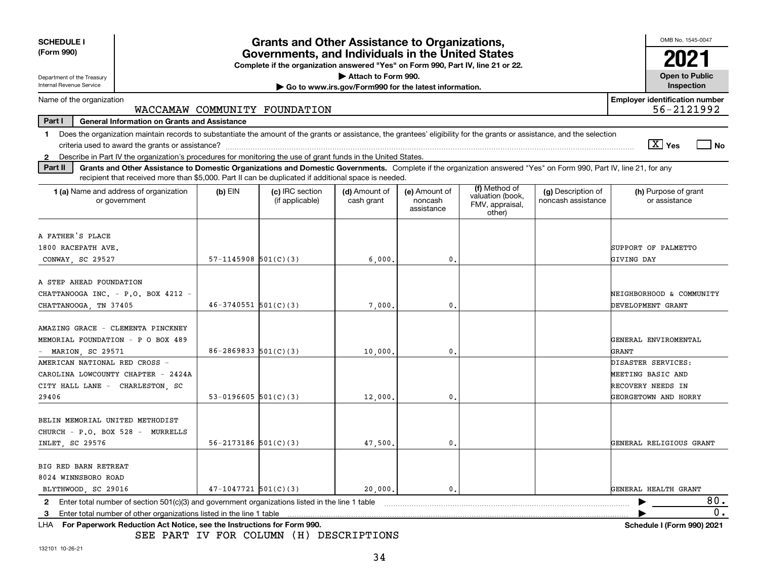| <b>SCHEDULE I</b><br>(Form 990)                                                                                                                                                                                                                                                                                                                   | <b>Grants and Other Assistance to Organizations,</b><br>Governments, and Individuals in the United States<br>Complete if the organization answered "Yes" on Form 990, Part IV, line 21 or 22. |                                    |                                                                              |                                        |                                                                |                                          |                                                                                      |
|---------------------------------------------------------------------------------------------------------------------------------------------------------------------------------------------------------------------------------------------------------------------------------------------------------------------------------------------------|-----------------------------------------------------------------------------------------------------------------------------------------------------------------------------------------------|------------------------------------|------------------------------------------------------------------------------|----------------------------------------|----------------------------------------------------------------|------------------------------------------|--------------------------------------------------------------------------------------|
| Department of the Treasury<br>Internal Revenue Service                                                                                                                                                                                                                                                                                            |                                                                                                                                                                                               |                                    | Attach to Form 990.<br>Go to www.irs.gov/Form990 for the latest information. |                                        |                                                                |                                          | <b>Open to Public</b><br>Inspection                                                  |
| Name of the organization                                                                                                                                                                                                                                                                                                                          |                                                                                                                                                                                               | WACCAMAW COMMUNITY FOUNDATION      |                                                                              |                                        |                                                                |                                          | <b>Employer identification number</b><br>56-2121992                                  |
| Part I<br><b>General Information on Grants and Assistance</b>                                                                                                                                                                                                                                                                                     |                                                                                                                                                                                               |                                    |                                                                              |                                        |                                                                |                                          |                                                                                      |
| Does the organization maintain records to substantiate the amount of the grants or assistance, the grantees' eligibility for the grants or assistance, and the selection<br>1.<br>$\boxed{\text{X}}$ Yes<br>  No<br>Describe in Part IV the organization's procedures for monitoring the use of grant funds in the United States.<br>$\mathbf{2}$ |                                                                                                                                                                                               |                                    |                                                                              |                                        |                                                                |                                          |                                                                                      |
| Part II<br>Grants and Other Assistance to Domestic Organizations and Domestic Governments. Complete if the organization answered "Yes" on Form 990, Part IV, line 21, for any<br>recipient that received more than \$5,000. Part II can be duplicated if additional space is needed.                                                              |                                                                                                                                                                                               |                                    |                                                                              |                                        |                                                                |                                          |                                                                                      |
| 1 (a) Name and address of organization<br>or government                                                                                                                                                                                                                                                                                           | $(b)$ EIN                                                                                                                                                                                     | (c) IRC section<br>(if applicable) | (d) Amount of<br>cash grant                                                  | (e) Amount of<br>noncash<br>assistance | (f) Method of<br>valuation (book,<br>FMV, appraisal,<br>other) | (g) Description of<br>noncash assistance | (h) Purpose of grant<br>or assistance                                                |
| A FATHER'S PLACE<br>1800 RACEPATH AVE.<br>CONWAY SC 29527                                                                                                                                                                                                                                                                                         | $57-1145908$ $501(C)(3)$                                                                                                                                                                      |                                    | 6.000                                                                        | 0.                                     |                                                                |                                          | SUPPORT OF PALMETTO<br>GIVING DAY                                                    |
| A STEP AHEAD FOUNDATION<br>CHATTANOOGA INC. - P.O. BOX 4212 -<br>CHATTANOOGA, TN 37405                                                                                                                                                                                                                                                            | $46 - 3740551$ $501(C)(3)$                                                                                                                                                                    |                                    | 7,000,                                                                       | 0.                                     |                                                                |                                          | NEIGHBORHOOD & COMMUNITY<br>DEVELOPMENT GRANT                                        |
| AMAZING GRACE - CLEMENTA PINCKNEY<br>MEMORIAL FOUNDATION - P O BOX 489<br>MARION, SC 29571                                                                                                                                                                                                                                                        | $86 - 2869833$ $501(C)(3)$                                                                                                                                                                    |                                    | 10,000                                                                       | 0.                                     |                                                                |                                          | GENERAL ENVIROMENTAL<br>GRANT                                                        |
| AMERICAN NATIONAL RED CROSS -<br>CAROLINA LOWCOUNTY CHAPTER - 2424A<br>CITY HALL LANE - CHARLESTON, SC<br>29406                                                                                                                                                                                                                                   | 53-0196605 $501(C)(3)$                                                                                                                                                                        |                                    | 12,000,                                                                      | 0.                                     |                                                                |                                          | DISASTER SERVICES:<br>MEETING BASIC AND<br>RECOVERY NEEDS IN<br>GEORGETOWN AND HORRY |
| BELIN MEMORIAL UNITED METHODIST<br>CHURCH - P.O. BOX 528 - MURRELLS<br>INLET, SC 29576                                                                                                                                                                                                                                                            | $56 - 2173186$ $501(C)(3)$                                                                                                                                                                    |                                    | 47,500.                                                                      | $\mathbf{0}$ .                         |                                                                |                                          | GENERAL RELIGIOUS GRANT                                                              |
| BIG RED BARN RETREAT<br>8024 WINNSBORO ROAD<br>BLYTHWOOD, SC 29016                                                                                                                                                                                                                                                                                | $47-1047721$ 501(C)(3)                                                                                                                                                                        |                                    | 20,000.                                                                      | 0.                                     |                                                                |                                          | GENERAL HEALTH GRANT                                                                 |
| Enter total number of section 501(c)(3) and government organizations listed in the line 1 table<br>$\mathbf{2}$                                                                                                                                                                                                                                   |                                                                                                                                                                                               |                                    |                                                                              |                                        |                                                                |                                          | 80.                                                                                  |
| Enter total number of other organizations listed in the line 1 table<br>3                                                                                                                                                                                                                                                                         |                                                                                                                                                                                               |                                    |                                                                              |                                        |                                                                |                                          | 0.                                                                                   |
| LHA For Paperwork Reduction Act Notice, see the Instructions for Form 990.                                                                                                                                                                                                                                                                        |                                                                                                                                                                                               |                                    |                                                                              |                                        |                                                                |                                          | Schedule I (Form 990) 2021                                                           |

SEE PART IV FOR COLUMN (H) DESCRIPTIONS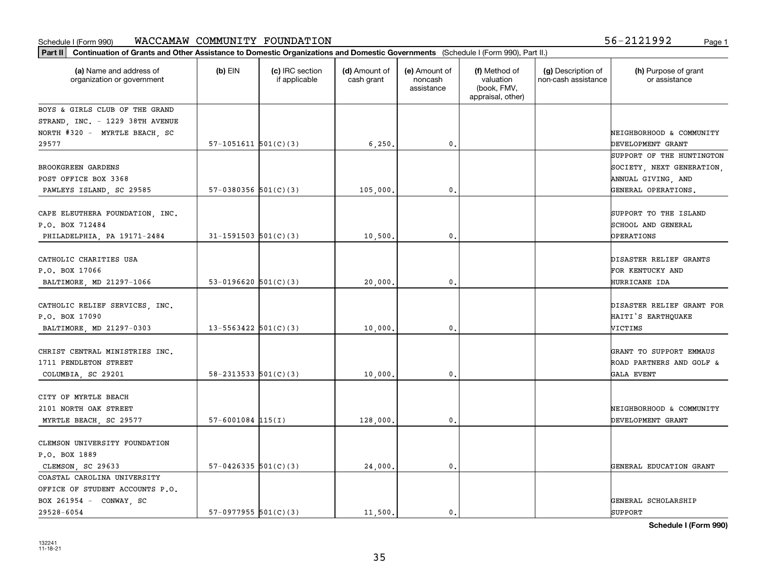**Part II Continuation of Grants and Other Assistance to Domestic Organizations and Domestic Governments**  (Schedule I (Form 990), Part II.)

| 132241   |  |
|----------|--|
| 11-18-21 |  |
|          |  |
|          |  |

| (a) Name and address of<br>organization or government | $(b)$ EIN                  | (c) IRC section<br>if applicable | (d) Amount of<br>cash grant | (e) Amount of<br>noncash<br>assistance | (f) Method of<br>valuation<br>(book, FMV,<br>appraisal, other) | (g) Description of<br>non-cash assistance | (h) Purpose of grant<br>or assistance |
|-------------------------------------------------------|----------------------------|----------------------------------|-----------------------------|----------------------------------------|----------------------------------------------------------------|-------------------------------------------|---------------------------------------|
| BOYS & GIRLS CLUB OF THE GRAND                        |                            |                                  |                             |                                        |                                                                |                                           |                                       |
| STRAND, INC. - 1229 38TH AVENUE                       |                            |                                  |                             |                                        |                                                                |                                           |                                       |
| NORTH #320 - MYRTLE BEACH, SC                         |                            |                                  |                             |                                        |                                                                |                                           | NEIGHBORHOOD & COMMUNITY              |
| 29577                                                 | $57-1051611$ $501(C)(3)$   |                                  | 6, 250.                     | 0.                                     |                                                                |                                           | DEVELOPMENT GRANT                     |
|                                                       |                            |                                  |                             |                                        |                                                                |                                           | SUPPORT OF THE HUNTINGTON             |
| <b>BROOKGREEN GARDENS</b>                             |                            |                                  |                             |                                        |                                                                |                                           | SOCIETY, NEXT GENERATION,             |
| POST OFFICE BOX 3368                                  |                            |                                  |                             |                                        |                                                                |                                           | ANNUAL GIVING, AND                    |
| PAWLEYS ISLAND, SC 29585                              | $57-0380356$ $501(C)(3)$   |                                  | 105,000.                    | 0.                                     |                                                                |                                           | GENERAL OPERATIONS.                   |
|                                                       |                            |                                  |                             |                                        |                                                                |                                           |                                       |
| CAPE ELEUTHERA FOUNDATION, INC.                       |                            |                                  |                             |                                        |                                                                |                                           | SUPPORT TO THE ISLAND                 |
| P.O. BOX 712484                                       |                            |                                  |                             |                                        |                                                                |                                           | SCHOOL AND GENERAL                    |
| PHILADELPHIA, PA 19171-2484                           | $31 - 1591503$ $501(C)(3)$ |                                  | 10,500                      | 0.                                     |                                                                |                                           | <b>OPERATIONS</b>                     |
| CATHOLIC CHARITIES USA                                |                            |                                  |                             |                                        |                                                                |                                           | DISASTER RELIEF GRANTS                |
| P.O. BOX 17066                                        |                            |                                  |                             |                                        |                                                                |                                           | FOR KENTUCKY AND                      |
| BALTIMORE, MD 21297-1066                              | 53-0196620 $501(C)(3)$     |                                  | 20,000,                     | 0.                                     |                                                                |                                           | HURRICANE IDA                         |
|                                                       |                            |                                  |                             |                                        |                                                                |                                           |                                       |
| CATHOLIC RELIEF SERVICES, INC.                        |                            |                                  |                             |                                        |                                                                |                                           | DISASTER RELIEF GRANT FOR             |
| P.O. BOX 17090                                        |                            |                                  |                             |                                        |                                                                |                                           | HAITI'S EARTHQUAKE                    |
| BALTIMORE, MD 21297-0303                              | $13 - 5563422$ $501(C)(3)$ |                                  | 10,000.                     | 0.                                     |                                                                |                                           | VICTIMS                               |
|                                                       |                            |                                  |                             |                                        |                                                                |                                           |                                       |
| CHRIST CENTRAL MINISTRIES INC.                        |                            |                                  |                             |                                        |                                                                |                                           | GRANT TO SUPPORT EMMAUS               |
| 1711 PENDLETON STREET                                 |                            |                                  |                             |                                        |                                                                |                                           | ROAD PARTNERS AND GOLF &              |
| COLUMBIA, SC 29201                                    | $58 - 2313533$ $501(C)(3)$ |                                  | 10,000.                     | 0.                                     |                                                                |                                           | GALA EVENT                            |
|                                                       |                            |                                  |                             |                                        |                                                                |                                           |                                       |
| CITY OF MYRTLE BEACH                                  |                            |                                  |                             |                                        |                                                                |                                           |                                       |
| 2101 NORTH OAK STREET                                 |                            |                                  |                             |                                        |                                                                |                                           | NEIGHBORHOOD & COMMUNITY              |
| MYRTLE BEACH, SC 29577                                | $57 - 6001084$ 115(I)      |                                  | 128,000.                    | 0.                                     |                                                                |                                           | DEVELOPMENT GRANT                     |
|                                                       |                            |                                  |                             |                                        |                                                                |                                           |                                       |
| CLEMSON UNIVERSITY FOUNDATION                         |                            |                                  |                             |                                        |                                                                |                                           |                                       |
| P.O. BOX 1889                                         |                            |                                  |                             |                                        |                                                                |                                           |                                       |
| CLEMSON, SC 29633                                     | $57-0426335$ $501(C)(3)$   |                                  | 24,000.                     | 0.                                     |                                                                |                                           | GENERAL EDUCATION GRANT               |
| COASTAL CAROLINA UNIVERSITY                           |                            |                                  |                             |                                        |                                                                |                                           |                                       |
| OFFICE OF STUDENT ACCOUNTS P.O.                       |                            |                                  |                             |                                        |                                                                |                                           |                                       |
| BOX 261954 - CONWAY, SC                               |                            |                                  |                             |                                        |                                                                |                                           | GENERAL SCHOLARSHIP                   |
| 29528-6054                                            | $57-0977955$ $501(C)(3)$   |                                  | 11,500.                     | 0.                                     |                                                                |                                           | SUPPORT                               |

 $\mathbf{I}$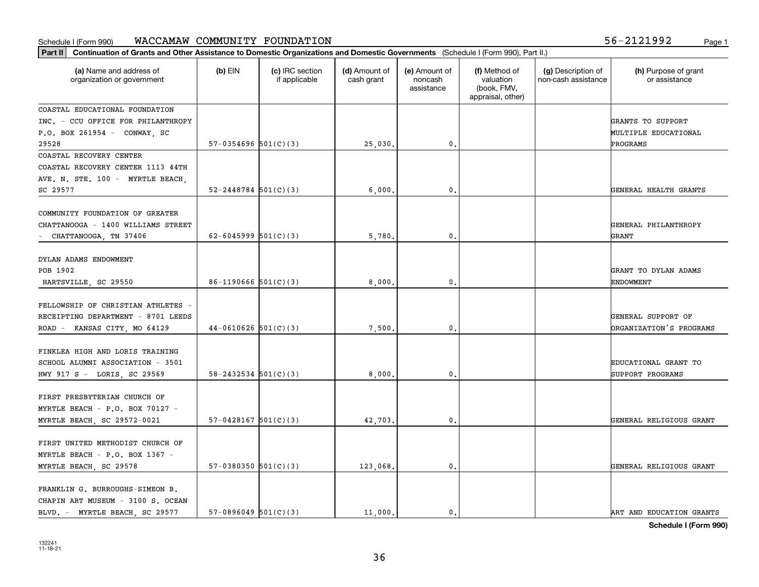**Part II Continuation of Grants and Other Assistance to Domestic Organizations and Domestic Governments**  (Schedule I (Form 990), Part II.)

| (a) Name and address of<br>organization or government | $(b)$ EIN                  | (c) IRC section<br>if applicable | (d) Amount of<br>cash grant | (e) Amount of<br>noncash<br>assistance | (f) Method of<br>valuation<br>(book, FMV,<br>appraisal, other) | (g) Description of<br>non-cash assistance | (h) Purpose of grant<br>or assistance |
|-------------------------------------------------------|----------------------------|----------------------------------|-----------------------------|----------------------------------------|----------------------------------------------------------------|-------------------------------------------|---------------------------------------|
| COASTAL EDUCATIONAL FOUNDATION                        |                            |                                  |                             |                                        |                                                                |                                           |                                       |
| INC. - CCU OFFICE FOR PHILANTHROPY                    |                            |                                  |                             |                                        |                                                                |                                           | GRANTS TO SUPPORT                     |
| P.O. BOX 261954 - CONWAY, SC                          |                            |                                  |                             |                                        |                                                                |                                           | MULTIPLE EDUCATIONAL                  |
| 29528                                                 | $57-0354696$ $501(C)(3)$   |                                  | 25,030.                     | 0.                                     |                                                                |                                           | PROGRAMS                              |
| COASTAL RECOVERY CENTER                               |                            |                                  |                             |                                        |                                                                |                                           |                                       |
| COASTAL RECOVERY CENTER 1113 44TH                     |                            |                                  |                             |                                        |                                                                |                                           |                                       |
| AVE. N. STE. 100 - MYRTLE BEACH,                      |                            |                                  |                             |                                        |                                                                |                                           |                                       |
| SC 29577                                              | $52 - 2448784$ 501(C)(3)   |                                  | 6,000.                      | 0.                                     |                                                                |                                           | GENERAL HEALTH GRANTS                 |
| COMMUNITY FOUNDATION OF GREATER                       |                            |                                  |                             |                                        |                                                                |                                           |                                       |
| CHATTANOOGA - 1400 WILLIAMS STREET                    |                            |                                  |                             |                                        |                                                                |                                           | GENERAL PHILANTHROPY                  |
| - CHATTANOOGA, TN 37406                               | $62 - 6045999$ $501(C)(3)$ |                                  | 5,780                       | 0.                                     |                                                                |                                           | GRANT                                 |
|                                                       |                            |                                  |                             |                                        |                                                                |                                           |                                       |
| DYLAN ADAMS ENDOWMENT                                 |                            |                                  |                             |                                        |                                                                |                                           |                                       |
| POB 1902                                              |                            |                                  |                             |                                        |                                                                |                                           | GRANT TO DYLAN ADAMS                  |
| HARTSVILLE, SC 29550                                  | $86-1190666$ $501(C)(3)$   |                                  | 8,000.                      | 0.                                     |                                                                |                                           | <b>ENDOWMENT</b>                      |
|                                                       |                            |                                  |                             |                                        |                                                                |                                           |                                       |
| FELLOWSHIP OF CHRISTIAN ATHLETES -                    |                            |                                  |                             |                                        |                                                                |                                           |                                       |
| RECEIPTING DEPARTMENT - 8701 LEEDS                    |                            |                                  |                             |                                        |                                                                |                                           | GENERAL SUPPORT OF                    |
| ROAD - KANSAS CITY, MO 64129                          | $44-0610626$ 501(C)(3)     |                                  | 7,500                       | 0.                                     |                                                                |                                           | ORGANIZATION'S PROGRAMS               |
|                                                       |                            |                                  |                             |                                        |                                                                |                                           |                                       |
| FINKLEA HIGH AND LORIS TRAINING                       |                            |                                  |                             |                                        |                                                                |                                           |                                       |
| SCHOOL ALUMNI ASSOCIATION - 3501                      |                            |                                  |                             |                                        |                                                                |                                           | EDUCATIONAL GRANT TO                  |
| HWY 917 S - LORIS, SC 29569                           | $58 - 2432534$ $501(C)(3)$ |                                  | 8,000.                      | 0.                                     |                                                                |                                           | SUPPORT PROGRAMS                      |
|                                                       |                            |                                  |                             |                                        |                                                                |                                           |                                       |
| FIRST PRESBYTERIAN CHURCH OF                          |                            |                                  |                             |                                        |                                                                |                                           |                                       |
| MYRTLE BEACH - P.O. BOX 70127 -                       |                            |                                  |                             |                                        |                                                                |                                           |                                       |
| MYRTLE BEACH, SC 29572-0021                           | $57-0428167$ $501(C)(3)$   |                                  | 42,703.                     | 0.                                     |                                                                |                                           | GENERAL RELIGIOUS GRANT               |
|                                                       |                            |                                  |                             |                                        |                                                                |                                           |                                       |
| FIRST UNITED METHODIST CHURCH OF                      |                            |                                  |                             |                                        |                                                                |                                           |                                       |
| MYRTLE BEACH - P.O. BOX 1367 -                        |                            |                                  |                             |                                        |                                                                |                                           |                                       |
| MYRTLE BEACH, SC 29578                                | 57-0380350 $501(C)(3)$     |                                  | 123,068.                    | 0.                                     |                                                                |                                           | GENERAL RELIGIOUS GRANT               |
| FRANKLIN G. BURROUGHS-SIMEON B.                       |                            |                                  |                             |                                        |                                                                |                                           |                                       |
| CHAPIN ART MUSEUM - 3100 S. OCEAN                     |                            |                                  |                             |                                        |                                                                |                                           |                                       |
| BLVD. - MYRTLE BEACH, SC 29577                        | $57-0896049$ $501(C)(3)$   |                                  | 11,000.                     | 0.                                     |                                                                |                                           | ART AND EDUCATION GRANTS              |
|                                                       |                            |                                  |                             |                                        |                                                                |                                           |                                       |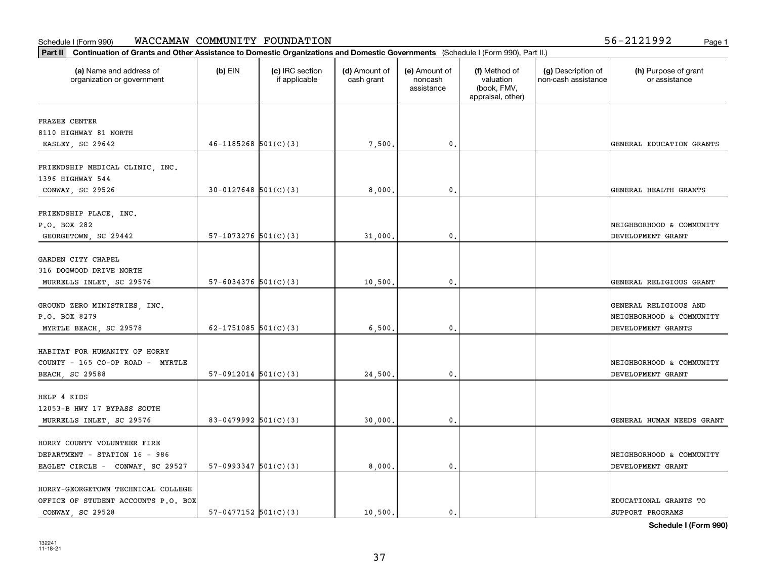| Part II   Continuation of Grants and Other Assistance to Domestic Organizations and Domestic Governments (Schedule I (Form 990), Part II.) |                            |                                  |                             |                                        |                                                                |                                           |                                                   |
|--------------------------------------------------------------------------------------------------------------------------------------------|----------------------------|----------------------------------|-----------------------------|----------------------------------------|----------------------------------------------------------------|-------------------------------------------|---------------------------------------------------|
| (a) Name and address of<br>organization or government                                                                                      | $(b)$ EIN                  | (c) IRC section<br>if applicable | (d) Amount of<br>cash grant | (e) Amount of<br>noncash<br>assistance | (f) Method of<br>valuation<br>(book, FMV,<br>appraisal, other) | (g) Description of<br>non-cash assistance | (h) Purpose of grant<br>or assistance             |
| FRAZEE CENTER                                                                                                                              |                            |                                  |                             |                                        |                                                                |                                           |                                                   |
| 8110 HIGHWAY 81 NORTH                                                                                                                      |                            |                                  |                             |                                        |                                                                |                                           |                                                   |
| EASLEY, SC 29642                                                                                                                           | $46 - 1185268$ $501(C)(3)$ |                                  | 7,500.                      | $\mathfrak o$ .                        |                                                                |                                           | GENERAL EDUCATION GRANTS                          |
|                                                                                                                                            |                            |                                  |                             |                                        |                                                                |                                           |                                                   |
| FRIENDSHIP MEDICAL CLINIC, INC.<br>1396 HIGHWAY 544                                                                                        |                            |                                  |                             |                                        |                                                                |                                           |                                                   |
| CONWAY, SC 29526                                                                                                                           | $30 - 0127648$ $501(C)(3)$ |                                  | 8,000.                      | $\mathbf{0}$ .                         |                                                                |                                           | GENERAL HEALTH GRANTS                             |
| FRIENDSHIP PLACE, INC.<br>P.O. BOX 282<br>GEORGETOWN, SC 29442                                                                             | $57-1073276$ $501(C)(3)$   |                                  | 31,000                      | $\mathbf{0}$ .                         |                                                                |                                           | NEIGHBORHOOD & COMMUNITY<br>DEVELOPMENT GRANT     |
|                                                                                                                                            |                            |                                  |                             |                                        |                                                                |                                           |                                                   |
| GARDEN CITY CHAPEL<br>316 DOGWOOD DRIVE NORTH                                                                                              |                            |                                  |                             |                                        |                                                                |                                           |                                                   |
| MURRELLS INLET, SC 29576                                                                                                                   | $57 - 6034376$ $501(C)(3)$ |                                  | 10,500                      | 0.                                     |                                                                |                                           | GENERAL RELIGIOUS GRANT                           |
| GROUND ZERO MINISTRIES, INC.<br>P.O. BOX 8279                                                                                              |                            |                                  |                             |                                        |                                                                |                                           | GENERAL RELIGIOUS AND<br>NEIGHBORHOOD & COMMUNITY |
| MYRTLE BEACH, SC 29578                                                                                                                     | 62-1751085 $501(C)(3)$     |                                  | 6,500                       | $\mathbf{0}$                           |                                                                |                                           | DEVELOPMENT GRANTS                                |
| HABITAT FOR HUMANITY OF HORRY<br>COUNTY - 165 CO-OP ROAD - MYRTLE<br><b>BEACH, SC 29588</b>                                                | $57-0912014$ $501(C)(3)$   |                                  | 24,500.                     | 0.                                     |                                                                |                                           | NEIGHBORHOOD & COMMUNITY<br>DEVELOPMENT GRANT     |
| HELP 4 KIDS<br>12053-B HWY 17 BYPASS SOUTH                                                                                                 |                            |                                  |                             |                                        |                                                                |                                           |                                                   |
| MURRELLS INLET, SC 29576                                                                                                                   | 83-0479992 $501(C)(3)$     |                                  | 30,000                      | $\mathfrak{o}$ .                       |                                                                |                                           | GENERAL HUMAN NEEDS GRANT                         |
| HORRY COUNTY VOLUNTEER FIRE<br>DEPARTMENT - STATION 16 - 986<br>EAGLET CIRCLE - CONWAY, SC 29527                                           | $57-0993347$ $501(C)(3)$   |                                  | 8,000,                      | $\mathbf{0}$ .                         |                                                                |                                           | NEIGHBORHOOD & COMMUNITY<br>DEVELOPMENT GRANT     |
| HORRY-GEORGETOWN TECHNICAL COLLEGE<br>OFFICE OF STUDENT ACCOUNTS P.O. BOX<br>CONWAY, SC 29528                                              | $57-0477152$ $501(C)(3)$   |                                  | 10.500.                     | 0.                                     |                                                                |                                           | <b>EDUCATIONAL GRANTS TO</b><br>SUPPORT PROGRAMS  |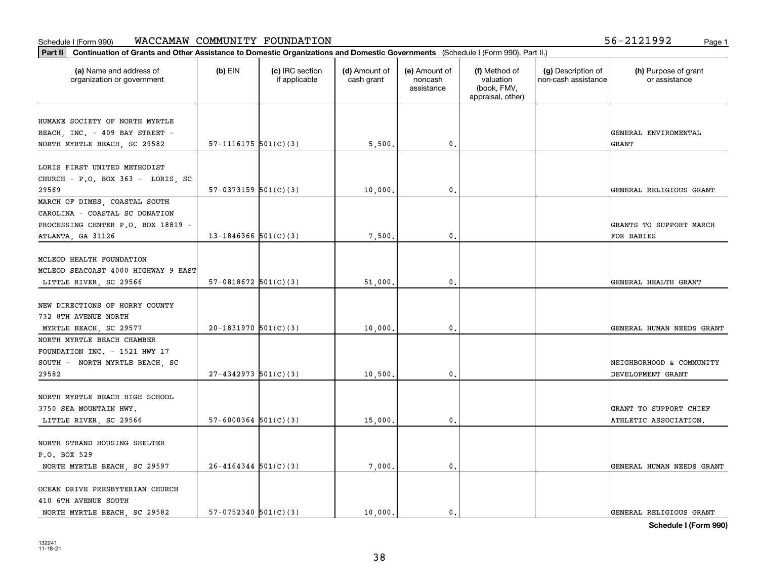**Part II Continuation of Grants and Other Assistance to Domestic Organizations and Domestic Governments**  (Schedule I (Form 990), Part II.)

| (a) Name and address of<br>organization or government | $(b)$ EIN                  | (c) IRC section<br>if applicable | (d) Amount of<br>cash grant | (e) Amount of<br>noncash<br>assistance | (f) Method of<br>valuation<br>(book, FMV,<br>appraisal, other) | (g) Description of<br>non-cash assistance | (h) Purpose of grant<br>or assistance |
|-------------------------------------------------------|----------------------------|----------------------------------|-----------------------------|----------------------------------------|----------------------------------------------------------------|-------------------------------------------|---------------------------------------|
| HUMANE SOCIETY OF NORTH MYRTLE                        |                            |                                  |                             |                                        |                                                                |                                           |                                       |
| BEACH, INC. - 409 BAY STREET -                        |                            |                                  |                             |                                        |                                                                |                                           | GENERAL ENVIROMENTAL                  |
| NORTH MYRTLE BEACH, SC 29582                          | $57-1116175$ $501(C)(3)$   |                                  | 5,500                       | 0.                                     |                                                                |                                           | GRANT                                 |
| LORIS FIRST UNITED METHODIST                          |                            |                                  |                             |                                        |                                                                |                                           |                                       |
| CHURCH - P.O. BOX 363 - LORIS, SC                     |                            |                                  |                             |                                        |                                                                |                                           |                                       |
| 29569                                                 | $57-0373159$ $501(C)(3)$   |                                  | 10,000                      | 0.                                     |                                                                |                                           | GENERAL RELIGIOUS GRANT               |
| MARCH OF DIMES, COASTAL SOUTH                         |                            |                                  |                             |                                        |                                                                |                                           |                                       |
| CAROLINA - COASTAL SC DONATION                        |                            |                                  |                             |                                        |                                                                |                                           |                                       |
| PROCESSING CENTER P.O. BOX 18819 -                    |                            |                                  |                             |                                        |                                                                |                                           | GRANTS TO SUPPORT MARCH               |
| ATLANTA, GA 31126                                     | 13-1846366 $501(C)(3)$     |                                  | 7,500                       | 0.                                     |                                                                |                                           | FOR BABIES                            |
|                                                       |                            |                                  |                             |                                        |                                                                |                                           |                                       |
| MCLEOD HEALTH FOUNDATION                              |                            |                                  |                             |                                        |                                                                |                                           |                                       |
| MCLEOD SEACOAST 4000 HIGHWAY 9 EAST                   |                            |                                  |                             |                                        |                                                                |                                           |                                       |
| LITTLE RIVER, SC 29566                                | $57-0818672$ $501(C)(3)$   |                                  | 51,000                      | 0.                                     |                                                                |                                           | GENERAL HEALTH GRANT                  |
| NEW DIRECTIONS OF HORRY COUNTY                        |                            |                                  |                             |                                        |                                                                |                                           |                                       |
| 732 8TH AVENUE NORTH                                  |                            |                                  |                             |                                        |                                                                |                                           |                                       |
| MYRTLE BEACH, SC 29577                                | $20-1831970$ 501(C)(3)     |                                  | 10,000.                     | $\mathbf{0}$ .                         |                                                                |                                           | GENERAL HUMAN NEEDS GRANT             |
| NORTH MYRTLE BEACH CHAMBER                            |                            |                                  |                             |                                        |                                                                |                                           |                                       |
| FOUNDATION INC. - 1521 HWY 17                         |                            |                                  |                             |                                        |                                                                |                                           |                                       |
| SOUTH - NORTH MYRTLE BEACH, SC                        |                            |                                  |                             |                                        |                                                                |                                           | NEIGHBORHOOD & COMMUNITY              |
| 29582                                                 | $27-4342973$ 501(C)(3)     |                                  | 10,500                      | 0.                                     |                                                                |                                           | DEVELOPMENT GRANT                     |
| NORTH MYRTLE BEACH HIGH SCHOOL                        |                            |                                  |                             |                                        |                                                                |                                           |                                       |
| 3750 SEA MOUNTAIN HWY.                                |                            |                                  |                             |                                        |                                                                |                                           | GRANT TO SUPPORT CHIEF                |
| LITTLE RIVER, SC 29566                                | $57 - 6000364$ $501(C)(3)$ |                                  | 15,000.                     | $\mathbf{0}$ .                         |                                                                |                                           | ATHLETIC ASSOCIATION.                 |
|                                                       |                            |                                  |                             |                                        |                                                                |                                           |                                       |
| NORTH STRAND HOUSING SHELTER                          |                            |                                  |                             |                                        |                                                                |                                           |                                       |
| P.O. BOX 529                                          |                            |                                  |                             |                                        |                                                                |                                           |                                       |
| NORTH MYRTLE BEACH, SC 29597                          | $26 - 4164344$ $501(C)(3)$ |                                  | 7,000.                      | $\mathbf{0}$ .                         |                                                                |                                           | GENERAL HUMAN NEEDS GRANT             |
|                                                       |                            |                                  |                             |                                        |                                                                |                                           |                                       |
| OCEAN DRIVE PRESBYTERIAN CHURCH                       |                            |                                  |                             |                                        |                                                                |                                           |                                       |
| 410 6TH AVENUE SOUTH                                  |                            |                                  |                             |                                        |                                                                |                                           |                                       |
| NORTH MYRTLE BEACH, SC 29582                          | $57-0752340$ $501(C)(3)$   |                                  | 10,000.                     | $\mathbf{0}$ .                         |                                                                |                                           | GENERAL RELIGIOUS GRANT               |

38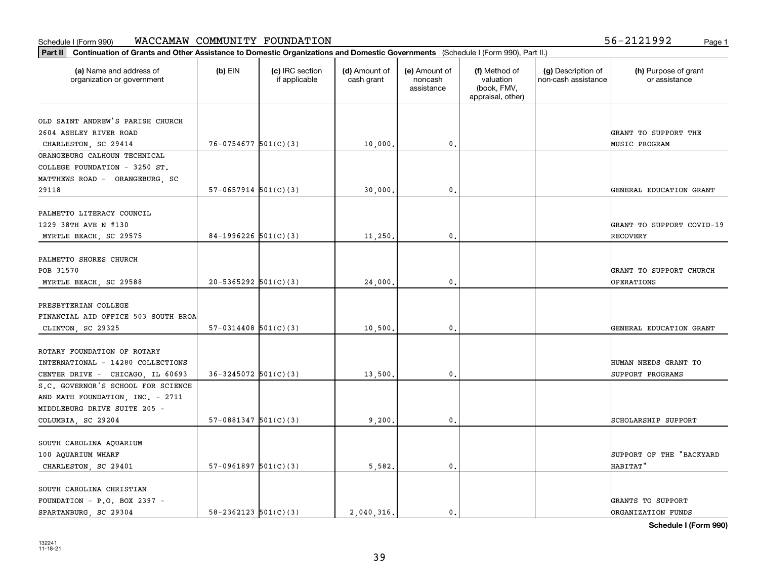| (a) Name and address of<br>organization or government | $(b)$ EIN                  | (c) IRC section<br>if applicable | (d) Amount of<br>cash grant | (e) Amount of<br>noncash<br>assistance | (f) Method of<br>valuation<br>(book, FMV,<br>appraisal, other) | (g) Description of<br>non-cash assistance | (h) Purpose of grant<br>or assistance |
|-------------------------------------------------------|----------------------------|----------------------------------|-----------------------------|----------------------------------------|----------------------------------------------------------------|-------------------------------------------|---------------------------------------|
| OLD SAINT ANDREW'S PARISH CHURCH                      |                            |                                  |                             |                                        |                                                                |                                           |                                       |
| 2604 ASHLEY RIVER ROAD                                |                            |                                  |                             |                                        |                                                                |                                           | GRANT TO SUPPORT THE                  |
| CHARLESTON, SC 29414                                  | $76 - 0754677$ 501(C)(3)   |                                  | 10,000.                     | $\mathbf{0}$                           |                                                                |                                           | <b>MUSIC PROGRAM</b>                  |
| ORANGEBURG CALHOUN TECHNICAL                          |                            |                                  |                             |                                        |                                                                |                                           |                                       |
| COLLEGE FOUNDATION - 3250 ST.                         |                            |                                  |                             |                                        |                                                                |                                           |                                       |
| MATTHEWS ROAD - ORANGEBURG, SC                        |                            |                                  |                             |                                        |                                                                |                                           |                                       |
| 29118                                                 | $57-0657914$ $501(C)(3)$   |                                  | 30,000                      | $\mathbf{0}$                           |                                                                |                                           | GENERAL EDUCATION GRANT               |
| PALMETTO LITERACY COUNCIL                             |                            |                                  |                             |                                        |                                                                |                                           |                                       |
| 1229 38TH AVE N #130                                  |                            |                                  |                             |                                        |                                                                |                                           | GRANT TO SUPPORT COVID-19             |
| MYRTLE BEACH, SC 29575                                | 84-1996226 $501(C)(3)$     |                                  | 11,250.                     | $\mathbf{0}$ .                         |                                                                |                                           | RECOVERY                              |
|                                                       |                            |                                  |                             |                                        |                                                                |                                           |                                       |
| PALMETTO SHORES CHURCH                                |                            |                                  |                             |                                        |                                                                |                                           |                                       |
| POB 31570                                             |                            |                                  |                             |                                        |                                                                |                                           | GRANT TO SUPPORT CHURCH               |
| MYRTLE BEACH, SC 29588                                | $20 - 5365292$ $501(C)(3)$ |                                  | 24,000                      | $\mathbf{0}$                           |                                                                |                                           | <b>OPERATIONS</b>                     |
|                                                       |                            |                                  |                             |                                        |                                                                |                                           |                                       |
| PRESBYTERIAN COLLEGE                                  |                            |                                  |                             |                                        |                                                                |                                           |                                       |
| FINANCIAL AID OFFICE 503 SOUTH BROA                   |                            |                                  |                             |                                        |                                                                |                                           |                                       |
| CLINTON, SC 29325                                     | $57-0314408$ $501(C)(3)$   |                                  | 10,500                      | 0                                      |                                                                |                                           | GENERAL EDUCATION GRANT               |
|                                                       |                            |                                  |                             |                                        |                                                                |                                           |                                       |
| ROTARY FOUNDATION OF ROTARY                           |                            |                                  |                             |                                        |                                                                |                                           |                                       |
| INTERNATIONAL - 14280 COLLECTIONS                     |                            |                                  |                             |                                        |                                                                |                                           | HUMAN NEEDS GRANT TO                  |
| CENTER DRIVE - CHICAGO, IL 60693                      | $36 - 3245072$ 501(C)(3)   |                                  | 13,500.                     | $\mathbf{0}$                           |                                                                |                                           | SUPPORT PROGRAMS                      |
| S.C. GOVERNOR'S SCHOOL FOR SCIENCE                    |                            |                                  |                             |                                        |                                                                |                                           |                                       |
| AND MATH FOUNDATION, INC. - 2711                      |                            |                                  |                             |                                        |                                                                |                                           |                                       |
| MIDDLEBURG DRIVE SUITE 205 -                          |                            |                                  |                             |                                        |                                                                |                                           |                                       |
| COLUMBIA, SC 29204                                    | $57-0881347$ $501(C)(3)$   |                                  | 9,200                       | $\mathbf{0}$ .                         |                                                                |                                           | SCHOLARSHIP SUPPORT                   |
| SOUTH CAROLINA AQUARIUM                               |                            |                                  |                             |                                        |                                                                |                                           |                                       |
| 100 AQUARIUM WHARF                                    |                            |                                  |                             |                                        |                                                                |                                           | SUPPORT OF THE "BACKYARD              |
| CHARLESTON, SC 29401                                  | $57-0961897$ $501(C)(3)$   |                                  | 5,582.                      | $\mathfrak{o}$ .                       |                                                                |                                           | HABITAT"                              |
|                                                       |                            |                                  |                             |                                        |                                                                |                                           |                                       |
| SOUTH CAROLINA CHRISTIAN                              |                            |                                  |                             |                                        |                                                                |                                           |                                       |
| FOUNDATION - P.O. BOX 2397 -                          |                            |                                  |                             |                                        |                                                                |                                           | GRANTS TO SUPPORT                     |
| SPARTANBURG, SC 29304                                 | $58 - 2362123$ $501(C)(3)$ |                                  | 2.040.316.                  | 0                                      |                                                                |                                           | <b>DRGANIZATION FUNDS</b>             |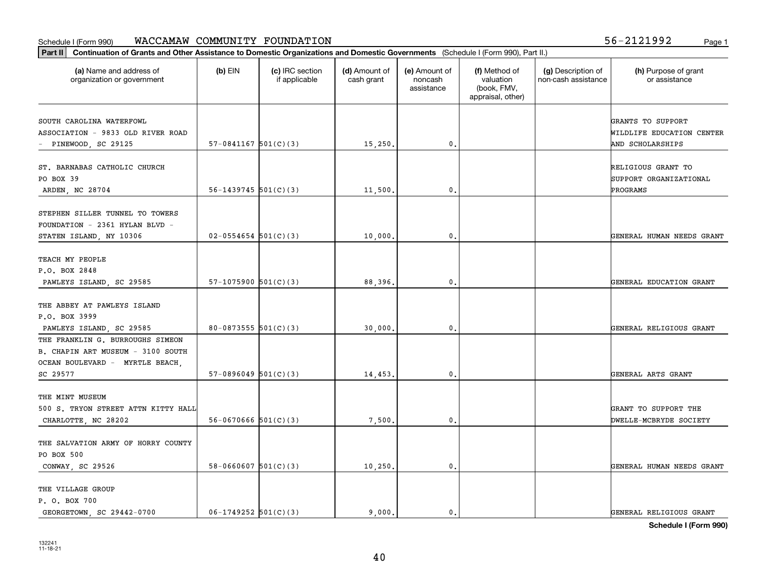**Part II Continuation of Grants and Other Assistance to Domestic Organizations and Domestic Governments**  (Schedule I (Form 990), Part II.)

| (a) Name and address of<br>organization or government                                                                | $(b)$ EIN                  | (c) IRC section<br>if applicable | (d) Amount of<br>cash grant | (e) Amount of<br>noncash<br>assistance | (f) Method of<br>valuation<br>(book, FMV,<br>appraisal, other) | (g) Description of<br>non-cash assistance | (h) Purpose of grant<br>or assistance                              |
|----------------------------------------------------------------------------------------------------------------------|----------------------------|----------------------------------|-----------------------------|----------------------------------------|----------------------------------------------------------------|-------------------------------------------|--------------------------------------------------------------------|
| SOUTH CAROLINA WATERFOWL<br>ASSOCIATION - 9833 OLD RIVER ROAD<br>- PINEWOOD, SC 29125                                | $57-0841167$ $501(C)(3)$   |                                  | 15,250.                     | $\mathbf{0}$                           |                                                                |                                           | GRANTS TO SUPPORT<br>WILDLIFE EDUCATION CENTER<br>AND SCHOLARSHIPS |
| ST. BARNABAS CATHOLIC CHURCH<br>PO BOX 39<br>ARDEN, NC 28704                                                         | $56 - 1439745$ $501(C)(3)$ |                                  | 11,500.                     | $\mathbf{0}$                           |                                                                |                                           | RELIGIOUS GRANT TO<br>SUPPORT ORGANIZATIONAL<br>PROGRAMS           |
| STEPHEN SILLER TUNNEL TO TOWERS<br>FOUNDATION - 2361 HYLAN BLVD -<br>STATEN ISLAND, NY 10306                         | $02 - 0554654$ 501(C)(3)   |                                  | 10,000.                     | 0.                                     |                                                                |                                           | GENERAL HUMAN NEEDS GRANT                                          |
| TEACH MY PEOPLE<br>P.O. BOX 2848<br>PAWLEYS ISLAND, SC 29585                                                         | $57-1075900$ $501(C)(3)$   |                                  | 88,396.                     | $\mathbf{0}$                           |                                                                |                                           | GENERAL EDUCATION GRANT                                            |
| THE ABBEY AT PAWLEYS ISLAND<br>P.O. BOX 3999<br>PAWLEYS ISLAND, SC 29585                                             | 80-0873555 $501(C)(3)$     |                                  | 30,000.                     | $\mathbf{0}$                           |                                                                |                                           | GENERAL RELIGIOUS GRANT                                            |
| THE FRANKLIN G. BURROUGHS SIMEON<br>B. CHAPIN ART MUSEUM - 3100 SOUTH<br>OCEAN BOULEVARD - MYRTLE BEACH,<br>SC 29577 | $57-0896049$ $501(C)(3)$   |                                  | 14,453.                     | 0.                                     |                                                                |                                           | GENERAL ARTS GRANT                                                 |
| THE MINT MUSEUM<br>500 S. TRYON STREET ATTN KITTY HALL<br>CHARLOTTE, NC 28202                                        | $56-0670666$ $501(C)(3)$   |                                  | 7,500.                      | 0                                      |                                                                |                                           | GRANT TO SUPPORT THE<br>DWELLE-MCBRYDE SOCIETY                     |
| THE SALVATION ARMY OF HORRY COUNTY<br>PO BOX 500<br>CONWAY, SC 29526                                                 | $58 - 0660607$ $501(C)(3)$ |                                  | 10,250.                     | 0.                                     |                                                                |                                           | GENERAL HUMAN NEEDS GRANT                                          |
| THE VILLAGE GROUP<br>P. O. BOX 700                                                                                   |                            |                                  |                             |                                        |                                                                |                                           |                                                                    |

**Schedule I (Form 990)**

GEORGETOWN, SC 29442-0700  $06-1749252$   $501(C)(3)$  9,000. 0. 0.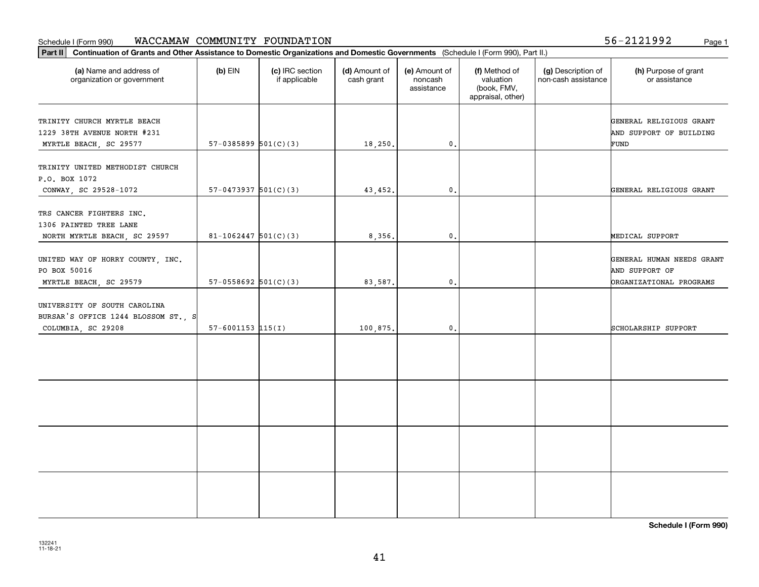т

**Part II Continuation of Grants and Other Assistance to Domestic Organizations and Domestic Governments**  (Schedule I (Form 990), Part II.)

| (a) Name and address of<br>organization or government                                     | $(b)$ EIN                | (c) IRC section<br>if applicable | (d) Amount of<br>cash grant | (e) Amount of<br>noncash<br>assistance | (f) Method of<br>valuation<br>(book, FMV,<br>appraisal, other) | (g) Description of<br>non-cash assistance | (h) Purpose of grant<br>or assistance                                  |
|-------------------------------------------------------------------------------------------|--------------------------|----------------------------------|-----------------------------|----------------------------------------|----------------------------------------------------------------|-------------------------------------------|------------------------------------------------------------------------|
| TRINITY CHURCH MYRTLE BEACH<br>1229 38TH AVENUE NORTH #231<br>MYRTLE BEACH, SC 29577      | $57-0385899$ $501(C)(3)$ |                                  | 18,250.                     | 0.                                     |                                                                |                                           | GENERAL RELIGIOUS GRANT<br>AND SUPPORT OF BUILDING<br>FUND             |
| TRINITY UNITED METHODIST CHURCH<br>P.O. BOX 1072<br>CONWAY, SC 29528-1072                 | $57-0473937$ $501(C)(3)$ |                                  | 43,452.                     | 0.                                     |                                                                |                                           | GENERAL RELIGIOUS GRANT                                                |
| TRS CANCER FIGHTERS INC.<br>1306 PAINTED TREE LANE<br>NORTH MYRTLE BEACH, SC 29597        | $81 - 1062447$ 501(C)(3) |                                  | 8,356.                      | 0.                                     |                                                                |                                           | MEDICAL SUPPORT                                                        |
| UNITED WAY OF HORRY COUNTY, INC.<br>PO BOX 50016<br>MYRTLE BEACH, SC 29579                | $57-0558692$ $501(C)(3)$ |                                  | 83,587.                     | 0.                                     |                                                                |                                           | GENERAL HUMAN NEEDS GRANT<br>AND SUPPORT OF<br>ORGANIZATIONAL PROGRAMS |
| UNIVERSITY OF SOUTH CAROLINA<br>BURSAR'S OFFICE 1244 BLOSSOM ST., S<br>COLUMBIA, SC 29208 | $57 - 6001153$ 115(I)    |                                  | 100,875.                    | 0.                                     |                                                                |                                           | SCHOLARSHIP SUPPORT                                                    |
|                                                                                           |                          |                                  |                             |                                        |                                                                |                                           |                                                                        |
|                                                                                           |                          |                                  |                             |                                        |                                                                |                                           |                                                                        |
|                                                                                           |                          |                                  |                             |                                        |                                                                |                                           |                                                                        |
|                                                                                           |                          |                                  |                             |                                        |                                                                |                                           |                                                                        |

⊤

Τ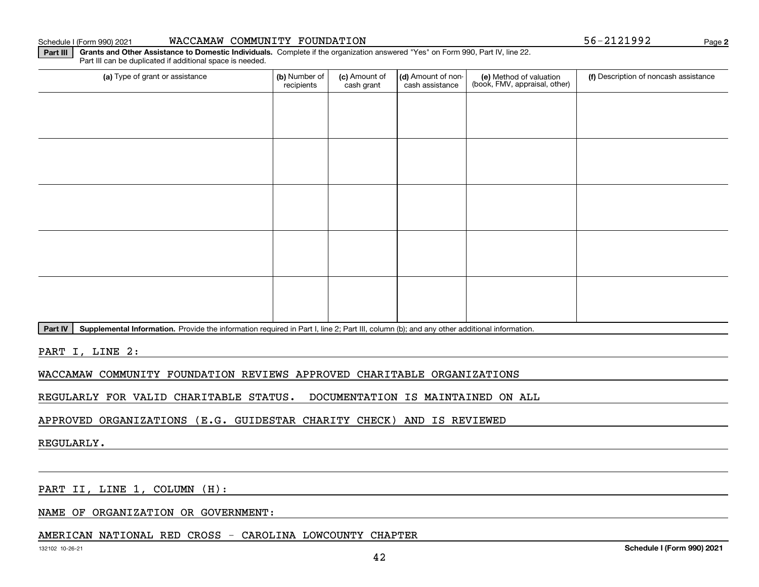Schedule I (Form 990) 2021

|  |  | WACCAMAW COMMUNITY FOUNDATION |
|--|--|-------------------------------|
|--|--|-------------------------------|

**2**56-2121992

**Part III Grants and Other Assistance to Domestic Individuals.**  Complete if the organization answered "Yes" on Form 990, Part IV, line 22. Part III can be duplicated if additional space is needed.

| (a) Type of grant or assistance                                                                 | (b) Number of<br>recipients | (c) Amount of<br>cash grant | (d) Amount of non-<br>cash assistance | (e) Method of valuation<br>(book, FMV, appraisal, other) | (f) Description of noncash assistance |
|-------------------------------------------------------------------------------------------------|-----------------------------|-----------------------------|---------------------------------------|----------------------------------------------------------|---------------------------------------|
|                                                                                                 |                             |                             |                                       |                                                          |                                       |
|                                                                                                 |                             |                             |                                       |                                                          |                                       |
|                                                                                                 |                             |                             |                                       |                                                          |                                       |
|                                                                                                 |                             |                             |                                       |                                                          |                                       |
|                                                                                                 |                             |                             |                                       |                                                          |                                       |
|                                                                                                 |                             |                             |                                       |                                                          |                                       |
|                                                                                                 |                             |                             |                                       |                                                          |                                       |
|                                                                                                 |                             |                             |                                       |                                                          |                                       |
|                                                                                                 |                             |                             |                                       |                                                          |                                       |
|                                                                                                 |                             |                             |                                       |                                                          |                                       |
| المتحدث والمستحيل والمتحاول والمستحوظ والمتحاول والمتحاول والمتحاول والمعاون والمستحقق والمستحي |                             |                             |                                       |                                                          |                                       |

Part IV | Supplemental Information. Provide the information required in Part I, line 2; Part III, column (b); and any other additional information.

PART I, LINE 2:

WACCAMAW COMMUNITY FOUNDATION REVIEWS APPROVED CHARITABLE ORGANIZATIONS

REGULARLY FOR VALID CHARITABLE STATUS. DOCUMENTATION IS MAINTAINED ON ALL

APPROVED ORGANIZATIONS (E.G. GUIDESTAR CHARITY CHECK) AND IS REVIEWED

REGULARLY.

PART II, LINE 1, COLUMN (H):

NAME OF ORGANIZATION OR GOVERNMENT:

#### AMERICAN NATIONAL RED CROSS - CAROLINA LOWCOUNTY CHAPTER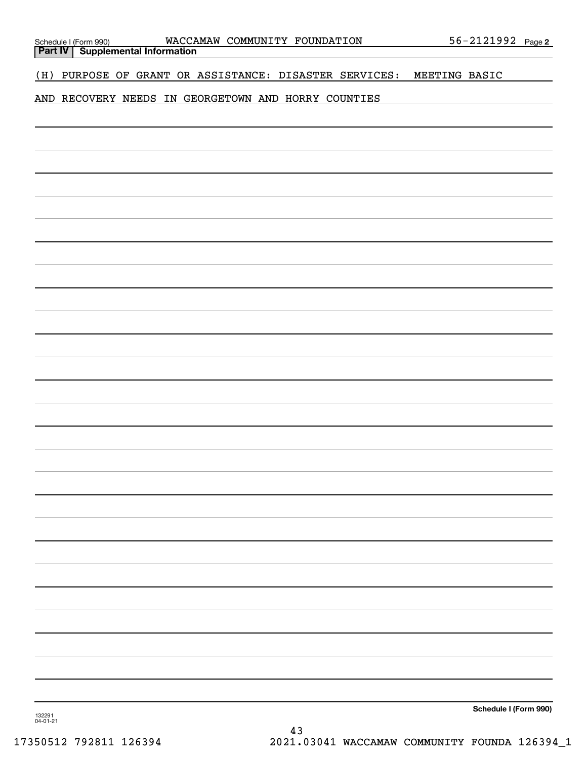| WACCAMAW COMMUNITY FOUNDATION<br>Schedule I (Form 990) WACCA<br><b>Part IV</b>   Supplemental Information | <u>56-2121992 Page 2</u> |
|-----------------------------------------------------------------------------------------------------------|--------------------------|
|                                                                                                           |                          |
| PURPOSE OF GRANT OR ASSISTANCE: DISASTER SERVICES:<br>(H)                                                 | MEETING BASIC            |
| AND RECOVERY NEEDS IN GEORGETOWN AND HORRY COUNTIES                                                       |                          |
|                                                                                                           |                          |
|                                                                                                           |                          |
|                                                                                                           |                          |
|                                                                                                           |                          |
|                                                                                                           |                          |
|                                                                                                           |                          |
|                                                                                                           |                          |
|                                                                                                           |                          |
|                                                                                                           |                          |
|                                                                                                           |                          |
|                                                                                                           |                          |
|                                                                                                           |                          |
|                                                                                                           |                          |
|                                                                                                           |                          |
|                                                                                                           |                          |
|                                                                                                           |                          |
|                                                                                                           |                          |
|                                                                                                           |                          |
|                                                                                                           |                          |
|                                                                                                           |                          |
|                                                                                                           |                          |
|                                                                                                           |                          |
|                                                                                                           |                          |
|                                                                                                           |                          |
|                                                                                                           |                          |
|                                                                                                           |                          |
| 132291<br>04-01-21                                                                                        | Schedule I (Form 990)    |
|                                                                                                           |                          |

43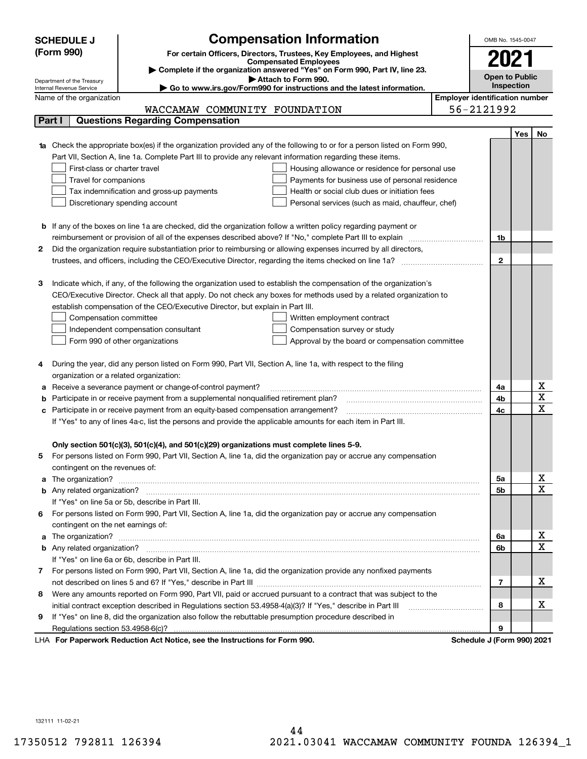| <b>Compensation Information</b><br><b>SCHEDULE J</b><br>(Form 990)<br>For certain Officers, Directors, Trustees, Key Employees, and Highest<br>2021<br><b>Compensated Employees</b><br>Complete if the organization answered "Yes" on Form 990, Part IV, line 23.<br><b>Open to Public</b><br>Attach to Form 990.<br>Department of the Treasury<br>Inspection<br>Go to www.irs.gov/Form990 for instructions and the latest information.<br>Internal Revenue Service<br><b>Employer identification number</b><br>Name of the organization<br>56-2121992<br>WACCAMAW COMMUNITY FOUNDATION<br><b>Questions Regarding Compensation</b><br>Part I<br>Yes<br><b>1a</b> Check the appropriate box(es) if the organization provided any of the following to or for a person listed on Form 990,<br>Part VII, Section A, line 1a. Complete Part III to provide any relevant information regarding these items.<br>First-class or charter travel<br>Housing allowance or residence for personal use<br>Payments for business use of personal residence<br>Travel for companions<br>Health or social club dues or initiation fees<br>Tax indemnification and gross-up payments<br>Discretionary spending account<br>Personal services (such as maid, chauffeur, chef)<br><b>b</b> If any of the boxes on line 1a are checked, did the organization follow a written policy regarding payment or<br>reimbursement or provision of all of the expenses described above? If "No," complete Part III to explain<br>1b<br>Did the organization require substantiation prior to reimbursing or allowing expenses incurred by all directors,<br>2<br>$\mathbf{2}$<br>Indicate which, if any, of the following the organization used to establish the compensation of the organization's<br>З<br>CEO/Executive Director. Check all that apply. Do not check any boxes for methods used by a related organization to<br>establish compensation of the CEO/Executive Director, but explain in Part III.<br>Compensation committee<br>Written employment contract<br>Compensation survey or study<br>Independent compensation consultant<br>Form 990 of other organizations<br>Approval by the board or compensation committee |                         |
|----------------------------------------------------------------------------------------------------------------------------------------------------------------------------------------------------------------------------------------------------------------------------------------------------------------------------------------------------------------------------------------------------------------------------------------------------------------------------------------------------------------------------------------------------------------------------------------------------------------------------------------------------------------------------------------------------------------------------------------------------------------------------------------------------------------------------------------------------------------------------------------------------------------------------------------------------------------------------------------------------------------------------------------------------------------------------------------------------------------------------------------------------------------------------------------------------------------------------------------------------------------------------------------------------------------------------------------------------------------------------------------------------------------------------------------------------------------------------------------------------------------------------------------------------------------------------------------------------------------------------------------------------------------------------------------------------------------------------------------------------------------------------------------------------------------------------------------------------------------------------------------------------------------------------------------------------------------------------------------------------------------------------------------------------------------------------------------------------------------------------------------------------------------------------------------------------------|-------------------------|
|                                                                                                                                                                                                                                                                                                                                                                                                                                                                                                                                                                                                                                                                                                                                                                                                                                                                                                                                                                                                                                                                                                                                                                                                                                                                                                                                                                                                                                                                                                                                                                                                                                                                                                                                                                                                                                                                                                                                                                                                                                                                                                                                                                                                          |                         |
|                                                                                                                                                                                                                                                                                                                                                                                                                                                                                                                                                                                                                                                                                                                                                                                                                                                                                                                                                                                                                                                                                                                                                                                                                                                                                                                                                                                                                                                                                                                                                                                                                                                                                                                                                                                                                                                                                                                                                                                                                                                                                                                                                                                                          |                         |
|                                                                                                                                                                                                                                                                                                                                                                                                                                                                                                                                                                                                                                                                                                                                                                                                                                                                                                                                                                                                                                                                                                                                                                                                                                                                                                                                                                                                                                                                                                                                                                                                                                                                                                                                                                                                                                                                                                                                                                                                                                                                                                                                                                                                          |                         |
|                                                                                                                                                                                                                                                                                                                                                                                                                                                                                                                                                                                                                                                                                                                                                                                                                                                                                                                                                                                                                                                                                                                                                                                                                                                                                                                                                                                                                                                                                                                                                                                                                                                                                                                                                                                                                                                                                                                                                                                                                                                                                                                                                                                                          |                         |
|                                                                                                                                                                                                                                                                                                                                                                                                                                                                                                                                                                                                                                                                                                                                                                                                                                                                                                                                                                                                                                                                                                                                                                                                                                                                                                                                                                                                                                                                                                                                                                                                                                                                                                                                                                                                                                                                                                                                                                                                                                                                                                                                                                                                          |                         |
|                                                                                                                                                                                                                                                                                                                                                                                                                                                                                                                                                                                                                                                                                                                                                                                                                                                                                                                                                                                                                                                                                                                                                                                                                                                                                                                                                                                                                                                                                                                                                                                                                                                                                                                                                                                                                                                                                                                                                                                                                                                                                                                                                                                                          |                         |
|                                                                                                                                                                                                                                                                                                                                                                                                                                                                                                                                                                                                                                                                                                                                                                                                                                                                                                                                                                                                                                                                                                                                                                                                                                                                                                                                                                                                                                                                                                                                                                                                                                                                                                                                                                                                                                                                                                                                                                                                                                                                                                                                                                                                          |                         |
|                                                                                                                                                                                                                                                                                                                                                                                                                                                                                                                                                                                                                                                                                                                                                                                                                                                                                                                                                                                                                                                                                                                                                                                                                                                                                                                                                                                                                                                                                                                                                                                                                                                                                                                                                                                                                                                                                                                                                                                                                                                                                                                                                                                                          | No                      |
|                                                                                                                                                                                                                                                                                                                                                                                                                                                                                                                                                                                                                                                                                                                                                                                                                                                                                                                                                                                                                                                                                                                                                                                                                                                                                                                                                                                                                                                                                                                                                                                                                                                                                                                                                                                                                                                                                                                                                                                                                                                                                                                                                                                                          |                         |
|                                                                                                                                                                                                                                                                                                                                                                                                                                                                                                                                                                                                                                                                                                                                                                                                                                                                                                                                                                                                                                                                                                                                                                                                                                                                                                                                                                                                                                                                                                                                                                                                                                                                                                                                                                                                                                                                                                                                                                                                                                                                                                                                                                                                          |                         |
|                                                                                                                                                                                                                                                                                                                                                                                                                                                                                                                                                                                                                                                                                                                                                                                                                                                                                                                                                                                                                                                                                                                                                                                                                                                                                                                                                                                                                                                                                                                                                                                                                                                                                                                                                                                                                                                                                                                                                                                                                                                                                                                                                                                                          |                         |
|                                                                                                                                                                                                                                                                                                                                                                                                                                                                                                                                                                                                                                                                                                                                                                                                                                                                                                                                                                                                                                                                                                                                                                                                                                                                                                                                                                                                                                                                                                                                                                                                                                                                                                                                                                                                                                                                                                                                                                                                                                                                                                                                                                                                          |                         |
|                                                                                                                                                                                                                                                                                                                                                                                                                                                                                                                                                                                                                                                                                                                                                                                                                                                                                                                                                                                                                                                                                                                                                                                                                                                                                                                                                                                                                                                                                                                                                                                                                                                                                                                                                                                                                                                                                                                                                                                                                                                                                                                                                                                                          |                         |
|                                                                                                                                                                                                                                                                                                                                                                                                                                                                                                                                                                                                                                                                                                                                                                                                                                                                                                                                                                                                                                                                                                                                                                                                                                                                                                                                                                                                                                                                                                                                                                                                                                                                                                                                                                                                                                                                                                                                                                                                                                                                                                                                                                                                          |                         |
|                                                                                                                                                                                                                                                                                                                                                                                                                                                                                                                                                                                                                                                                                                                                                                                                                                                                                                                                                                                                                                                                                                                                                                                                                                                                                                                                                                                                                                                                                                                                                                                                                                                                                                                                                                                                                                                                                                                                                                                                                                                                                                                                                                                                          |                         |
|                                                                                                                                                                                                                                                                                                                                                                                                                                                                                                                                                                                                                                                                                                                                                                                                                                                                                                                                                                                                                                                                                                                                                                                                                                                                                                                                                                                                                                                                                                                                                                                                                                                                                                                                                                                                                                                                                                                                                                                                                                                                                                                                                                                                          |                         |
|                                                                                                                                                                                                                                                                                                                                                                                                                                                                                                                                                                                                                                                                                                                                                                                                                                                                                                                                                                                                                                                                                                                                                                                                                                                                                                                                                                                                                                                                                                                                                                                                                                                                                                                                                                                                                                                                                                                                                                                                                                                                                                                                                                                                          |                         |
|                                                                                                                                                                                                                                                                                                                                                                                                                                                                                                                                                                                                                                                                                                                                                                                                                                                                                                                                                                                                                                                                                                                                                                                                                                                                                                                                                                                                                                                                                                                                                                                                                                                                                                                                                                                                                                                                                                                                                                                                                                                                                                                                                                                                          |                         |
|                                                                                                                                                                                                                                                                                                                                                                                                                                                                                                                                                                                                                                                                                                                                                                                                                                                                                                                                                                                                                                                                                                                                                                                                                                                                                                                                                                                                                                                                                                                                                                                                                                                                                                                                                                                                                                                                                                                                                                                                                                                                                                                                                                                                          |                         |
|                                                                                                                                                                                                                                                                                                                                                                                                                                                                                                                                                                                                                                                                                                                                                                                                                                                                                                                                                                                                                                                                                                                                                                                                                                                                                                                                                                                                                                                                                                                                                                                                                                                                                                                                                                                                                                                                                                                                                                                                                                                                                                                                                                                                          |                         |
|                                                                                                                                                                                                                                                                                                                                                                                                                                                                                                                                                                                                                                                                                                                                                                                                                                                                                                                                                                                                                                                                                                                                                                                                                                                                                                                                                                                                                                                                                                                                                                                                                                                                                                                                                                                                                                                                                                                                                                                                                                                                                                                                                                                                          |                         |
|                                                                                                                                                                                                                                                                                                                                                                                                                                                                                                                                                                                                                                                                                                                                                                                                                                                                                                                                                                                                                                                                                                                                                                                                                                                                                                                                                                                                                                                                                                                                                                                                                                                                                                                                                                                                                                                                                                                                                                                                                                                                                                                                                                                                          |                         |
|                                                                                                                                                                                                                                                                                                                                                                                                                                                                                                                                                                                                                                                                                                                                                                                                                                                                                                                                                                                                                                                                                                                                                                                                                                                                                                                                                                                                                                                                                                                                                                                                                                                                                                                                                                                                                                                                                                                                                                                                                                                                                                                                                                                                          |                         |
|                                                                                                                                                                                                                                                                                                                                                                                                                                                                                                                                                                                                                                                                                                                                                                                                                                                                                                                                                                                                                                                                                                                                                                                                                                                                                                                                                                                                                                                                                                                                                                                                                                                                                                                                                                                                                                                                                                                                                                                                                                                                                                                                                                                                          |                         |
|                                                                                                                                                                                                                                                                                                                                                                                                                                                                                                                                                                                                                                                                                                                                                                                                                                                                                                                                                                                                                                                                                                                                                                                                                                                                                                                                                                                                                                                                                                                                                                                                                                                                                                                                                                                                                                                                                                                                                                                                                                                                                                                                                                                                          |                         |
|                                                                                                                                                                                                                                                                                                                                                                                                                                                                                                                                                                                                                                                                                                                                                                                                                                                                                                                                                                                                                                                                                                                                                                                                                                                                                                                                                                                                                                                                                                                                                                                                                                                                                                                                                                                                                                                                                                                                                                                                                                                                                                                                                                                                          |                         |
|                                                                                                                                                                                                                                                                                                                                                                                                                                                                                                                                                                                                                                                                                                                                                                                                                                                                                                                                                                                                                                                                                                                                                                                                                                                                                                                                                                                                                                                                                                                                                                                                                                                                                                                                                                                                                                                                                                                                                                                                                                                                                                                                                                                                          |                         |
| During the year, did any person listed on Form 990, Part VII, Section A, line 1a, with respect to the filing<br>4                                                                                                                                                                                                                                                                                                                                                                                                                                                                                                                                                                                                                                                                                                                                                                                                                                                                                                                                                                                                                                                                                                                                                                                                                                                                                                                                                                                                                                                                                                                                                                                                                                                                                                                                                                                                                                                                                                                                                                                                                                                                                        |                         |
| organization or a related organization:                                                                                                                                                                                                                                                                                                                                                                                                                                                                                                                                                                                                                                                                                                                                                                                                                                                                                                                                                                                                                                                                                                                                                                                                                                                                                                                                                                                                                                                                                                                                                                                                                                                                                                                                                                                                                                                                                                                                                                                                                                                                                                                                                                  | x                       |
| Receive a severance payment or change-of-control payment?<br>4a<br>а<br>4b                                                                                                                                                                                                                                                                                                                                                                                                                                                                                                                                                                                                                                                                                                                                                                                                                                                                                                                                                                                                                                                                                                                                                                                                                                                                                                                                                                                                                                                                                                                                                                                                                                                                                                                                                                                                                                                                                                                                                                                                                                                                                                                               | $\overline{\mathbf{x}}$ |
| Participate in or receive payment from a supplemental nonqualified retirement plan?<br>b<br>c Participate in or receive payment from an equity-based compensation arrangement?<br>4c                                                                                                                                                                                                                                                                                                                                                                                                                                                                                                                                                                                                                                                                                                                                                                                                                                                                                                                                                                                                                                                                                                                                                                                                                                                                                                                                                                                                                                                                                                                                                                                                                                                                                                                                                                                                                                                                                                                                                                                                                     | $\overline{\mathbf{x}}$ |
| If "Yes" to any of lines 4a-c, list the persons and provide the applicable amounts for each item in Part III.                                                                                                                                                                                                                                                                                                                                                                                                                                                                                                                                                                                                                                                                                                                                                                                                                                                                                                                                                                                                                                                                                                                                                                                                                                                                                                                                                                                                                                                                                                                                                                                                                                                                                                                                                                                                                                                                                                                                                                                                                                                                                            |                         |
|                                                                                                                                                                                                                                                                                                                                                                                                                                                                                                                                                                                                                                                                                                                                                                                                                                                                                                                                                                                                                                                                                                                                                                                                                                                                                                                                                                                                                                                                                                                                                                                                                                                                                                                                                                                                                                                                                                                                                                                                                                                                                                                                                                                                          |                         |
| Only section 501(c)(3), 501(c)(4), and 501(c)(29) organizations must complete lines 5-9.                                                                                                                                                                                                                                                                                                                                                                                                                                                                                                                                                                                                                                                                                                                                                                                                                                                                                                                                                                                                                                                                                                                                                                                                                                                                                                                                                                                                                                                                                                                                                                                                                                                                                                                                                                                                                                                                                                                                                                                                                                                                                                                 |                         |
| For persons listed on Form 990, Part VII, Section A, line 1a, did the organization pay or accrue any compensation<br>5                                                                                                                                                                                                                                                                                                                                                                                                                                                                                                                                                                                                                                                                                                                                                                                                                                                                                                                                                                                                                                                                                                                                                                                                                                                                                                                                                                                                                                                                                                                                                                                                                                                                                                                                                                                                                                                                                                                                                                                                                                                                                   |                         |
| contingent on the revenues of:                                                                                                                                                                                                                                                                                                                                                                                                                                                                                                                                                                                                                                                                                                                                                                                                                                                                                                                                                                                                                                                                                                                                                                                                                                                                                                                                                                                                                                                                                                                                                                                                                                                                                                                                                                                                                                                                                                                                                                                                                                                                                                                                                                           |                         |
| 5a                                                                                                                                                                                                                                                                                                                                                                                                                                                                                                                                                                                                                                                                                                                                                                                                                                                                                                                                                                                                                                                                                                                                                                                                                                                                                                                                                                                                                                                                                                                                                                                                                                                                                                                                                                                                                                                                                                                                                                                                                                                                                                                                                                                                       | x                       |
| 5b                                                                                                                                                                                                                                                                                                                                                                                                                                                                                                                                                                                                                                                                                                                                                                                                                                                                                                                                                                                                                                                                                                                                                                                                                                                                                                                                                                                                                                                                                                                                                                                                                                                                                                                                                                                                                                                                                                                                                                                                                                                                                                                                                                                                       | $\overline{\mathbf{x}}$ |
| If "Yes" on line 5a or 5b, describe in Part III.                                                                                                                                                                                                                                                                                                                                                                                                                                                                                                                                                                                                                                                                                                                                                                                                                                                                                                                                                                                                                                                                                                                                                                                                                                                                                                                                                                                                                                                                                                                                                                                                                                                                                                                                                                                                                                                                                                                                                                                                                                                                                                                                                         |                         |
| 6 For persons listed on Form 990, Part VII, Section A, line 1a, did the organization pay or accrue any compensation                                                                                                                                                                                                                                                                                                                                                                                                                                                                                                                                                                                                                                                                                                                                                                                                                                                                                                                                                                                                                                                                                                                                                                                                                                                                                                                                                                                                                                                                                                                                                                                                                                                                                                                                                                                                                                                                                                                                                                                                                                                                                      |                         |
| contingent on the net earnings of:                                                                                                                                                                                                                                                                                                                                                                                                                                                                                                                                                                                                                                                                                                                                                                                                                                                                                                                                                                                                                                                                                                                                                                                                                                                                                                                                                                                                                                                                                                                                                                                                                                                                                                                                                                                                                                                                                                                                                                                                                                                                                                                                                                       |                         |
| 6a                                                                                                                                                                                                                                                                                                                                                                                                                                                                                                                                                                                                                                                                                                                                                                                                                                                                                                                                                                                                                                                                                                                                                                                                                                                                                                                                                                                                                                                                                                                                                                                                                                                                                                                                                                                                                                                                                                                                                                                                                                                                                                                                                                                                       | х                       |
| 6b                                                                                                                                                                                                                                                                                                                                                                                                                                                                                                                                                                                                                                                                                                                                                                                                                                                                                                                                                                                                                                                                                                                                                                                                                                                                                                                                                                                                                                                                                                                                                                                                                                                                                                                                                                                                                                                                                                                                                                                                                                                                                                                                                                                                       | $\overline{\mathbf{x}}$ |
| If "Yes" on line 6a or 6b, describe in Part III.                                                                                                                                                                                                                                                                                                                                                                                                                                                                                                                                                                                                                                                                                                                                                                                                                                                                                                                                                                                                                                                                                                                                                                                                                                                                                                                                                                                                                                                                                                                                                                                                                                                                                                                                                                                                                                                                                                                                                                                                                                                                                                                                                         |                         |
| 7 For persons listed on Form 990, Part VII, Section A, line 1a, did the organization provide any nonfixed payments                                                                                                                                                                                                                                                                                                                                                                                                                                                                                                                                                                                                                                                                                                                                                                                                                                                                                                                                                                                                                                                                                                                                                                                                                                                                                                                                                                                                                                                                                                                                                                                                                                                                                                                                                                                                                                                                                                                                                                                                                                                                                       |                         |
| 7                                                                                                                                                                                                                                                                                                                                                                                                                                                                                                                                                                                                                                                                                                                                                                                                                                                                                                                                                                                                                                                                                                                                                                                                                                                                                                                                                                                                                                                                                                                                                                                                                                                                                                                                                                                                                                                                                                                                                                                                                                                                                                                                                                                                        | х                       |
| Were any amounts reported on Form 990, Part VII, paid or accrued pursuant to a contract that was subject to the<br>8                                                                                                                                                                                                                                                                                                                                                                                                                                                                                                                                                                                                                                                                                                                                                                                                                                                                                                                                                                                                                                                                                                                                                                                                                                                                                                                                                                                                                                                                                                                                                                                                                                                                                                                                                                                                                                                                                                                                                                                                                                                                                     |                         |
| 8                                                                                                                                                                                                                                                                                                                                                                                                                                                                                                                                                                                                                                                                                                                                                                                                                                                                                                                                                                                                                                                                                                                                                                                                                                                                                                                                                                                                                                                                                                                                                                                                                                                                                                                                                                                                                                                                                                                                                                                                                                                                                                                                                                                                        | х                       |
| If "Yes" on line 8, did the organization also follow the rebuttable presumption procedure described in<br>9                                                                                                                                                                                                                                                                                                                                                                                                                                                                                                                                                                                                                                                                                                                                                                                                                                                                                                                                                                                                                                                                                                                                                                                                                                                                                                                                                                                                                                                                                                                                                                                                                                                                                                                                                                                                                                                                                                                                                                                                                                                                                              |                         |
| 9<br>expects Reduction Act Notice, see the Instructions for Ferm 000<br>Pohodulo I (Form 000) 2024                                                                                                                                                                                                                                                                                                                                                                                                                                                                                                                                                                                                                                                                                                                                                                                                                                                                                                                                                                                                                                                                                                                                                                                                                                                                                                                                                                                                                                                                                                                                                                                                                                                                                                                                                                                                                                                                                                                                                                                                                                                                                                       |                         |

LHA For Paperwork Reduction Act Notice, see the Instructions for Form 990. Schedule J (Form 990) 2021

132111 11-02-21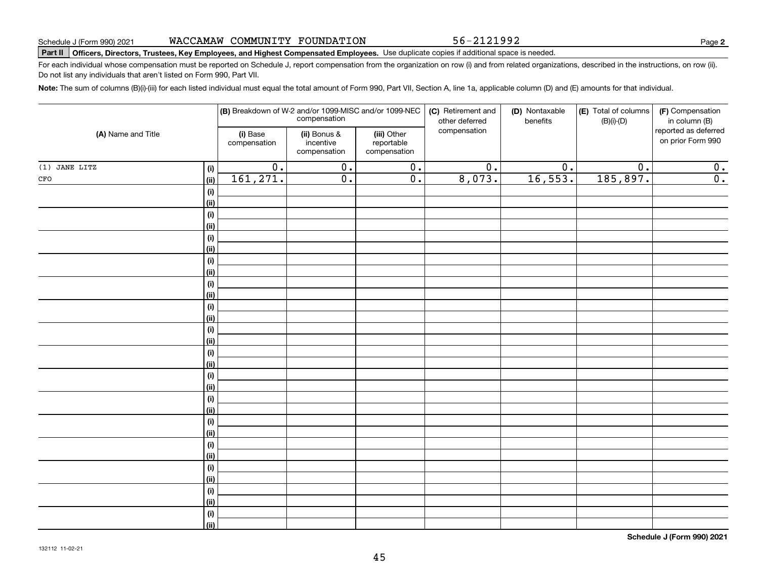56-2121992

**2**

## **Part II Officers, Directors, Trustees, Key Employees, and Highest Compensated Employees.**  Schedule J (Form 990) 2021 Page Use duplicate copies if additional space is needed.

For each individual whose compensation must be reported on Schedule J, report compensation from the organization on row (i) and from related organizations, described in the instructions, on row (ii). Do not list any individuals that aren't listed on Form 990, Part VII.

**Note:**  The sum of columns (B)(i)-(iii) for each listed individual must equal the total amount of Form 990, Part VII, Section A, line 1a, applicable column (D) and (E) amounts for that individual.

|                        |                           | (B) Breakdown of W-2 and/or 1099-MISC and/or 1099-NEC | compensation                              |                                           | (C) Retirement and<br>other deferred | (D) Nontaxable<br>benefits | (E) Total of columns<br>$(B)(i)-(D)$ | (F) Compensation<br>in column (B)         |
|------------------------|---------------------------|-------------------------------------------------------|-------------------------------------------|-------------------------------------------|--------------------------------------|----------------------------|--------------------------------------|-------------------------------------------|
| (A) Name and Title     |                           | (i) Base<br>compensation                              | (ii) Bonus &<br>incentive<br>compensation | (iii) Other<br>reportable<br>compensation | compensation                         |                            |                                      | reported as deferred<br>on prior Form 990 |
| $(1)$ JANE LITZ        | (i)                       | $\overline{0}$ .                                      | $\overline{0}$ .                          | $\overline{0}$ .                          | $\overline{0}$ .                     | $\overline{0}$ .           | $\overline{0}$ .                     | 0.                                        |
| $_{\mbox{\small CFO}}$ | <u>(ii)</u>               | 161, 271.                                             | $\overline{\mathfrak{o}}$ .               | $\overline{0}$ .                          | 8,073.                               | 16,553.                    | 185,897.                             | $\overline{0}$ .                          |
|                        | (i)                       |                                                       |                                           |                                           |                                      |                            |                                      |                                           |
|                        | <u>(ii)</u>               |                                                       |                                           |                                           |                                      |                            |                                      |                                           |
|                        | $(\sf{i})$                |                                                       |                                           |                                           |                                      |                            |                                      |                                           |
|                        | <u>(ii)</u>               |                                                       |                                           |                                           |                                      |                            |                                      |                                           |
|                        | $(\sf{i})$                |                                                       |                                           |                                           |                                      |                            |                                      |                                           |
|                        | <u>(ii)</u>               |                                                       |                                           |                                           |                                      |                            |                                      |                                           |
|                        | $(\sf{i})$                |                                                       |                                           |                                           |                                      |                            |                                      |                                           |
|                        | <u>(ii)</u>               |                                                       |                                           |                                           |                                      |                            |                                      |                                           |
|                        | $(\sf{i})$                |                                                       |                                           |                                           |                                      |                            |                                      |                                           |
|                        | <u>(ii)</u>               |                                                       |                                           |                                           |                                      |                            |                                      |                                           |
|                        | $(\sf{i})$                |                                                       |                                           |                                           |                                      |                            |                                      |                                           |
|                        | <u>(ii)</u>               |                                                       |                                           |                                           |                                      |                            |                                      |                                           |
|                        | $(\sf{i})$                |                                                       |                                           |                                           |                                      |                            |                                      |                                           |
|                        | <u>(ii)</u>               |                                                       |                                           |                                           |                                      |                            |                                      |                                           |
|                        | $(\sf{i})$                |                                                       |                                           |                                           |                                      |                            |                                      |                                           |
|                        | <u>(ii)</u>               |                                                       |                                           |                                           |                                      |                            |                                      |                                           |
|                        | $(\sf{i})$<br><u>(ii)</u> |                                                       |                                           |                                           |                                      |                            |                                      |                                           |
|                        | $(\sf{i})$                |                                                       |                                           |                                           |                                      |                            |                                      |                                           |
|                        | <u>(ii)</u>               |                                                       |                                           |                                           |                                      |                            |                                      |                                           |
|                        | $(\sf{i})$                |                                                       |                                           |                                           |                                      |                            |                                      |                                           |
|                        | <u>(ii)</u>               |                                                       |                                           |                                           |                                      |                            |                                      |                                           |
|                        | $(\sf{i})$                |                                                       |                                           |                                           |                                      |                            |                                      |                                           |
|                        | <u>(ii)</u>               |                                                       |                                           |                                           |                                      |                            |                                      |                                           |
|                        | $(\sf{i})$                |                                                       |                                           |                                           |                                      |                            |                                      |                                           |
|                        | <u>(ii)</u>               |                                                       |                                           |                                           |                                      |                            |                                      |                                           |
|                        | $(\sf{i})$                |                                                       |                                           |                                           |                                      |                            |                                      |                                           |
|                        | <u>(ii)</u>               |                                                       |                                           |                                           |                                      |                            |                                      |                                           |
|                        | (i)                       |                                                       |                                           |                                           |                                      |                            |                                      |                                           |
|                        | $\vert$ (ii)              |                                                       |                                           |                                           |                                      |                            |                                      |                                           |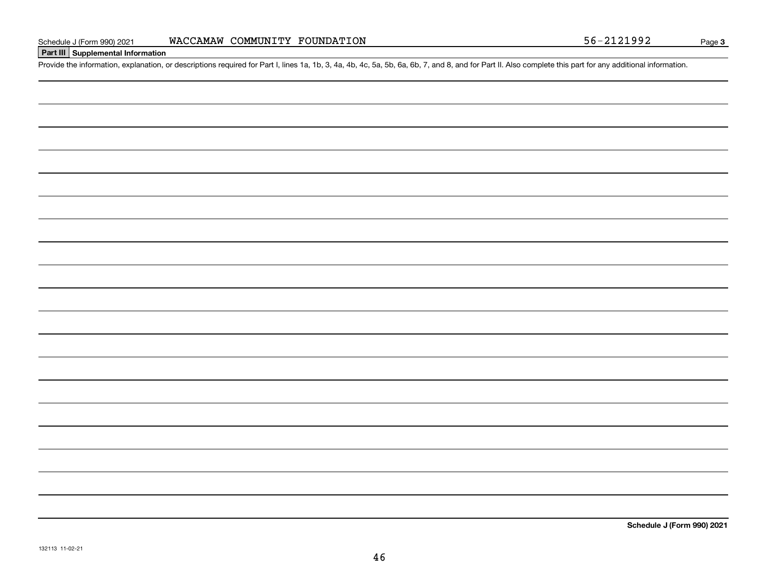### **Part III Supplemental Information**

Schedule J (Form 990) 2021 WACCAMAW COMMUNITY FOUNDATION<br>Part III Supplemental Information<br>Provide the information, explanation, or descriptions required for Part I, lines 1a, 1b, 3, 4a, 4b, 4c, 5a, 5b, 6a, 6b, 7, and 8, a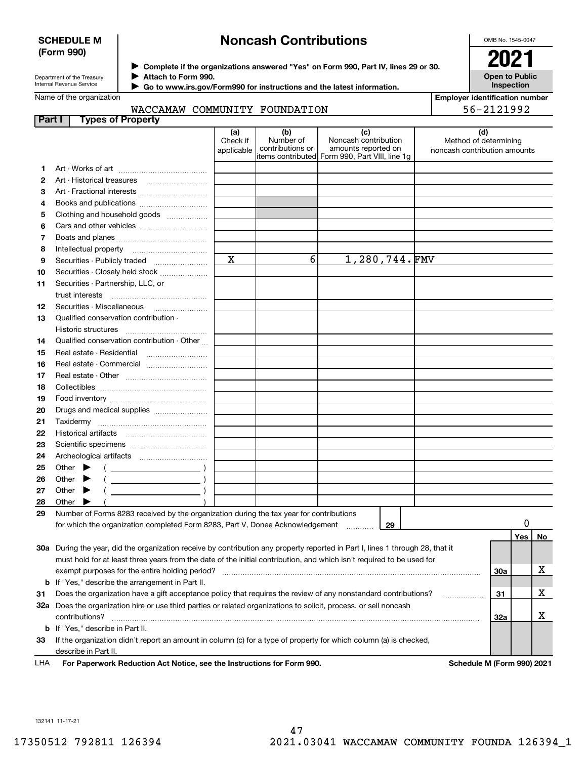#### **SCHEDULE M (Form 990)**

## **Noncash Contributions**

OMB No. 1545-0047

**Open to Public Inspection**

**Employer identification number**

Department of the Treasury Internal Revenue Service

**Complete if the organizations answered "Yes" on Form 990, Part IV, lines 29 or 30.** <sup>J</sup>**2021 Attach to Form 990.** J

 **Go to www.irs.gov/Form990 for instructions and the latest information.** J

Name of the organization

|  | WACCAMAW COMMINITY FOUNDATION |  |
|--|-------------------------------|--|

|               | WACCAMAW COMMUNITY FOUNDATION                                                                                                  |                               |                                      |                                                                                                      |                                                              | 56-2121992 |     |    |
|---------------|--------------------------------------------------------------------------------------------------------------------------------|-------------------------------|--------------------------------------|------------------------------------------------------------------------------------------------------|--------------------------------------------------------------|------------|-----|----|
| <b>Part I</b> | <b>Types of Property</b>                                                                                                       |                               |                                      |                                                                                                      |                                                              |            |     |    |
|               |                                                                                                                                | (a)<br>Check if<br>applicable | (b)<br>Number of<br>contributions or | (c)<br>Noncash contribution<br>amounts reported on<br>items contributed Form 990, Part VIII, line 1g | (d)<br>Method of determining<br>noncash contribution amounts |            |     |    |
| 1.            |                                                                                                                                |                               |                                      |                                                                                                      |                                                              |            |     |    |
| 2             |                                                                                                                                |                               |                                      |                                                                                                      |                                                              |            |     |    |
| 3             | Art - Fractional interests                                                                                                     |                               |                                      |                                                                                                      |                                                              |            |     |    |
| 4             |                                                                                                                                |                               |                                      |                                                                                                      |                                                              |            |     |    |
| 5             | Clothing and household goods                                                                                                   |                               |                                      |                                                                                                      |                                                              |            |     |    |
| 6             |                                                                                                                                |                               |                                      |                                                                                                      |                                                              |            |     |    |
| 7             |                                                                                                                                |                               |                                      |                                                                                                      |                                                              |            |     |    |
| 8             |                                                                                                                                |                               |                                      |                                                                                                      |                                                              |            |     |    |
| 9             |                                                                                                                                | $\mathbf x$                   | 6                                    | 1,280,744.FMV                                                                                        |                                                              |            |     |    |
| 10            | Securities - Closely held stock                                                                                                |                               |                                      |                                                                                                      |                                                              |            |     |    |
| 11            | Securities - Partnership, LLC, or                                                                                              |                               |                                      |                                                                                                      |                                                              |            |     |    |
|               | trust interests                                                                                                                |                               |                                      |                                                                                                      |                                                              |            |     |    |
| 12            |                                                                                                                                |                               |                                      |                                                                                                      |                                                              |            |     |    |
| 13            | Qualified conservation contribution -                                                                                          |                               |                                      |                                                                                                      |                                                              |            |     |    |
|               | <b>Historic structures</b>                                                                                                     |                               |                                      |                                                                                                      |                                                              |            |     |    |
| 14            | Qualified conservation contribution - Other                                                                                    |                               |                                      |                                                                                                      |                                                              |            |     |    |
| 15            |                                                                                                                                |                               |                                      |                                                                                                      |                                                              |            |     |    |
| 16            | Real estate - Commercial                                                                                                       |                               |                                      |                                                                                                      |                                                              |            |     |    |
| 17            |                                                                                                                                |                               |                                      |                                                                                                      |                                                              |            |     |    |
| 18            |                                                                                                                                |                               |                                      |                                                                                                      |                                                              |            |     |    |
| 19            |                                                                                                                                |                               |                                      |                                                                                                      |                                                              |            |     |    |
| 20            | Drugs and medical supplies                                                                                                     |                               |                                      |                                                                                                      |                                                              |            |     |    |
| 21            | Taxidermy                                                                                                                      |                               |                                      |                                                                                                      |                                                              |            |     |    |
| 22            |                                                                                                                                |                               |                                      |                                                                                                      |                                                              |            |     |    |
| 23            |                                                                                                                                |                               |                                      |                                                                                                      |                                                              |            |     |    |
| 24            |                                                                                                                                |                               |                                      |                                                                                                      |                                                              |            |     |    |
| 25            | Other $\blacktriangleright$<br>$\left(\begin{array}{ccc} \begin{array}{ccc} \end{array} & & \end{array}\right)$                |                               |                                      |                                                                                                      |                                                              |            |     |    |
| 26            | Other                                                                                                                          |                               |                                      |                                                                                                      |                                                              |            |     |    |
| 27            | Other                                                                                                                          |                               |                                      |                                                                                                      |                                                              |            |     |    |
| 28            | Other                                                                                                                          |                               |                                      |                                                                                                      |                                                              |            |     |    |
| 29            | Number of Forms 8283 received by the organization during the tax year for contributions                                        |                               |                                      |                                                                                                      |                                                              |            |     |    |
|               | for which the organization completed Form 8283, Part V, Donee Acknowledgement                                                  |                               |                                      | 29                                                                                                   |                                                              |            |     |    |
|               |                                                                                                                                |                               |                                      |                                                                                                      |                                                              |            | Yes | No |
|               | 30a During the year, did the organization receive by contribution any property reported in Part I, lines 1 through 28, that it |                               |                                      |                                                                                                      |                                                              |            |     |    |
|               | must hold for at least three years from the date of the initial contribution, and which isn't required to be used for          |                               |                                      |                                                                                                      |                                                              |            |     |    |
|               |                                                                                                                                |                               |                                      |                                                                                                      |                                                              | 30a        |     | х  |
|               | <b>b</b> If "Yes," describe the arrangement in Part II.                                                                        |                               |                                      |                                                                                                      |                                                              |            |     |    |
| 31            | Does the organization have a gift acceptance policy that requires the review of any nonstandard contributions?                 |                               |                                      |                                                                                                      |                                                              | 31         |     | х  |
|               | 32a Does the organization hire or use third parties or related organizations to solicit, process, or sell noncash              |                               |                                      |                                                                                                      |                                                              |            |     | х  |
|               | contributions?                                                                                                                 |                               |                                      |                                                                                                      |                                                              | 32a        |     |    |
|               | <b>b</b> If "Yes," describe in Part II.                                                                                        |                               |                                      |                                                                                                      |                                                              |            |     |    |
| 33            | If the organization didn't report an amount in column (c) for a type of property for which column (a) is checked,              |                               |                                      |                                                                                                      |                                                              |            |     |    |
|               | describe in Part II.                                                                                                           |                               |                                      |                                                                                                      |                                                              |            |     |    |

**For Paperwork Reduction Act Notice, see the Instructions for Form 990. Schedule M (Form 990) 2021** LHA

132141 11-17-21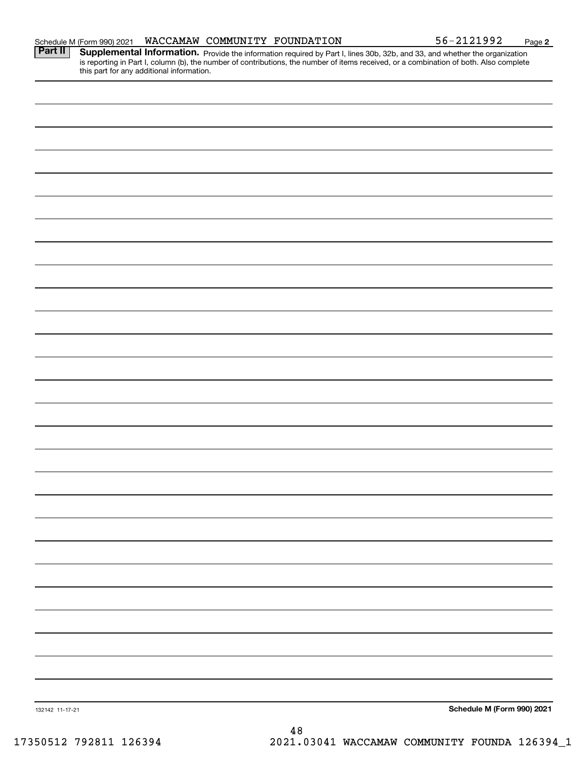| Part II         | <b>Supplemental Information.</b> Provide the information required by Part I, lines 30b, 32b, and 33, and whether the organization is reporting in Part I, column (b), the number of contributions, the number of items received, or |
|-----------------|-------------------------------------------------------------------------------------------------------------------------------------------------------------------------------------------------------------------------------------|
|                 |                                                                                                                                                                                                                                     |
|                 |                                                                                                                                                                                                                                     |
|                 |                                                                                                                                                                                                                                     |
|                 |                                                                                                                                                                                                                                     |
|                 |                                                                                                                                                                                                                                     |
|                 |                                                                                                                                                                                                                                     |
|                 |                                                                                                                                                                                                                                     |
|                 |                                                                                                                                                                                                                                     |
|                 |                                                                                                                                                                                                                                     |
|                 |                                                                                                                                                                                                                                     |
|                 |                                                                                                                                                                                                                                     |
|                 |                                                                                                                                                                                                                                     |
|                 |                                                                                                                                                                                                                                     |
|                 |                                                                                                                                                                                                                                     |
|                 |                                                                                                                                                                                                                                     |
|                 |                                                                                                                                                                                                                                     |
|                 |                                                                                                                                                                                                                                     |
|                 |                                                                                                                                                                                                                                     |
|                 |                                                                                                                                                                                                                                     |
|                 |                                                                                                                                                                                                                                     |
|                 |                                                                                                                                                                                                                                     |
|                 |                                                                                                                                                                                                                                     |
|                 |                                                                                                                                                                                                                                     |
|                 |                                                                                                                                                                                                                                     |
|                 |                                                                                                                                                                                                                                     |
|                 |                                                                                                                                                                                                                                     |
|                 |                                                                                                                                                                                                                                     |
|                 |                                                                                                                                                                                                                                     |
|                 |                                                                                                                                                                                                                                     |
|                 |                                                                                                                                                                                                                                     |
|                 |                                                                                                                                                                                                                                     |
|                 |                                                                                                                                                                                                                                     |
|                 |                                                                                                                                                                                                                                     |
|                 |                                                                                                                                                                                                                                     |
|                 |                                                                                                                                                                                                                                     |
|                 |                                                                                                                                                                                                                                     |
|                 |                                                                                                                                                                                                                                     |
| 132142 11-17-21 | Schedule M (Form 990) 2021                                                                                                                                                                                                          |
|                 | $\Lambda$ O                                                                                                                                                                                                                         |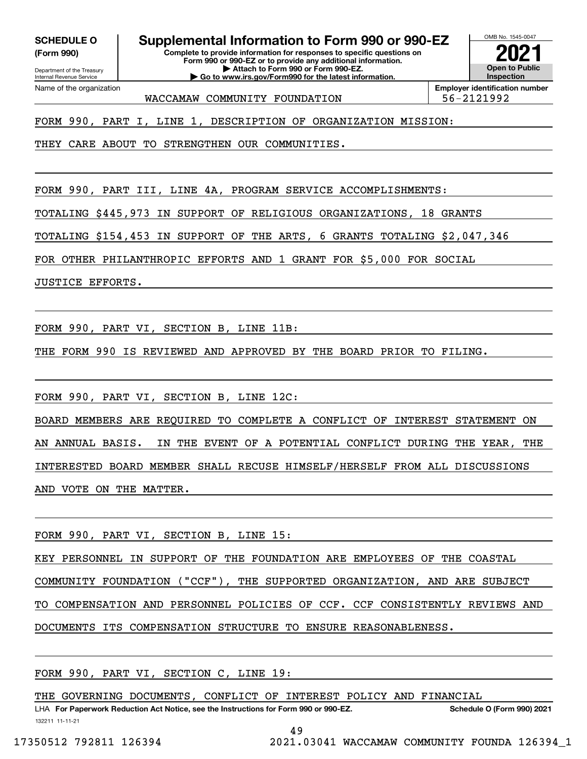**(Form 990)**

Department of the Treasury Internal Revenue Service

Name of the organization

## **SCHEDULE O Supplemental Information to Form 990 or 990-EZ**

**Complete to provide information for responses to specific questions on Form 990 or 990-EZ or to provide any additional information. | Attach to Form 990 or Form 990-EZ. | Go to www.irs.gov/Form990 for the latest information.**



WACCAMAW COMMUNITY FOUNDATION 56-2121992

FORM 990, PART I, LINE 1, DESCRIPTION OF ORGANIZATION MISSION:

THEY CARE ABOUT TO STRENGTHEN OUR COMMUNITIES.

FORM 990, PART III, LINE 4A, PROGRAM SERVICE ACCOMPLISHMENTS:

TOTALING \$445,973 IN SUPPORT OF RELIGIOUS ORGANIZATIONS, 18 GRANTS

TOTALING \$154,453 IN SUPPORT OF THE ARTS, 6 GRANTS TOTALING \$2,047,346

FOR OTHER PHILANTHROPIC EFFORTS AND 1 GRANT FOR \$5,000 FOR SOCIAL

JUSTICE EFFORTS.

FORM 990, PART VI, SECTION B, LINE 11B:

THE FORM 990 IS REVIEWED AND APPROVED BY THE BOARD PRIOR TO FILING.

FORM 990, PART VI, SECTION B, LINE 12C:

BOARD MEMBERS ARE REQUIRED TO COMPLETE A CONFLICT OF INTEREST STATEMENT ON AN ANNUAL BASIS. IN THE EVENT OF A POTENTIAL CONFLICT DURING THE YEAR, THE INTERESTED BOARD MEMBER SHALL RECUSE HIMSELF/HERSELF FROM ALL DISCUSSIONS AND VOTE ON THE MATTER.

FORM 990, PART VI, SECTION B, LINE 15:

KEY PERSONNEL IN SUPPORT OF THE FOUNDATION ARE EMPLOYEES OF THE COASTAL

COMMUNITY FOUNDATION ("CCF"), THE SUPPORTED ORGANIZATION, AND ARE SUBJECT

TO COMPENSATION AND PERSONNEL POLICIES OF CCF. CCF CONSISTENTLY REVIEWS AND

DOCUMENTS ITS COMPENSATION STRUCTURE TO ENSURE REASONABLENESS.

FORM 990, PART VI, SECTION C, LINE 19:

THE GOVERNING DOCUMENTS, CONFLICT OF INTEREST POLICY AND FINANCIAL

132211 11-11-21 LHA For Paperwork Reduction Act Notice, see the Instructions for Form 990 or 990-EZ. Schedule O (Form 990) 2021

49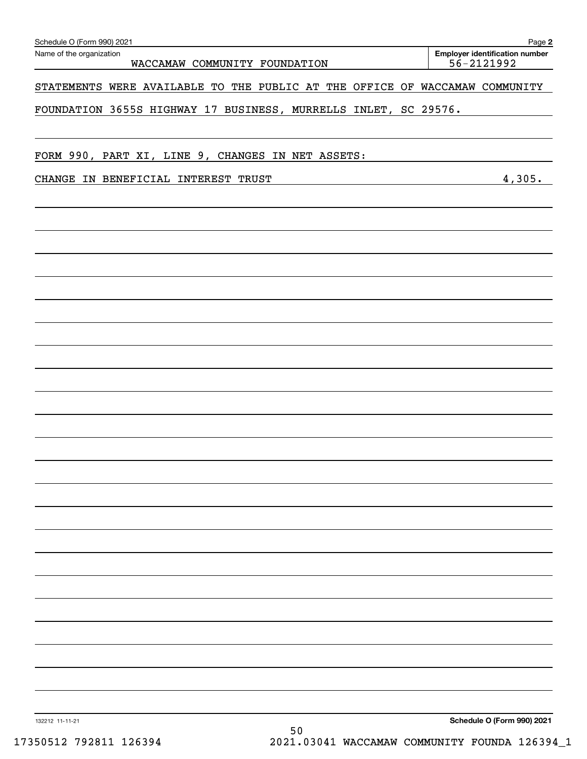| Schedule O (Form 990) 2021<br>Name of the organization                      | Page 2<br><b>Employer identification number</b> |
|-----------------------------------------------------------------------------|-------------------------------------------------|
| WACCAMAW COMMUNITY FOUNDATION                                               | 56-2121992                                      |
| STATEMENTS WERE AVAILABLE TO THE PUBLIC AT THE OFFICE OF WACCAMAW COMMUNITY |                                                 |
| FOUNDATION 3655S HIGHWAY 17 BUSINESS, MURRELLS INLET, SC 29576.             |                                                 |
| FORM 990, PART XI, LINE 9, CHANGES IN NET ASSETS:                           |                                                 |
| CHANGE IN BENEFICIAL INTEREST TRUST                                         | 4,305.                                          |
|                                                                             |                                                 |
|                                                                             |                                                 |
|                                                                             |                                                 |
|                                                                             |                                                 |
|                                                                             |                                                 |
|                                                                             |                                                 |
|                                                                             |                                                 |
|                                                                             |                                                 |
|                                                                             |                                                 |
|                                                                             |                                                 |
|                                                                             |                                                 |
|                                                                             |                                                 |
|                                                                             |                                                 |
|                                                                             |                                                 |
|                                                                             |                                                 |
|                                                                             |                                                 |
|                                                                             | Schedule O (Form 990) 2021                      |
| 132212 11-11-21<br>50                                                       |                                                 |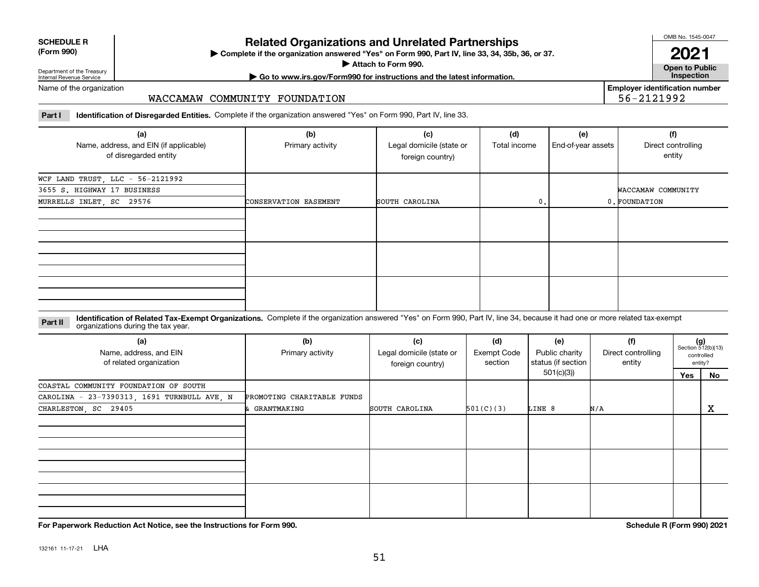| <b>SCHEDULE R</b>                          |  |
|--------------------------------------------|--|
| $\mathbf{r}$ , $\mathbf{r}$ , $\mathbf{r}$ |  |

#### **(Form 990)**

## **Related Organizations and Unrelated Partnerships**

**Complete if the organization answered "Yes" on Form 990, Part IV, line 33, 34, 35b, 36, or 37.** |

**Attach to Form 990.**  |

OMB No. 1545-0047

**Open to Public 2021**

**Employer identification number**

56-2121992

Department of the Treasury Internal Revenue Service

## **| Go to www.irs.gov/Form990 for instructions and the latest information. Inspection**

Name of the organization

#### WACCAMAW COMMUNITY FOUNDATION

**Part I Identification of Disregarded Entities.**  Complete if the organization answered "Yes" on Form 990, Part IV, line 33.

| (a)<br>Name, address, and EIN (if applicable)<br>of disregarded entity | (b)<br>Primary activity | (c)<br>Legal domicile (state or<br>foreign country) | (d)<br>Total income | (e)<br>End-of-year assets | (f)<br>Direct controlling<br>entity |
|------------------------------------------------------------------------|-------------------------|-----------------------------------------------------|---------------------|---------------------------|-------------------------------------|
| WCF LAND TRUST, LLC - 56-2121992                                       |                         |                                                     |                     |                           |                                     |
| 3655 S. HIGHWAY 17 BUSINESS                                            |                         |                                                     |                     |                           | WACCAMAW COMMUNITY                  |
| MURRELLS INLET, SC 29576                                               | CONSERVATION EASEMENT   | SOUTH CAROLINA                                      | 0.                  |                           | 0. FOUNDATION                       |
|                                                                        |                         |                                                     |                     |                           |                                     |
|                                                                        |                         |                                                     |                     |                           |                                     |
|                                                                        |                         |                                                     |                     |                           |                                     |

**Identification of Related Tax-Exempt Organizations.** Complete if the organization answered "Yes" on Form 990, Part IV, line 34, because it had one or more related tax-exempt **Part II** organizations during the tax year.

| (a)<br>Name, address, and EIN<br>of related organization | (b)<br>Primary activity    | (c)<br>Legal domicile (state or<br>foreign country) | (d)<br>Exempt Code<br>section | (e)<br>Public charity<br>status (if section | (f)<br>Direct controlling<br>entity |     | $(g)$<br>Section 512(b)(13)<br>controlled<br>entity? |
|----------------------------------------------------------|----------------------------|-----------------------------------------------------|-------------------------------|---------------------------------------------|-------------------------------------|-----|------------------------------------------------------|
|                                                          |                            |                                                     |                               | 501(c)(3))                                  |                                     | Yes | No                                                   |
| COASTAL COMMUNITY FOUNDATION OF SOUTH                    |                            |                                                     |                               |                                             |                                     |     |                                                      |
| CAROLINA - 23-7390313, 1691 TURNBULL AVE, N              | PROMOTING CHARITABLE FUNDS |                                                     |                               |                                             |                                     |     |                                                      |
| CHARLESTON, SC 29405                                     | & GRANTMAKING              | SOUTH CAROLINA                                      | 501(C)(3)                     | LINE 8                                      | N/A                                 |     | х                                                    |
|                                                          |                            |                                                     |                               |                                             |                                     |     |                                                      |
|                                                          |                            |                                                     |                               |                                             |                                     |     |                                                      |
|                                                          |                            |                                                     |                               |                                             |                                     |     |                                                      |
|                                                          |                            |                                                     |                               |                                             |                                     |     |                                                      |
|                                                          |                            |                                                     |                               |                                             |                                     |     |                                                      |
|                                                          |                            |                                                     |                               |                                             |                                     |     |                                                      |
|                                                          |                            |                                                     |                               |                                             |                                     |     |                                                      |
|                                                          |                            |                                                     |                               |                                             |                                     |     |                                                      |
|                                                          |                            |                                                     |                               |                                             |                                     |     |                                                      |

**For Paperwork Reduction Act Notice, see the Instructions for Form 990. Schedule R (Form 990) 2021**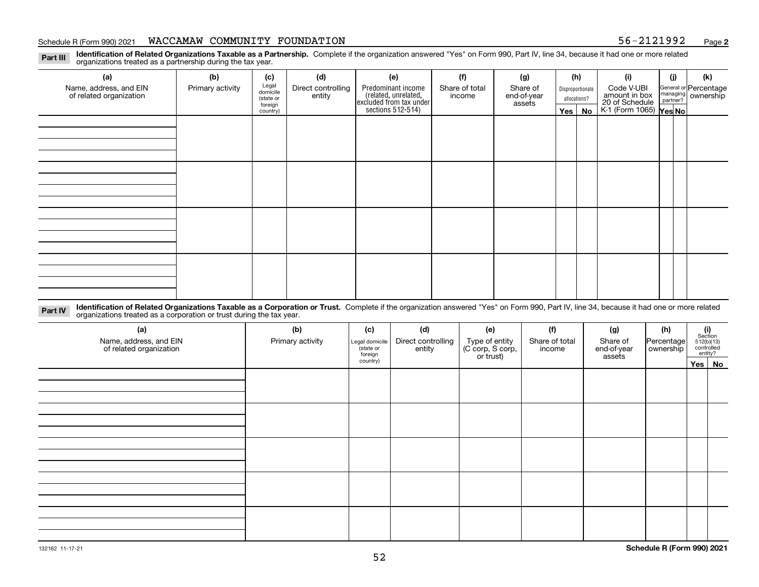#### Schedule R (Form 990) 2021 **WACCAMAW COMMUNITY FOUNDATION** 56-2121992 <sub>Page</sub>

**2**

**Identification of Related Organizations Taxable as a Partnership.** Complete if the organization answered "Yes" on Form 990, Part IV, line 34, because it had one or more related **Part III** organizations treated as a partnership during the tax year.

| (a)                                               | (b)              | (c)                                                                                                                                                | (d) | (e)                                                                 | (f) | (g)                                                       |         | (h)    | (i)                                      | (j) | (k) |  |  |
|---------------------------------------------------|------------------|----------------------------------------------------------------------------------------------------------------------------------------------------|-----|---------------------------------------------------------------------|-----|-----------------------------------------------------------|---------|--------|------------------------------------------|-----|-----|--|--|
| Name, address, and EIN<br>of related organization | Primary activity | Legal<br>domicile<br>Predominant income<br>Share of<br>Direct controlling<br>Share of total<br>Disproportionate<br>entity<br>end-of-year<br>income |     | Code V-UBI<br>amount in box                                         |     | General or Percentage<br>managing<br>partner?<br>partner? |         |        |                                          |     |     |  |  |
|                                                   |                  | (state or<br>foreign                                                                                                                               |     |                                                                     |     |                                                           |         | assets | allocations?                             |     |     |  |  |
|                                                   |                  | country)                                                                                                                                           |     | related, unrelated,<br>excluded from tax under<br>sections 512-514) |     |                                                           | Yes $ $ | No     | 20 of Schedule<br>K-1 (Form 1065) Yes No |     |     |  |  |
|                                                   |                  |                                                                                                                                                    |     |                                                                     |     |                                                           |         |        |                                          |     |     |  |  |
|                                                   |                  |                                                                                                                                                    |     |                                                                     |     |                                                           |         |        |                                          |     |     |  |  |
|                                                   |                  |                                                                                                                                                    |     |                                                                     |     |                                                           |         |        |                                          |     |     |  |  |
|                                                   |                  |                                                                                                                                                    |     |                                                                     |     |                                                           |         |        |                                          |     |     |  |  |
|                                                   |                  |                                                                                                                                                    |     |                                                                     |     |                                                           |         |        |                                          |     |     |  |  |
|                                                   |                  |                                                                                                                                                    |     |                                                                     |     |                                                           |         |        |                                          |     |     |  |  |
|                                                   |                  |                                                                                                                                                    |     |                                                                     |     |                                                           |         |        |                                          |     |     |  |  |
|                                                   |                  |                                                                                                                                                    |     |                                                                     |     |                                                           |         |        |                                          |     |     |  |  |
|                                                   |                  |                                                                                                                                                    |     |                                                                     |     |                                                           |         |        |                                          |     |     |  |  |
|                                                   |                  |                                                                                                                                                    |     |                                                                     |     |                                                           |         |        |                                          |     |     |  |  |
|                                                   |                  |                                                                                                                                                    |     |                                                                     |     |                                                           |         |        |                                          |     |     |  |  |
|                                                   |                  |                                                                                                                                                    |     |                                                                     |     |                                                           |         |        |                                          |     |     |  |  |
|                                                   |                  |                                                                                                                                                    |     |                                                                     |     |                                                           |         |        |                                          |     |     |  |  |
|                                                   |                  |                                                                                                                                                    |     |                                                                     |     |                                                           |         |        |                                          |     |     |  |  |
|                                                   |                  |                                                                                                                                                    |     |                                                                     |     |                                                           |         |        |                                          |     |     |  |  |
|                                                   |                  |                                                                                                                                                    |     |                                                                     |     |                                                           |         |        |                                          |     |     |  |  |
|                                                   |                  |                                                                                                                                                    |     |                                                                     |     |                                                           |         |        |                                          |     |     |  |  |

**Identification of Related Organizations Taxable as a Corporation or Trust.** Complete if the organization answered "Yes" on Form 990, Part IV, line 34, because it had one or more related **Part IV** organizations treated as a corporation or trust during the tax year.

| (a)<br>Name, address, and EIN<br>of related organization | (b)<br>Primary activity | (c)<br>Legal domicile<br>state or<br>foreign | (d)<br>Direct controlling<br>entity | (e)<br>Type of entity<br>(C corp, S corp,<br>or trust) | (f)<br>Share of total<br>income | (g)<br>Share of<br>end-of-year<br>assets | (h)<br> Percentage <br>ownership | $\begin{array}{c} \textbf{(i)}\\ \text{Section}\\ 512 \text{(b)} \text{(13)}\\ \text{controlled}\end{array}$<br>entity? |  |
|----------------------------------------------------------|-------------------------|----------------------------------------------|-------------------------------------|--------------------------------------------------------|---------------------------------|------------------------------------------|----------------------------------|-------------------------------------------------------------------------------------------------------------------------|--|
|                                                          |                         | country)                                     |                                     |                                                        |                                 |                                          |                                  | Yes No                                                                                                                  |  |
|                                                          |                         |                                              |                                     |                                                        |                                 |                                          |                                  |                                                                                                                         |  |
|                                                          |                         |                                              |                                     |                                                        |                                 |                                          |                                  |                                                                                                                         |  |
|                                                          |                         |                                              |                                     |                                                        |                                 |                                          |                                  |                                                                                                                         |  |
|                                                          |                         |                                              |                                     |                                                        |                                 |                                          |                                  |                                                                                                                         |  |
|                                                          |                         |                                              |                                     |                                                        |                                 |                                          |                                  |                                                                                                                         |  |
|                                                          |                         |                                              |                                     |                                                        |                                 |                                          |                                  |                                                                                                                         |  |
|                                                          |                         |                                              |                                     |                                                        |                                 |                                          |                                  |                                                                                                                         |  |
|                                                          |                         |                                              |                                     |                                                        |                                 |                                          |                                  |                                                                                                                         |  |
|                                                          |                         |                                              |                                     |                                                        |                                 |                                          |                                  |                                                                                                                         |  |
|                                                          |                         |                                              |                                     |                                                        |                                 |                                          |                                  |                                                                                                                         |  |
|                                                          |                         |                                              |                                     |                                                        |                                 |                                          |                                  |                                                                                                                         |  |
|                                                          |                         |                                              |                                     |                                                        |                                 |                                          |                                  |                                                                                                                         |  |
|                                                          |                         |                                              |                                     |                                                        |                                 |                                          |                                  |                                                                                                                         |  |
|                                                          |                         |                                              |                                     |                                                        |                                 |                                          |                                  |                                                                                                                         |  |
|                                                          |                         |                                              |                                     |                                                        |                                 |                                          |                                  |                                                                                                                         |  |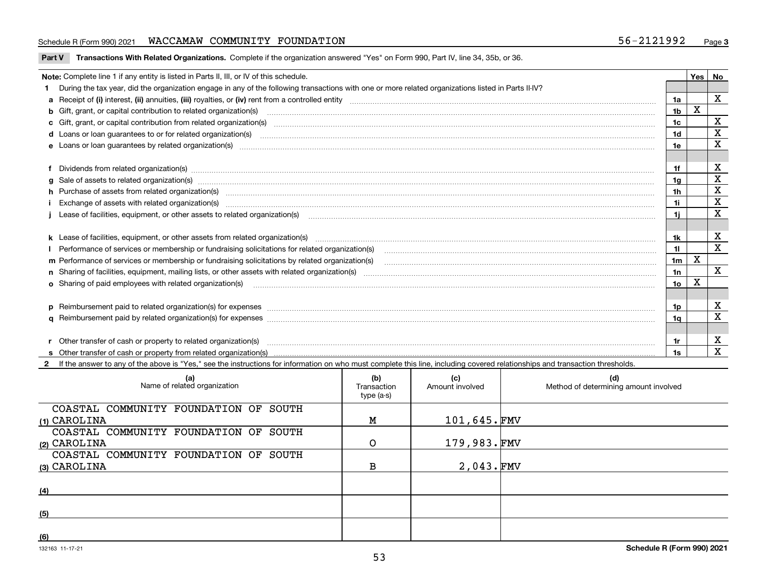#### Schedule R (Form 990) 2021 **WACCAMAW COMMUNITY FOUNDATION** 56-2121992 <sub>Page</sub>

|  | Part V Transactions With Related Organizations. Complete if the organization answered "Yes" on Form 990, Part IV, line 34, 35b, or 36. |  |  |
|--|----------------------------------------------------------------------------------------------------------------------------------------|--|--|
|--|----------------------------------------------------------------------------------------------------------------------------------------|--|--|

| Note: Complete line 1 if any entity is listed in Parts II, III, or IV of this schedule.                                                                                                                                        |                 | Yes | No          |
|--------------------------------------------------------------------------------------------------------------------------------------------------------------------------------------------------------------------------------|-----------------|-----|-------------|
| During the tax year, did the organization engage in any of the following transactions with one or more related organizations listed in Parts II-IV?                                                                            |                 |     |             |
|                                                                                                                                                                                                                                | 1a              |     | $\mathbf X$ |
| b Gift, grant, or capital contribution to related organization(s) manufaction contracts and contribution to related organization(s) manufaction contribution to related organization(s)                                        | 1b              | X   |             |
| c Gift, grant, or capital contribution from related organization(s) CONCORRECT CONSERVITY OF Gift, grant, or capital contribution from related organization(s)                                                                 | 1 <sub>c</sub>  |     | х           |
|                                                                                                                                                                                                                                | 1d              |     | X           |
| e Loans or loan guarantees by related organization(s) encourance contains and contained a contained a contact the control of the control of the control of the control of the control of the control of the control of the con | 1e              |     | X           |
|                                                                                                                                                                                                                                |                 |     |             |
| Dividends from related organization(s) manufactured and contract and contract and contract and contract and contract and contract and contract and contract and contract and contract and contract and contract and contract a | 1f              |     | х           |
| g Sale of assets to related organization(s) material contents and content and content of the set of assets to related organization(s)                                                                                          | 1 <sub>g</sub>  |     | X           |
| h Purchase of assets from related organization(s) manufactured content to content the content of the content of the content of the content of the content of the content of the content of the content of the content of the c | 1 <sub>h</sub>  |     | X           |
|                                                                                                                                                                                                                                | 1i              |     | X           |
| Lease of facilities, equipment, or other assets to related organization(s) manufactured content and content and content and content and content and content and content and content and content and content and content and co | 1i.             |     | X           |
|                                                                                                                                                                                                                                |                 |     |             |
|                                                                                                                                                                                                                                | 1k              |     | X           |
|                                                                                                                                                                                                                                | 11              |     | $\mathbf X$ |
|                                                                                                                                                                                                                                | 1 <sub>m</sub>  | X   |             |
|                                                                                                                                                                                                                                | 1n              |     | X           |
|                                                                                                                                                                                                                                | 10 <sub>o</sub> | X   |             |
|                                                                                                                                                                                                                                |                 |     |             |
| p Reimbursement paid to related organization(s) for expenses [1111] and the content of the content of the content of the content of the content of the content of the content of the content of the content of the content of  | 1p              |     | X           |
|                                                                                                                                                                                                                                | 1a              |     | X           |
|                                                                                                                                                                                                                                |                 |     |             |
| r Other transfer of cash or property to related organization(s)                                                                                                                                                                | 1r              |     | х           |
|                                                                                                                                                                                                                                |                 |     | X           |

**2**If the answer to any of the above is "Yes," see the instructions for information on who must complete this line, including covered relationships and transaction thresholds.

| (a)<br>Name of related organization   | (b)<br>Transaction<br>type (a-s) | (c)<br>Amount involved | (d)<br>Method of determining amount involved |
|---------------------------------------|----------------------------------|------------------------|----------------------------------------------|
| COASTAL COMMUNITY FOUNDATION OF SOUTH |                                  |                        |                                              |
| (1) CAROLINA                          | M                                | 101,645.FMV            |                                              |
| COASTAL COMMUNITY FOUNDATION OF SOUTH |                                  |                        |                                              |
| <u>(2) CAR</u> OLINA                  | O                                | 179,983.FMV            |                                              |
| COASTAL COMMUNITY FOUNDATION OF SOUTH |                                  |                        |                                              |
| (3) CAROLINA                          | в                                | 2,043.FMV              |                                              |
|                                       |                                  |                        |                                              |
| (4)                                   |                                  |                        |                                              |
|                                       |                                  |                        |                                              |
| (5)                                   |                                  |                        |                                              |
|                                       |                                  |                        |                                              |
| (6)                                   |                                  |                        |                                              |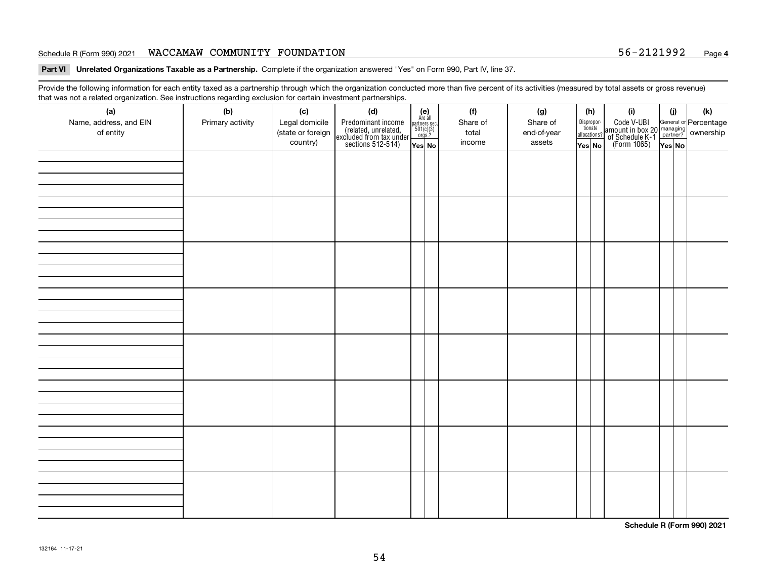#### Schedule R (Form 990) 2021 **WACCAMAW COMMUNITY FOUNDATION** 56-2121992 <sub>Page</sub>

**Part VI Unrelated Organizations Taxable as a Partnership. Complete if the organization answered "Yes" on Form 990, Part IV, line 37.** 

Provide the following information for each entity taxed as a partnership through which the organization conducted more than five percent of its activities (measured by total assets or gross revenue) that was not a related organization. See instructions regarding exclusion for certain investment partnerships.

| ັ                      | ັ<br>ັ           |                   |                                                                                            |                                      |  |          |             |                                       |                                                                                              |        |     |  |  |
|------------------------|------------------|-------------------|--------------------------------------------------------------------------------------------|--------------------------------------|--|----------|-------------|---------------------------------------|----------------------------------------------------------------------------------------------|--------|-----|--|--|
| (a)                    | (b)              | (c)               | (d)                                                                                        | (e)<br>Are all                       |  | (f)      | (g)         | (h)                                   | (i)                                                                                          | (i)    | (k) |  |  |
| Name, address, and EIN | Primary activity | Legal domicile    | Predominant income<br>(related, unrelated,<br>excluded from tax under<br>sections 512-514) | partners sec.<br>501(c)(3)<br>orgs.? |  | Share of | Share of    | Dispropor-<br>tionate<br>allocations? | Code V-UBI<br>amount in box 20 managing<br>of Schedule K-1 partner?<br>(Form 1065)<br>ves No |        |     |  |  |
| of entity              |                  | (state or foreign |                                                                                            |                                      |  | total    | end-of-year |                                       |                                                                                              |        |     |  |  |
|                        |                  | country)          |                                                                                            | Yes No                               |  | income   | assets      | Yes No                                |                                                                                              | Yes No |     |  |  |
|                        |                  |                   |                                                                                            |                                      |  |          |             |                                       |                                                                                              |        |     |  |  |
|                        |                  |                   |                                                                                            |                                      |  |          |             |                                       |                                                                                              |        |     |  |  |
|                        |                  |                   |                                                                                            |                                      |  |          |             |                                       |                                                                                              |        |     |  |  |
|                        |                  |                   |                                                                                            |                                      |  |          |             |                                       |                                                                                              |        |     |  |  |
|                        |                  |                   |                                                                                            |                                      |  |          |             |                                       |                                                                                              |        |     |  |  |
|                        |                  |                   |                                                                                            |                                      |  |          |             |                                       |                                                                                              |        |     |  |  |
|                        |                  |                   |                                                                                            |                                      |  |          |             |                                       |                                                                                              |        |     |  |  |
|                        |                  |                   |                                                                                            |                                      |  |          |             |                                       |                                                                                              |        |     |  |  |
|                        |                  |                   |                                                                                            |                                      |  |          |             |                                       |                                                                                              |        |     |  |  |
|                        |                  |                   |                                                                                            |                                      |  |          |             |                                       |                                                                                              |        |     |  |  |
|                        |                  |                   |                                                                                            |                                      |  |          |             |                                       |                                                                                              |        |     |  |  |
|                        |                  |                   |                                                                                            |                                      |  |          |             |                                       |                                                                                              |        |     |  |  |
|                        |                  |                   |                                                                                            |                                      |  |          |             |                                       |                                                                                              |        |     |  |  |
|                        |                  |                   |                                                                                            |                                      |  |          |             |                                       |                                                                                              |        |     |  |  |
|                        |                  |                   |                                                                                            |                                      |  |          |             |                                       |                                                                                              |        |     |  |  |
|                        |                  |                   |                                                                                            |                                      |  |          |             |                                       |                                                                                              |        |     |  |  |
|                        |                  |                   |                                                                                            |                                      |  |          |             |                                       |                                                                                              |        |     |  |  |
|                        |                  |                   |                                                                                            |                                      |  |          |             |                                       |                                                                                              |        |     |  |  |
|                        |                  |                   |                                                                                            |                                      |  |          |             |                                       |                                                                                              |        |     |  |  |
|                        |                  |                   |                                                                                            |                                      |  |          |             |                                       |                                                                                              |        |     |  |  |
|                        |                  |                   |                                                                                            |                                      |  |          |             |                                       |                                                                                              |        |     |  |  |
|                        |                  |                   |                                                                                            |                                      |  |          |             |                                       |                                                                                              |        |     |  |  |
|                        |                  |                   |                                                                                            |                                      |  |          |             |                                       |                                                                                              |        |     |  |  |
|                        |                  |                   |                                                                                            |                                      |  |          |             |                                       |                                                                                              |        |     |  |  |
|                        |                  |                   |                                                                                            |                                      |  |          |             |                                       |                                                                                              |        |     |  |  |
|                        |                  |                   |                                                                                            |                                      |  |          |             |                                       |                                                                                              |        |     |  |  |
|                        |                  |                   |                                                                                            |                                      |  |          |             |                                       |                                                                                              |        |     |  |  |
|                        |                  |                   |                                                                                            |                                      |  |          |             |                                       |                                                                                              |        |     |  |  |
|                        |                  |                   |                                                                                            |                                      |  |          |             |                                       |                                                                                              |        |     |  |  |
|                        |                  |                   |                                                                                            |                                      |  |          |             |                                       |                                                                                              |        |     |  |  |
|                        |                  |                   |                                                                                            |                                      |  |          |             |                                       |                                                                                              |        |     |  |  |
|                        |                  |                   |                                                                                            |                                      |  |          |             |                                       |                                                                                              |        |     |  |  |
|                        |                  |                   |                                                                                            |                                      |  |          |             |                                       |                                                                                              |        |     |  |  |
|                        |                  |                   |                                                                                            |                                      |  |          |             |                                       |                                                                                              |        |     |  |  |
|                        |                  |                   |                                                                                            |                                      |  |          |             |                                       |                                                                                              |        |     |  |  |
|                        |                  |                   |                                                                                            |                                      |  |          |             |                                       |                                                                                              |        |     |  |  |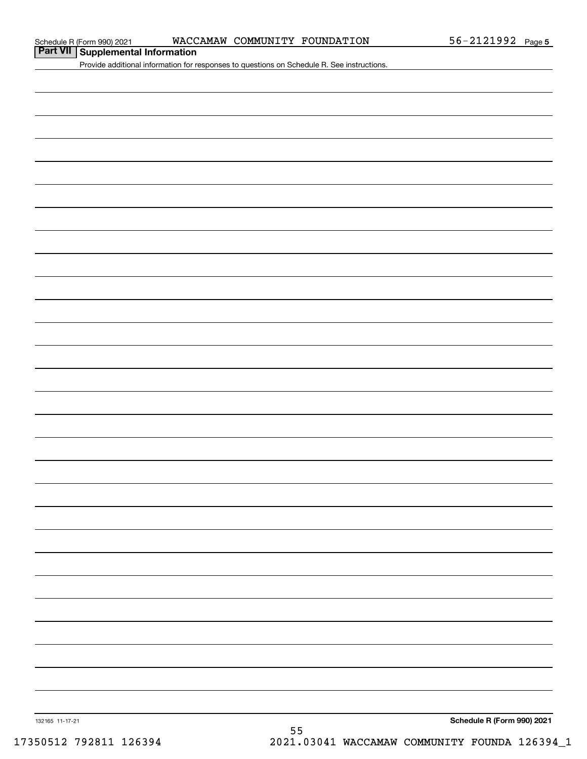**Part VII Supplemental Information**

Provide additional information for responses to questions on Schedule R. See instructions.

132165 11-17-21